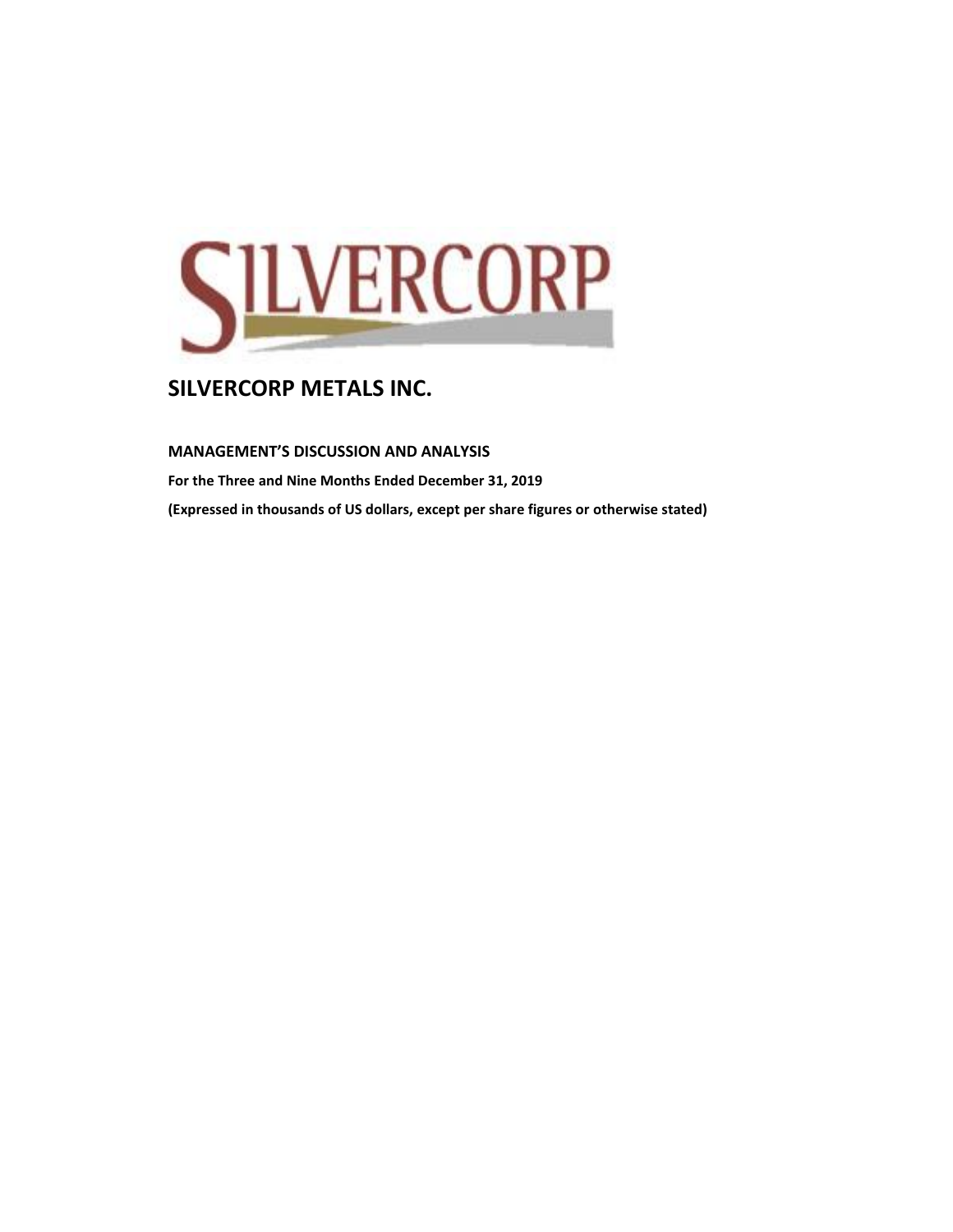

**MANAGEMENT'S DISCUSSION AND ANALYSIS** 

**For the Three and Nine Months Ended December 31, 2019 (Expressed in thousands of US dollars, except per share figures or otherwise stated)**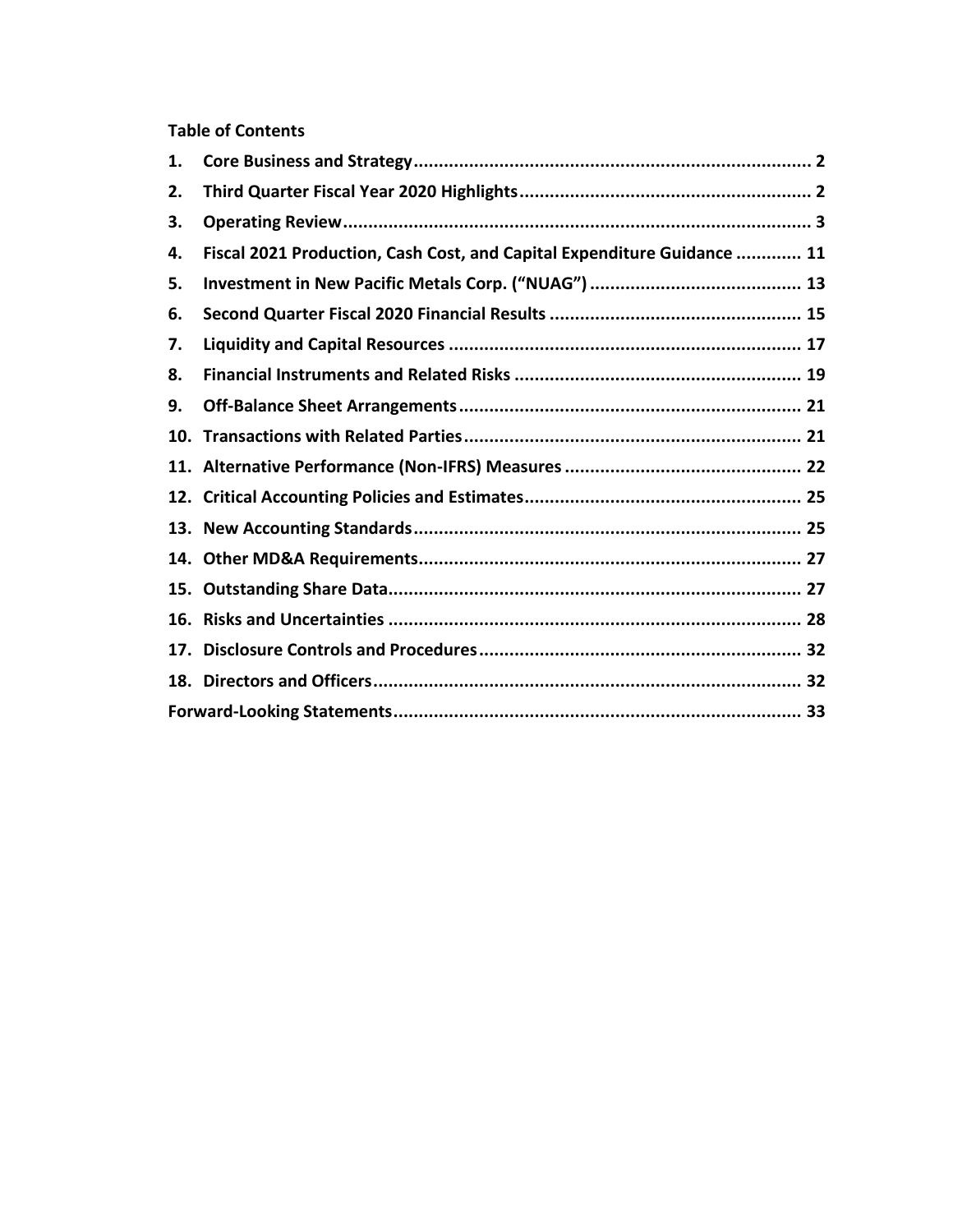## **Table of Contents**

| 1.  |                                                                         |  |
|-----|-------------------------------------------------------------------------|--|
| 2.  |                                                                         |  |
| 3.  |                                                                         |  |
| 4.  | Fiscal 2021 Production, Cash Cost, and Capital Expenditure Guidance  11 |  |
| 5.  |                                                                         |  |
| 6.  |                                                                         |  |
| 7.  |                                                                         |  |
| 8.  |                                                                         |  |
| 9.  |                                                                         |  |
| 10. |                                                                         |  |
|     |                                                                         |  |
|     |                                                                         |  |
|     |                                                                         |  |
|     |                                                                         |  |
| 15. |                                                                         |  |
| 16. |                                                                         |  |
| 17. |                                                                         |  |
|     |                                                                         |  |
|     |                                                                         |  |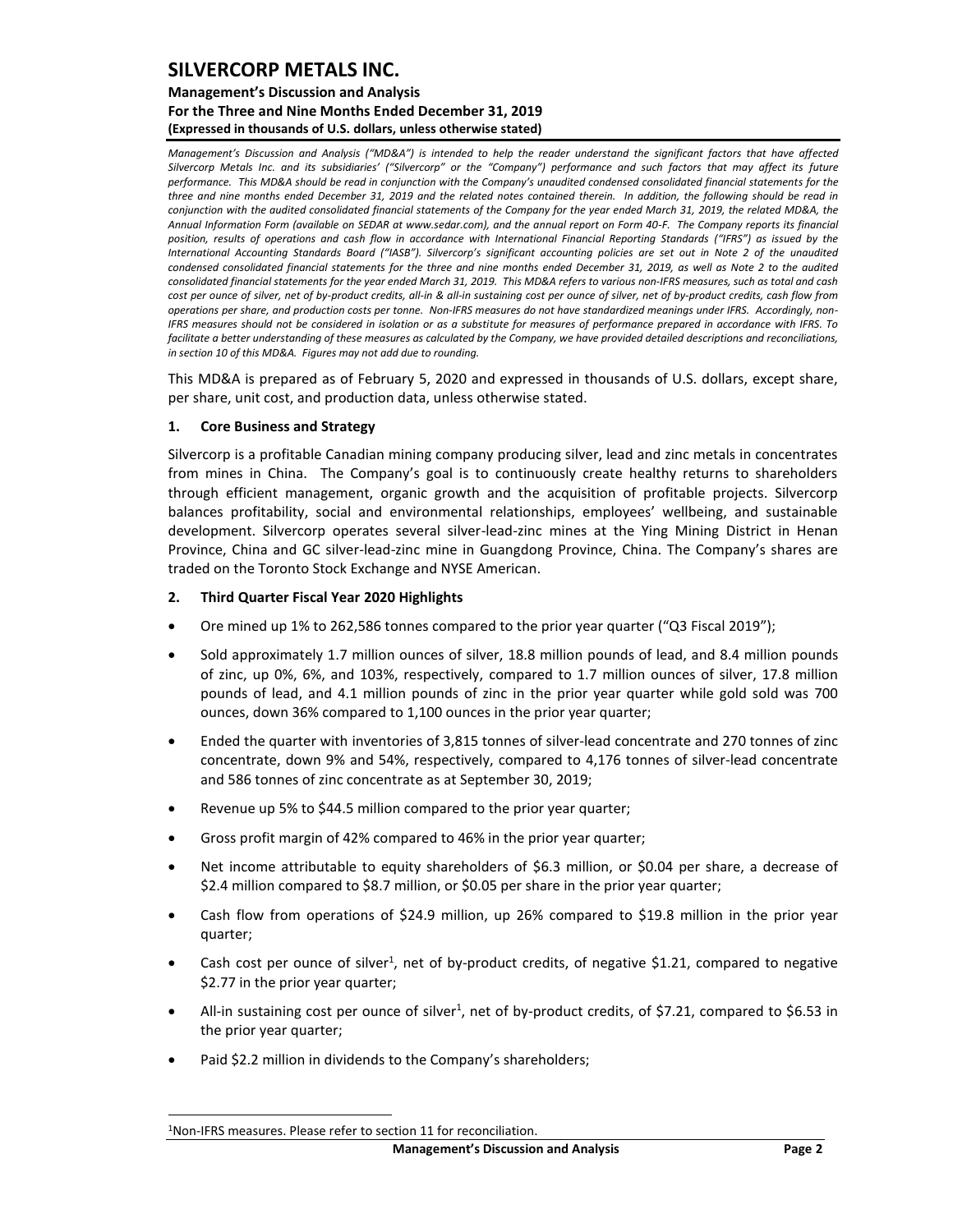### **Management's Discussion and Analysis For the Three and Nine Months Ended December 31, 2019 (Expressed in thousands of U.S. dollars, unless otherwise stated)**

*Management's Discussion and Analysis ("MD&A") is intended to help the reader understand the significant factors that have affected Silvercorp Metals Inc. and its subsidiaries' ("Silvercorp" or the "Company") performance and such factors that may affect its future performance. This MD&A should be read in conjunction with the Company's unaudited condensed consolidated financial statements for the three and nine months ended December 31, 2019 and the related notes contained therein. In addition, the following should be read in conjunction with the audited consolidated financial statements of the Company for the year ended March 31, 2019, the related MD&A, the Annual Information Form (available on SEDAR at www.sedar.com), and the annual report on Form 40-F. The Company reports its financial position, results of operations and cash flow in accordance with International Financial Reporting Standards ("IFRS") as issued by the International Accounting Standards Board ("IASB"). Silvercorp's significant accounting policies are set out in Note 2 of the unaudited condensed consolidated financial statements for the three and nine months ended December 31, 2019, as well as Note 2 to the audited consolidated financial statements for the year ended March 31, 2019. This MD&A refers to various non-IFRS measures, such as total and cash cost per ounce of silver, net of by-product credits, all-in & all-in sustaining cost per ounce of silver, net of by-product credits, cash flow from operations per share, and production costs per tonne. Non-IFRS measures do not have standardized meanings under IFRS. Accordingly, non-IFRS measures should not be considered in isolation or as a substitute for measures of performance prepared in accordance with IFRS. To facilitate a better understanding of these measures as calculated by the Company, we have provided detailed descriptions and reconciliations, in section 10 of this MD&A. Figures may not add due to rounding.*

This MD&A is prepared as of February 5, 2020 and expressed in thousands of U.S. dollars, except share, per share, unit cost, and production data, unless otherwise stated.

### <span id="page-2-0"></span>**1. Core Business and Strategy**

Silvercorp is a profitable Canadian mining company producing silver, lead and zinc metals in concentrates from mines in China. The Company's goal is to continuously create healthy returns to shareholders through efficient management, organic growth and the acquisition of profitable projects. Silvercorp balances profitability, social and environmental relationships, employees' wellbeing, and sustainable development. Silvercorp operates several silver-lead-zinc mines at the Ying Mining District in Henan Province, China and GC silver-lead-zinc mine in Guangdong Province, China. The Company's shares are traded on the Toronto Stock Exchange and NYSE American.

#### <span id="page-2-1"></span>**2. Third Quarter Fiscal Year 2020 Highlights**

- Ore mined up 1% to 262,586 tonnes compared to the prior year quarter ("Q3 Fiscal 2019");
- Sold approximately 1.7 million ounces of silver, 18.8 million pounds of lead, and 8.4 million pounds of zinc, up 0%, 6%, and 103%, respectively, compared to 1.7 million ounces of silver, 17.8 million pounds of lead, and 4.1 million pounds of zinc in the prior year quarter while gold sold was 700 ounces, down 36% compared to 1,100 ounces in the prior year quarter;
- Ended the quarter with inventories of 3,815 tonnes of silver-lead concentrate and 270 tonnes of zinc concentrate, down 9% and 54%, respectively, compared to 4,176 tonnes of silver-lead concentrate and 586 tonnes of zinc concentrate as at September 30, 2019;
- Revenue up 5% to \$44.5 million compared to the prior year quarter;
- Gross profit margin of 42% compared to 46% in the prior year quarter;
- Net income attributable to equity shareholders of \$6.3 million, or \$0.04 per share, a decrease of \$2.4 million compared to \$8.7 million, or \$0.05 per share in the prior year quarter;
- Cash flow from operations of \$24.9 million, up 26% compared to \$19.8 million in the prior year quarter;
- Cash cost per ounce of silver<sup>1</sup>, net of by-product credits, of negative \$1.21, compared to negative \$2.77 in the prior year quarter;
- All-in sustaining cost per ounce of silver<sup>1</sup>, net of by-product credits, of \$7.21, compared to \$6.53 in the prior year quarter;
- Paid \$2.2 million in dividends to the Company's shareholders;

<sup>1</sup>Non-IFRS measures. Please refer to section 11 for reconciliation.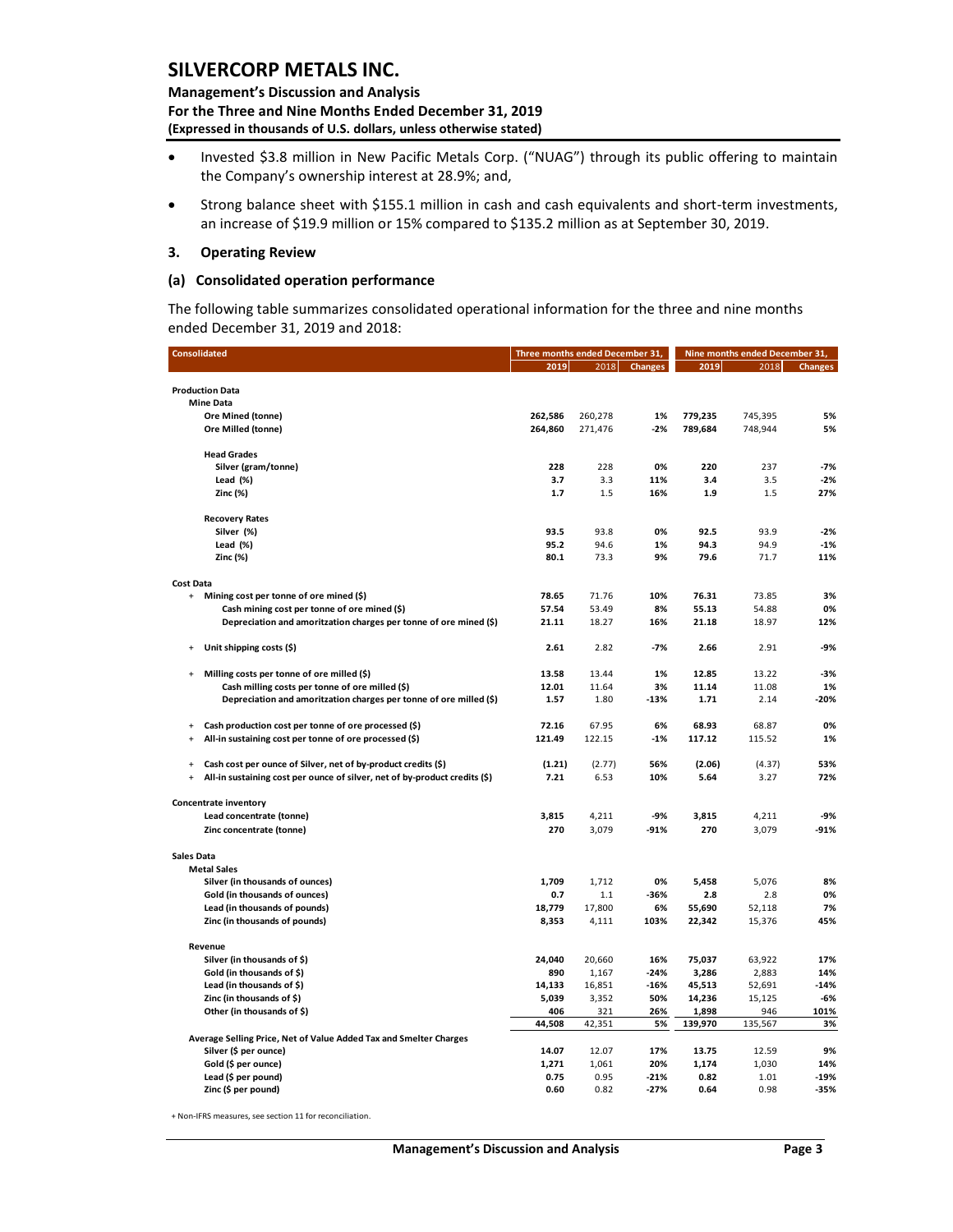**Management's Discussion and Analysis For the Three and Nine Months Ended December 31, 2019 (Expressed in thousands of U.S. dollars, unless otherwise stated)** 

- Invested \$3.8 million in New Pacific Metals Corp. ("NUAG") through its public offering to maintain the Company's ownership interest at 28.9%; and,
- Strong balance sheet with \$155.1 million in cash and cash equivalents and short-term investments, an increase of \$19.9 million or 15% compared to \$135.2 million as at September 30, 2019.

#### <span id="page-3-0"></span>**3. Operating Review**

#### **(a) Consolidated operation performance**

The following table summarizes consolidated operational information for the three and nine months ended December 31, 2019 and 2018:

|                                  | <b>Consolidated</b>                                                        | Three months ended December 31, |         |                | Nine months ended December 31, |         |                |  |
|----------------------------------|----------------------------------------------------------------------------|---------------------------------|---------|----------------|--------------------------------|---------|----------------|--|
|                                  |                                                                            | 2019                            | 2018    | <b>Changes</b> | 2019                           | 2018    | <b>Changes</b> |  |
|                                  |                                                                            |                                 |         |                |                                |         |                |  |
|                                  | <b>Production Data</b><br><b>Mine Data</b>                                 |                                 |         |                |                                |         |                |  |
|                                  | Ore Mined (tonne)                                                          | 262,586                         | 260,278 | 1%             | 779,235                        | 745,395 | 5%             |  |
|                                  | Ore Milled (tonne)                                                         | 264,860                         | 271,476 | $-2%$          | 789,684                        | 748,944 | 5%             |  |
|                                  |                                                                            |                                 |         |                |                                |         |                |  |
|                                  | <b>Head Grades</b>                                                         |                                 |         |                |                                |         |                |  |
|                                  | Silver (gram/tonne)                                                        | 228                             | 228     | 0%             | 220                            | 237     | $-7%$          |  |
|                                  | Lead $(\%)$                                                                | 3.7                             | 3.3     | 11%            | 3.4                            | 3.5     | $-2%$          |  |
|                                  | Zinc (%)                                                                   | 1.7                             | 1.5     | 16%            | 1.9                            | 1.5     | 27%            |  |
|                                  | <b>Recovery Rates</b>                                                      |                                 |         |                |                                |         |                |  |
|                                  | Silver (%)                                                                 | 93.5                            | 93.8    | 0%             | 92.5                           | 93.9    | $-2%$          |  |
|                                  | Lead $(*)$                                                                 | 95.2                            | 94.6    | 1%             | 94.3                           | 94.9    | $-1%$          |  |
|                                  | Zinc (%)                                                                   | 80.1                            | 73.3    | 9%             | 79.6                           | 71.7    | 11%            |  |
| <b>Cost Data</b>                 |                                                                            |                                 |         |                |                                |         |                |  |
| $+$                              | Mining cost per tonne of ore mined (\$)                                    | 78.65                           | 71.76   | 10%            | 76.31                          | 73.85   | 3%             |  |
|                                  | Cash mining cost per tonne of ore mined (\$)                               | 57.54                           | 53.49   | 8%             | 55.13                          | 54.88   | 0%             |  |
|                                  | Depreciation and amoritzation charges per tonne of ore mined (\$)          | 21.11                           | 18.27   | 16%            | 21.18                          | 18.97   | 12%            |  |
|                                  | Unit shipping costs (\$)                                                   | 2.61                            | 2.82    | $-7%$          | 2.66                           | 2.91    | $-9%$          |  |
| $\ddot{}$                        | Milling costs per tonne of ore milled (\$)                                 | 13.58                           | 13.44   | 1%             | 12.85                          | 13.22   | $-3%$          |  |
|                                  | Cash milling costs per tonne of ore milled (\$)                            | 12.01                           | 11.64   | 3%             | 11.14                          | 11.08   | 1%             |  |
|                                  | Depreciation and amoritzation charges per tonne of ore milled (\$)         | 1.57                            | 1.80    | $-13%$         | 1.71                           | 2.14    | $-20%$         |  |
| $\ddot{}$                        | Cash production cost per tonne of ore processed (\$)                       | 72.16                           | 67.95   | 6%             | 68.93                          | 68.87   | 0%             |  |
| $\ddot{}$                        | All-in sustaining cost per tonne of ore processed (\$)                     | 121.49                          | 122.15  | $-1%$          | 117.12                         | 115.52  | 1%             |  |
| $+$                              | Cash cost per ounce of Silver, net of by-product credits (\$)              | (1.21)                          | (2.77)  | 56%            | (2.06)                         | (4.37)  | 53%            |  |
| $\begin{array}{c} + \end{array}$ | All-in sustaining cost per ounce of silver, net of by-product credits (\$) | 7.21                            | 6.53    | 10%            | 5.64                           | 3.27    | 72%            |  |
|                                  | <b>Concentrate inventory</b>                                               |                                 |         |                |                                |         |                |  |
|                                  | Lead concentrate (tonne)                                                   | 3,815                           | 4,211   | -9%            | 3,815                          | 4,211   | $-9%$          |  |
|                                  | Zinc concentrate (tonne)                                                   | 270                             | 3,079   | $-91%$         | 270                            | 3,079   | $-91%$         |  |
| Sales Data                       |                                                                            |                                 |         |                |                                |         |                |  |
|                                  | <b>Metal Sales</b>                                                         |                                 |         |                |                                |         |                |  |
|                                  | Silver (in thousands of ounces)                                            | 1,709                           | 1,712   | 0%             | 5,458                          | 5,076   | 8%             |  |
|                                  | Gold (in thousands of ounces)                                              | 0.7                             | 1.1     | $-36%$         | 2.8                            | 2.8     | 0%             |  |
|                                  | Lead (in thousands of pounds)                                              | 18,779                          | 17,800  | 6%             | 55,690                         | 52,118  | 7%             |  |
|                                  | Zinc (in thousands of pounds)                                              | 8,353                           | 4,111   | 103%           | 22,342                         | 15,376  | 45%            |  |
|                                  | Revenue                                                                    |                                 |         |                |                                |         |                |  |
|                                  | Silver (in thousands of \$)                                                | 24,040                          | 20,660  | 16%            | 75,037                         | 63,922  | 17%            |  |
|                                  | Gold (in thousands of \$)                                                  | 890                             | 1,167   | $-24%$         | 3,286                          | 2,883   | 14%            |  |
|                                  | Lead (in thousands of \$)                                                  | 14,133                          | 16,851  | $-16%$         | 45,513                         | 52,691  | $-14%$         |  |
|                                  | Zinc (in thousands of \$)                                                  | 5,039                           | 3,352   | 50%            | 14,236                         | 15,125  | $-6%$          |  |
|                                  | Other (in thousands of \$)                                                 | 406                             | 321     | 26%            | 1,898                          | 946     | 101%           |  |
|                                  | Average Selling Price, Net of Value Added Tax and Smelter Charges          | 44,508                          | 42,351  | 5%             | 139,970                        | 135,567 | 3%             |  |
|                                  | Silver (\$ per ounce)                                                      | 14.07                           | 12.07   | 17%            | 13.75                          | 12.59   | 9%             |  |
|                                  | Gold (\$ per ounce)                                                        | 1,271                           | 1,061   | 20%            | 1,174                          | 1,030   | 14%            |  |
|                                  | Lead (\$ per pound)                                                        | 0.75                            | 0.95    | $-21%$         | 0.82                           | 1.01    | $-19%$         |  |
|                                  | Zinc (\$ per pound)                                                        | 0.60                            | 0.82    | $-27%$         | 0.64                           | 0.98    | $-35%$         |  |

+ Non-IFRS measures, see section 11 for reconciliation.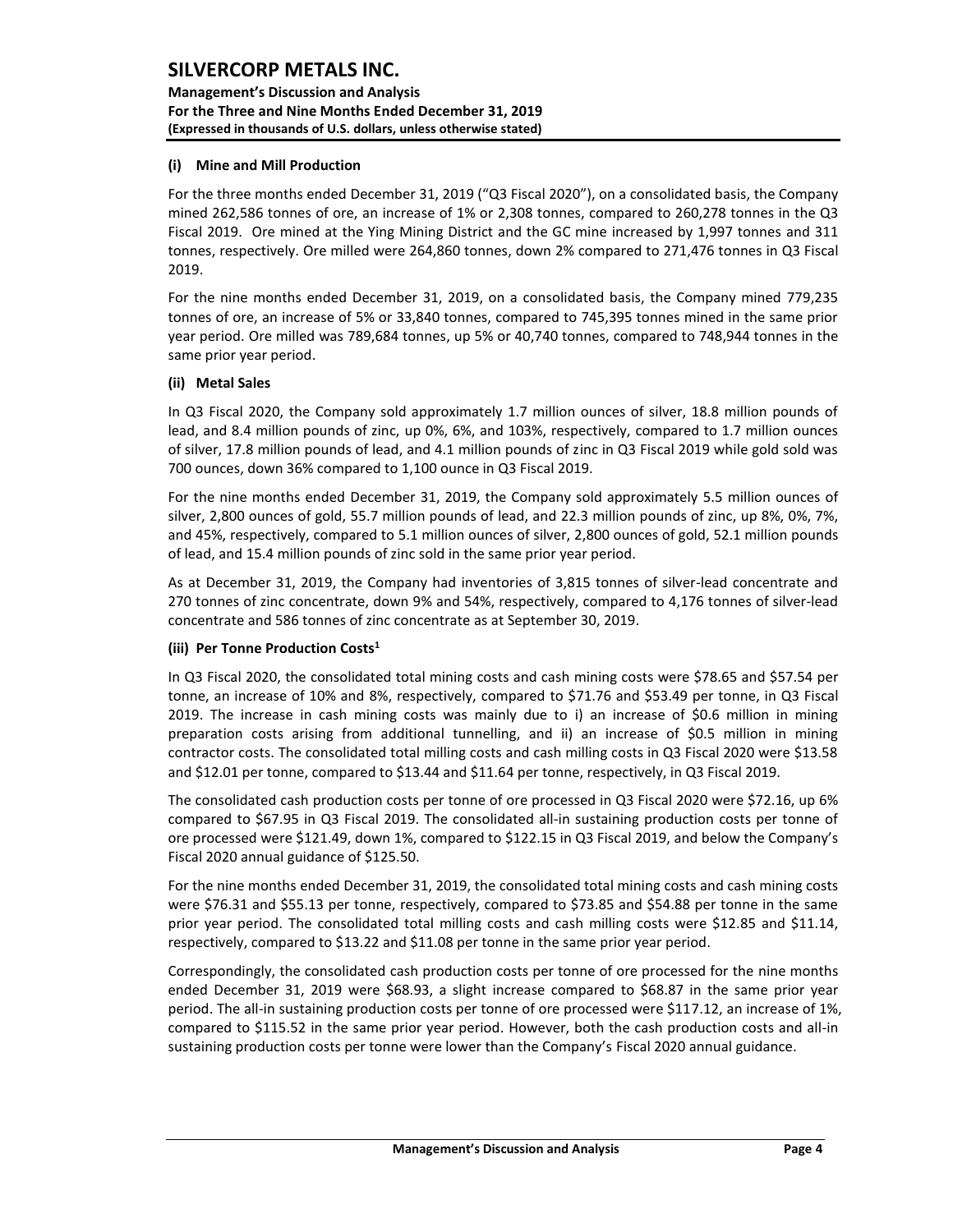**Management's Discussion and Analysis For the Three and Nine Months Ended December 31, 2019 (Expressed in thousands of U.S. dollars, unless otherwise stated)** 

### **(i) Mine and Mill Production**

For the three months ended December 31, 2019 ("Q3 Fiscal 2020"), on a consolidated basis, the Company mined 262,586 tonnes of ore, an increase of 1% or 2,308 tonnes, compared to 260,278 tonnes in the Q3 Fiscal 2019. Ore mined at the Ying Mining District and the GC mine increased by 1,997 tonnes and 311 tonnes, respectively. Ore milled were 264,860 tonnes, down 2% compared to 271,476 tonnes in Q3 Fiscal 2019.

For the nine months ended December 31, 2019, on a consolidated basis, the Company mined 779,235 tonnes of ore, an increase of 5% or 33,840 tonnes, compared to 745,395 tonnes mined in the same prior year period. Ore milled was 789,684 tonnes, up 5% or 40,740 tonnes, compared to 748,944 tonnes in the same prior year period.

#### **(ii) Metal Sales**

In Q3 Fiscal 2020, the Company sold approximately 1.7 million ounces of silver, 18.8 million pounds of lead, and 8.4 million pounds of zinc, up 0%, 6%, and 103%, respectively, compared to 1.7 million ounces of silver, 17.8 million pounds of lead, and 4.1 million pounds of zinc in Q3 Fiscal 2019 while gold sold was 700 ounces, down 36% compared to 1,100 ounce in Q3 Fiscal 2019.

For the nine months ended December 31, 2019, the Company sold approximately 5.5 million ounces of silver, 2,800 ounces of gold, 55.7 million pounds of lead, and 22.3 million pounds of zinc, up 8%, 0%, 7%, and 45%, respectively, compared to 5.1 million ounces of silver, 2,800 ounces of gold, 52.1 million pounds of lead, and 15.4 million pounds of zinc sold in the same prior year period.

As at December 31, 2019, the Company had inventories of 3,815 tonnes of silver-lead concentrate and 270 tonnes of zinc concentrate, down 9% and 54%, respectively, compared to 4,176 tonnes of silver-lead concentrate and 586 tonnes of zinc concentrate as at September 30, 2019.

#### **(iii) Per Tonne Production Costs<sup>1</sup>**

In Q3 Fiscal 2020, the consolidated total mining costs and cash mining costs were \$78.65 and \$57.54 per tonne, an increase of 10% and 8%, respectively, compared to \$71.76 and \$53.49 per tonne, in Q3 Fiscal 2019. The increase in cash mining costs was mainly due to i) an increase of \$0.6 million in mining preparation costs arising from additional tunnelling, and ii) an increase of \$0.5 million in mining contractor costs. The consolidated total milling costs and cash milling costs in Q3 Fiscal 2020 were \$13.58 and \$12.01 per tonne, compared to \$13.44 and \$11.64 per tonne, respectively, in Q3 Fiscal 2019.

The consolidated cash production costs per tonne of ore processed in Q3 Fiscal 2020 were \$72.16, up 6% compared to \$67.95 in Q3 Fiscal 2019. The consolidated all-in sustaining production costs per tonne of ore processed were \$121.49, down 1%, compared to \$122.15 in Q3 Fiscal 2019, and below the Company's Fiscal 2020 annual guidance of \$125.50.

For the nine months ended December 31, 2019, the consolidated total mining costs and cash mining costs were \$76.31 and \$55.13 per tonne, respectively, compared to \$73.85 and \$54.88 per tonne in the same prior year period. The consolidated total milling costs and cash milling costs were \$12.85 and \$11.14, respectively, compared to \$13.22 and \$11.08 per tonne in the same prior year period.

Correspondingly, the consolidated cash production costs per tonne of ore processed for the nine months ended December 31, 2019 were \$68.93, a slight increase compared to \$68.87 in the same prior year period. The all-in sustaining production costs per tonne of ore processed were \$117.12, an increase of 1%, compared to \$115.52 in the same prior year period. However, both the cash production costs and all-in sustaining production costs per tonne were lower than the Company's Fiscal 2020 annual guidance.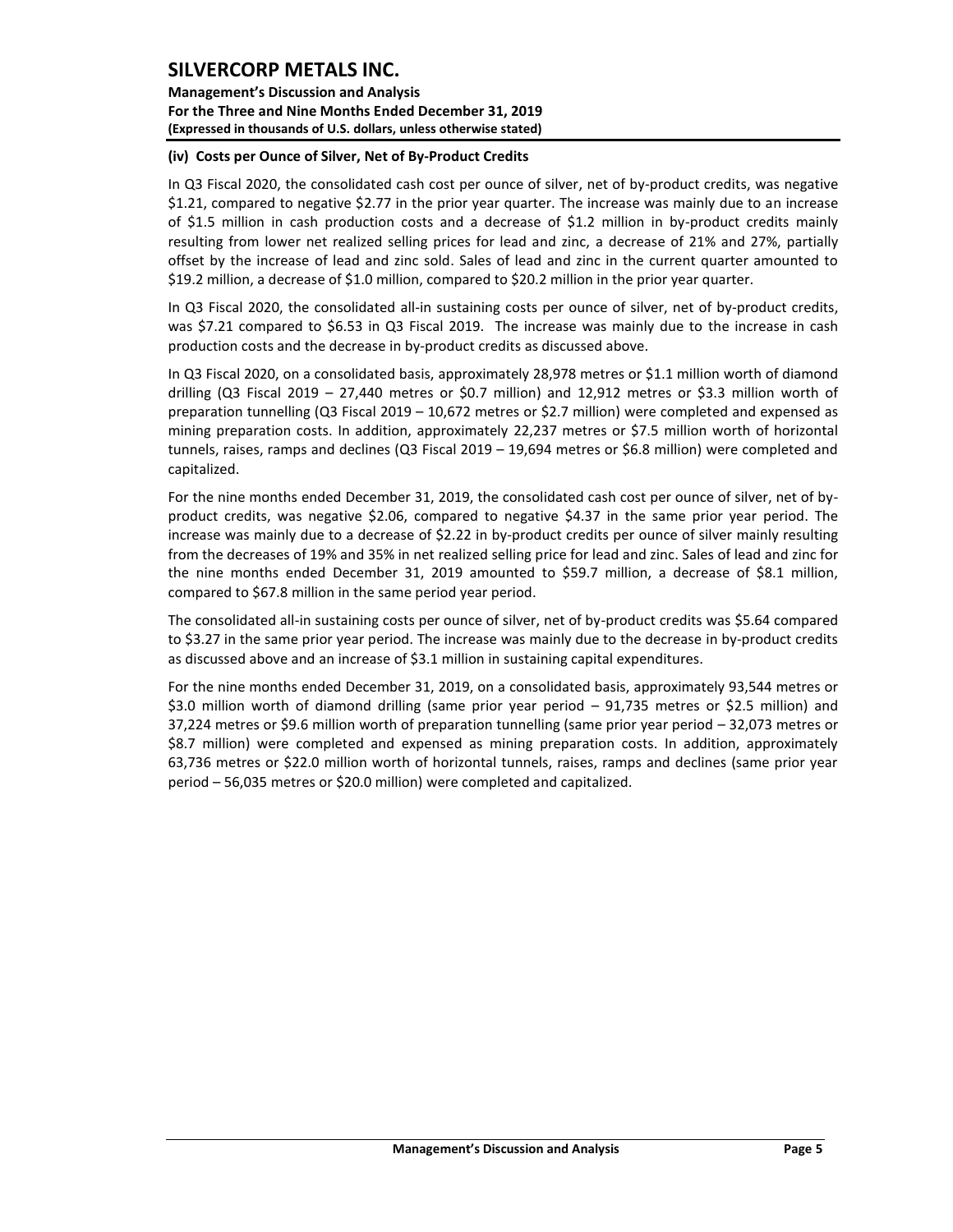**Management's Discussion and Analysis For the Three and Nine Months Ended December 31, 2019 (Expressed in thousands of U.S. dollars, unless otherwise stated)** 

### **(iv) Costs per Ounce of Silver, Net of By-Product Credits**

In Q3 Fiscal 2020, the consolidated cash cost per ounce of silver, net of by-product credits, was negative \$1.21, compared to negative \$2.77 in the prior year quarter. The increase was mainly due to an increase of \$1.5 million in cash production costs and a decrease of \$1.2 million in by-product credits mainly resulting from lower net realized selling prices for lead and zinc, a decrease of 21% and 27%, partially offset by the increase of lead and zinc sold. Sales of lead and zinc in the current quarter amounted to \$19.2 million, a decrease of \$1.0 million, compared to \$20.2 million in the prior year quarter.

In Q3 Fiscal 2020, the consolidated all-in sustaining costs per ounce of silver, net of by-product credits, was \$7.21 compared to \$6.53 in Q3 Fiscal 2019. The increase was mainly due to the increase in cash production costs and the decrease in by-product credits as discussed above.

In Q3 Fiscal 2020, on a consolidated basis, approximately 28,978 metres or \$1.1 million worth of diamond drilling (Q3 Fiscal 2019 – 27,440 metres or \$0.7 million) and 12,912 metres or \$3.3 million worth of preparation tunnelling (Q3 Fiscal 2019 – 10,672 metres or \$2.7 million) were completed and expensed as mining preparation costs. In addition, approximately 22,237 metres or \$7.5 million worth of horizontal tunnels, raises, ramps and declines (Q3 Fiscal 2019 – 19,694 metres or \$6.8 million) were completed and capitalized.

For the nine months ended December 31, 2019, the consolidated cash cost per ounce of silver, net of byproduct credits, was negative \$2.06, compared to negative \$4.37 in the same prior year period. The increase was mainly due to a decrease of \$2.22 in by-product credits per ounce of silver mainly resulting from the decreases of 19% and 35% in net realized selling price for lead and zinc. Sales of lead and zinc for the nine months ended December 31, 2019 amounted to \$59.7 million, a decrease of \$8.1 million, compared to \$67.8 million in the same period year period.

The consolidated all-in sustaining costs per ounce of silver, net of by-product credits was \$5.64 compared to \$3.27 in the same prior year period. The increase was mainly due to the decrease in by-product credits as discussed above and an increase of \$3.1 million in sustaining capital expenditures.

For the nine months ended December 31, 2019, on a consolidated basis, approximately 93,544 metres or \$3.0 million worth of diamond drilling (same prior year period – 91,735 metres or \$2.5 million) and 37,224 metres or \$9.6 million worth of preparation tunnelling (same prior year period – 32,073 metres or \$8.7 million) were completed and expensed as mining preparation costs. In addition, approximately 63,736 metres or \$22.0 million worth of horizontal tunnels, raises, ramps and declines (same prior year period – 56,035 metres or \$20.0 million) were completed and capitalized.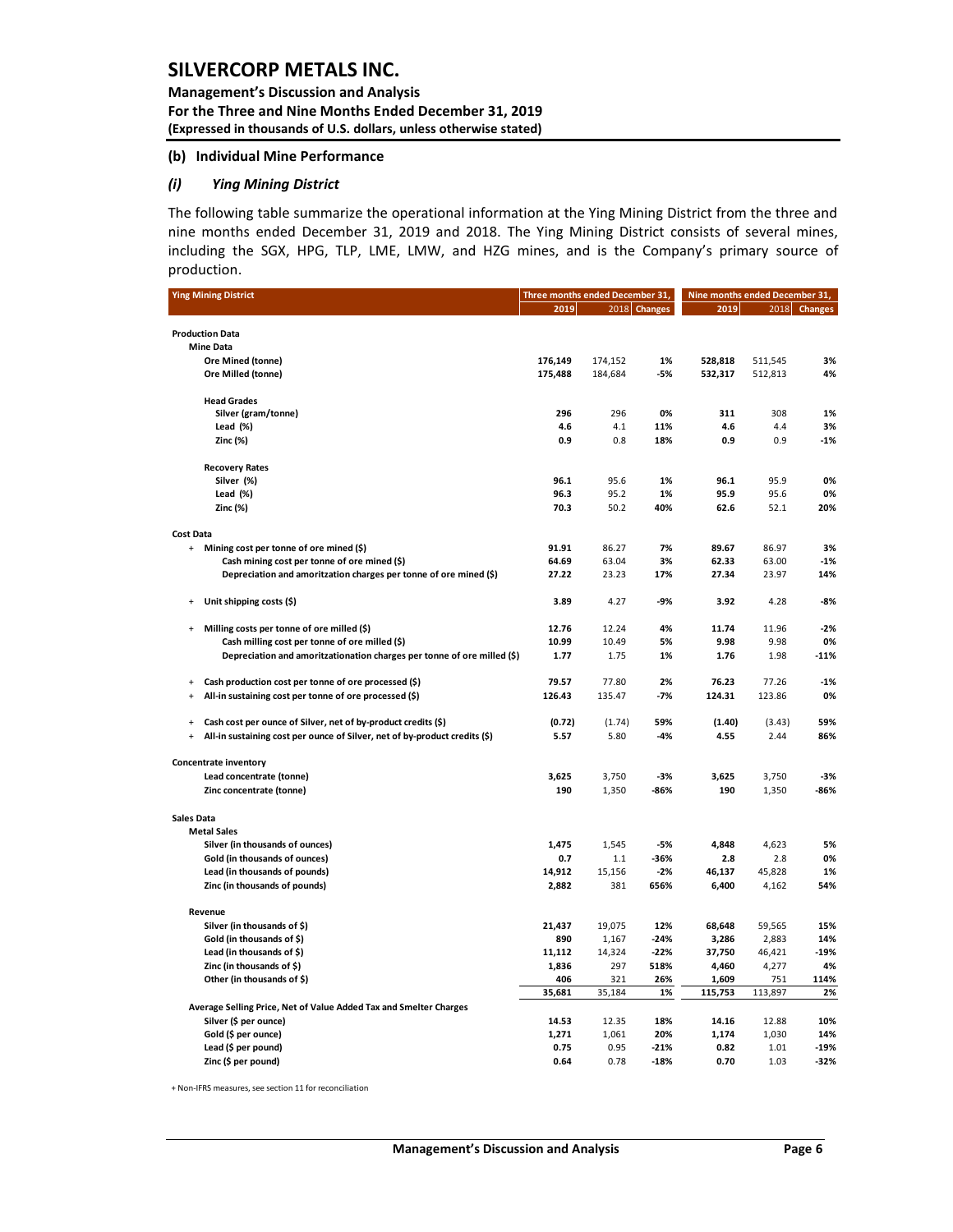**Management's Discussion and Analysis For the Three and Nine Months Ended December 31, 2019 (Expressed in thousands of U.S. dollars, unless otherwise stated)** 

#### **(b) Individual Mine Performance**

#### *(i) Ying Mining District*

The following table summarize the operational information at the Ying Mining District from the three and nine months ended December 31, 2019 and 2018. The Ying Mining District consists of several mines, including the SGX, HPG, TLP, LME, LMW, and HZG mines, and is the Company's primary source of production.

|                         | <b>Ying Mining District</b>                                                | Three months ended December 31, |                    |                  | Nine months ended December 31, |                    |                  |  |
|-------------------------|----------------------------------------------------------------------------|---------------------------------|--------------------|------------------|--------------------------------|--------------------|------------------|--|
|                         |                                                                            | 2019                            |                    | 2018 Changes     | 2019                           | 2018               | <b>Changes</b>   |  |
|                         |                                                                            |                                 |                    |                  |                                |                    |                  |  |
|                         | <b>Production Data</b>                                                     |                                 |                    |                  |                                |                    |                  |  |
|                         | <b>Mine Data</b>                                                           |                                 |                    |                  |                                |                    |                  |  |
|                         | Ore Mined (tonne)<br>Ore Milled (tonne)                                    | 176,149<br>175,488              | 174,152<br>184,684 | 1%<br>-5%        | 528,818                        | 511,545<br>512,813 | 3%<br>4%         |  |
|                         |                                                                            |                                 |                    |                  | 532,317                        |                    |                  |  |
|                         | <b>Head Grades</b>                                                         |                                 |                    |                  |                                |                    |                  |  |
|                         | Silver (gram/tonne)                                                        | 296                             | 296                | 0%               | 311                            | 308                | 1%               |  |
|                         | Lead $(% )$                                                                | 4.6                             | 4.1                | 11%              | 4.6                            | 4.4                | 3%               |  |
|                         | Zinc $(%)$                                                                 | 0.9                             | 0.8                | 18%              | 0.9                            | 0.9                | $-1%$            |  |
|                         | <b>Recovery Rates</b>                                                      |                                 |                    |                  |                                |                    |                  |  |
|                         | Silver (%)                                                                 | 96.1                            | 95.6               | 1%               | 96.1                           | 95.9               | 0%               |  |
|                         | Lead $(% )$                                                                | 96.3                            | 95.2               | 1%               | 95.9                           | 95.6               | 0%               |  |
|                         | Zinc(%)                                                                    | 70.3                            | 50.2               | 40%              | 62.6                           | 52.1               | 20%              |  |
|                         |                                                                            |                                 |                    |                  |                                |                    |                  |  |
| <b>Cost Data</b><br>$+$ | Mining cost per tonne of ore mined (\$)                                    | 91.91                           | 86.27              | 7%               | 89.67                          | 86.97              | 3%               |  |
|                         | Cash mining cost per tonne of ore mined (\$)                               | 64.69                           | 63.04              | 3%               | 62.33                          | 63.00              | $-1%$            |  |
|                         | Depreciation and amoritzation charges per tonne of ore mined (\$)          | 27.22                           | 23.23              | 17%              | 27.34                          | 23.97              | 14%              |  |
|                         |                                                                            |                                 |                    |                  |                                |                    |                  |  |
| $\ddot{}$               | Unit shipping costs (\$)                                                   | 3.89                            | 4.27               | -9%              | 3.92                           | 4.28               | $-8%$            |  |
| $\ddot{}$               | Milling costs per tonne of ore milled (\$)                                 | 12.76                           | 12.24              | 4%               | 11.74                          | 11.96              | $-2%$            |  |
|                         | Cash milling cost per tonne of ore milled (\$)                             | 10.99                           | 10.49              | 5%               | 9.98                           | 9.98               | 0%               |  |
|                         | Depreciation and amoritzationation charges per tonne of ore milled (\$)    | 1.77                            | 1.75               | 1%               | 1.76                           | 1.98               | $-11%$           |  |
|                         |                                                                            |                                 |                    |                  |                                |                    |                  |  |
| $\ddot{}$               | Cash production cost per tonne of ore processed (\$)                       | 79.57                           | 77.80              | 2%               | 76.23                          | 77.26              | $-1%$            |  |
| $\ddot{}$               | All-in sustaining cost per tonne of ore processed (\$)                     | 126.43                          | 135.47             | $-7%$            | 124.31                         | 123.86             | 0%               |  |
| $\ddot{}$               | Cash cost per ounce of Silver, net of by-product credits (\$)              | (0.72)                          | (1.74)             | 59%              | (1.40)                         | (3.43)             | 59%              |  |
| $\ddot{}$               | All-in sustaining cost per ounce of Silver, net of by-product credits (\$) | 5.57                            | 5.80               | $-4%$            | 4.55                           | 2.44               | 86%              |  |
|                         |                                                                            |                                 |                    |                  |                                |                    |                  |  |
|                         | <b>Concentrate inventory</b>                                               |                                 |                    |                  |                                |                    |                  |  |
|                         | Lead concentrate (tonne)                                                   | 3,625                           | 3,750              | $-3%$            | 3,625                          | 3,750              | $-3%$            |  |
|                         | Zinc concentrate (tonne)                                                   | 190                             | 1,350              | -86%             | 190                            | 1,350              | -86%             |  |
| <b>Sales Data</b>       |                                                                            |                                 |                    |                  |                                |                    |                  |  |
|                         | <b>Metal Sales</b>                                                         |                                 |                    |                  |                                |                    |                  |  |
|                         | Silver (in thousands of ounces)                                            | 1,475                           | 1,545              | -5%              | 4,848                          | 4,623              | 5%               |  |
|                         | Gold (in thousands of ounces)                                              | 0.7                             | 1.1                | -36%             | 2.8                            | 2.8                | 0%               |  |
|                         | Lead (in thousands of pounds)                                              | 14,912                          | 15,156             | $-2%$            | 46,137                         | 45,828             | 1%               |  |
|                         | Zinc (in thousands of pounds)                                              | 2,882                           | 381                | 656%             | 6,400                          | 4,162              | 54%              |  |
|                         | Revenue                                                                    |                                 |                    |                  |                                |                    |                  |  |
|                         | Silver (in thousands of \$)                                                | 21,437                          | 19,075             | 12%              | 68,648                         | 59,565             | 15%              |  |
|                         | Gold (in thousands of \$)                                                  | 890                             | 1,167              | $-24%$           | 3,286                          | 2,883              | 14%              |  |
|                         | Lead (in thousands of \$)                                                  | 11,112                          | 14,324             | $-22%$           | 37,750                         | 46,421             | $-19%$           |  |
|                         | Zinc (in thousands of $\zeta$ )                                            | 1,836                           | 297                | 518%             | 4,460                          | 4,277              | 4%               |  |
|                         | Other (in thousands of \$)                                                 | 406                             | 321                | 26%              | 1,609                          | 751                | 114%             |  |
|                         |                                                                            | 35,681                          | 35,184             | 1%               | 115,753                        | 113,897            | 2%               |  |
|                         | Average Selling Price, Net of Value Added Tax and Smelter Charges          |                                 |                    |                  |                                |                    |                  |  |
|                         | Silver (\$ per ounce)                                                      | 14.53                           | 12.35              | 18%              | 14.16                          | 12.88              | 10%              |  |
|                         | Gold (\$ per ounce)                                                        | 1,271                           | 1,061              | 20%              | 1,174                          | 1,030              | 14%              |  |
|                         | Lead (\$ per pound)                                                        | 0.75<br>0.64                    | 0.95<br>0.78       | $-21%$<br>$-18%$ | 0.82<br>0.70                   | 1.01<br>1.03       | $-19%$<br>$-32%$ |  |
|                         | Zinc (\$ per pound)                                                        |                                 |                    |                  |                                |                    |                  |  |

+ Non-IFRS measures, see section 11 for reconciliation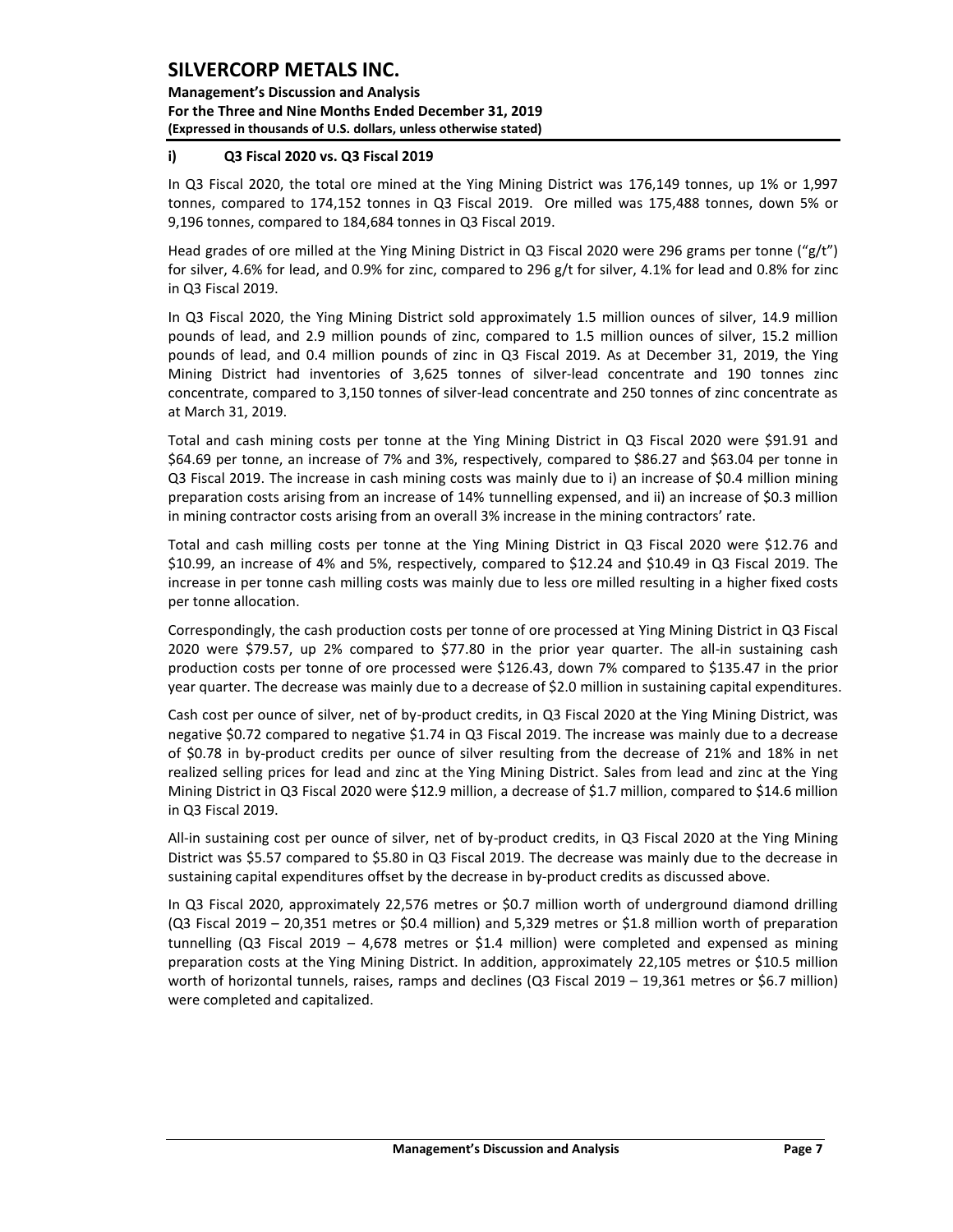**Management's Discussion and Analysis For the Three and Nine Months Ended December 31, 2019 (Expressed in thousands of U.S. dollars, unless otherwise stated)** 

### **i) Q3 Fiscal 2020 vs. Q3 Fiscal 2019**

In Q3 Fiscal 2020, the total ore mined at the Ying Mining District was 176,149 tonnes, up 1% or 1,997 tonnes, compared to 174,152 tonnes in Q3 Fiscal 2019. Ore milled was 175,488 tonnes, down 5% or 9,196 tonnes, compared to 184,684 tonnes in Q3 Fiscal 2019.

Head grades of ore milled at the Ying Mining District in Q3 Fiscal 2020 were 296 grams per tonne ("g/t") for silver, 4.6% for lead, and 0.9% for zinc, compared to 296 g/t for silver, 4.1% for lead and 0.8% for zinc in Q3 Fiscal 2019.

In Q3 Fiscal 2020, the Ying Mining District sold approximately 1.5 million ounces of silver, 14.9 million pounds of lead, and 2.9 million pounds of zinc, compared to 1.5 million ounces of silver, 15.2 million pounds of lead, and 0.4 million pounds of zinc in Q3 Fiscal 2019. As at December 31, 2019, the Ying Mining District had inventories of 3,625 tonnes of silver-lead concentrate and 190 tonnes zinc concentrate, compared to 3,150 tonnes of silver-lead concentrate and 250 tonnes of zinc concentrate as at March 31, 2019.

Total and cash mining costs per tonne at the Ying Mining District in Q3 Fiscal 2020 were \$91.91 and \$64.69 per tonne, an increase of 7% and 3%, respectively, compared to \$86.27 and \$63.04 per tonne in Q3 Fiscal 2019. The increase in cash mining costs was mainly due to i) an increase of \$0.4 million mining preparation costs arising from an increase of 14% tunnelling expensed, and ii) an increase of \$0.3 million in mining contractor costs arising from an overall 3% increase in the mining contractors' rate.

Total and cash milling costs per tonne at the Ying Mining District in Q3 Fiscal 2020 were \$12.76 and \$10.99, an increase of 4% and 5%, respectively, compared to \$12.24 and \$10.49 in Q3 Fiscal 2019. The increase in per tonne cash milling costs was mainly due to less ore milled resulting in a higher fixed costs per tonne allocation.

Correspondingly, the cash production costs per tonne of ore processed at Ying Mining District in Q3 Fiscal 2020 were \$79.57, up 2% compared to \$77.80 in the prior year quarter. The all-in sustaining cash production costs per tonne of ore processed were \$126.43, down 7% compared to \$135.47 in the prior year quarter. The decrease was mainly due to a decrease of \$2.0 million in sustaining capital expenditures.

Cash cost per ounce of silver, net of by-product credits, in Q3 Fiscal 2020 at the Ying Mining District, was negative \$0.72 compared to negative \$1.74 in Q3 Fiscal 2019. The increase was mainly due to a decrease of \$0.78 in by-product credits per ounce of silver resulting from the decrease of 21% and 18% in net realized selling prices for lead and zinc at the Ying Mining District. Sales from lead and zinc at the Ying Mining District in Q3 Fiscal 2020 were \$12.9 million, a decrease of \$1.7 million, compared to \$14.6 million in Q3 Fiscal 2019.

All-in sustaining cost per ounce of silver, net of by-product credits, in Q3 Fiscal 2020 at the Ying Mining District was \$5.57 compared to \$5.80 in Q3 Fiscal 2019. The decrease was mainly due to the decrease in sustaining capital expenditures offset by the decrease in by-product credits as discussed above.

In Q3 Fiscal 2020, approximately 22,576 metres or \$0.7 million worth of underground diamond drilling (Q3 Fiscal 2019 – 20,351 metres or \$0.4 million) and 5,329 metres or \$1.8 million worth of preparation tunnelling (Q3 Fiscal 2019 – 4,678 metres or \$1.4 million) were completed and expensed as mining preparation costs at the Ying Mining District. In addition, approximately 22,105 metres or \$10.5 million worth of horizontal tunnels, raises, ramps and declines (Q3 Fiscal 2019 – 19,361 metres or \$6.7 million) were completed and capitalized.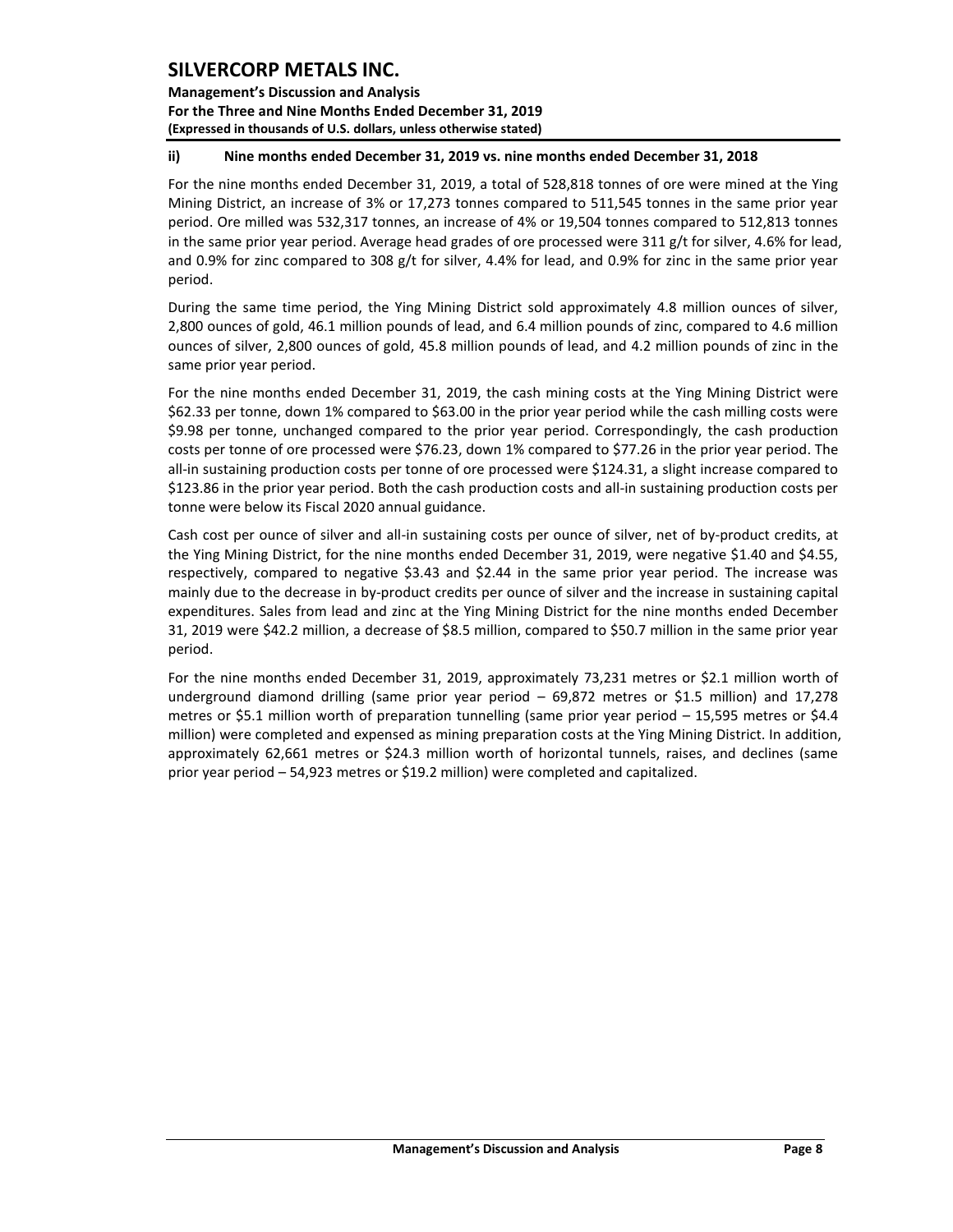**Management's Discussion and Analysis For the Three and Nine Months Ended December 31, 2019 (Expressed in thousands of U.S. dollars, unless otherwise stated)** 

### **ii) Nine months ended December 31, 2019 vs. nine months ended December 31, 2018**

For the nine months ended December 31, 2019, a total of 528,818 tonnes of ore were mined at the Ying Mining District, an increase of 3% or 17,273 tonnes compared to 511,545 tonnes in the same prior year period. Ore milled was 532,317 tonnes, an increase of 4% or 19,504 tonnes compared to 512,813 tonnes in the same prior year period. Average head grades of ore processed were 311 g/t for silver, 4.6% for lead, and 0.9% for zinc compared to 308 g/t for silver, 4.4% for lead, and 0.9% for zinc in the same prior year period.

During the same time period, the Ying Mining District sold approximately 4.8 million ounces of silver, 2,800 ounces of gold, 46.1 million pounds of lead, and 6.4 million pounds of zinc, compared to 4.6 million ounces of silver, 2,800 ounces of gold, 45.8 million pounds of lead, and 4.2 million pounds of zinc in the same prior year period.

For the nine months ended December 31, 2019, the cash mining costs at the Ying Mining District were \$62.33 per tonne, down 1% compared to \$63.00 in the prior year period while the cash milling costs were \$9.98 per tonne, unchanged compared to the prior year period. Correspondingly, the cash production costs per tonne of ore processed were \$76.23, down 1% compared to \$77.26 in the prior year period. The all-in sustaining production costs per tonne of ore processed were \$124.31, a slight increase compared to \$123.86 in the prior year period. Both the cash production costs and all-in sustaining production costs per tonne were below its Fiscal 2020 annual guidance.

Cash cost per ounce of silver and all-in sustaining costs per ounce of silver, net of by-product credits, at the Ying Mining District, for the nine months ended December 31, 2019, were negative \$1.40 and \$4.55, respectively, compared to negative \$3.43 and \$2.44 in the same prior year period. The increase was mainly due to the decrease in by-product credits per ounce of silver and the increase in sustaining capital expenditures. Sales from lead and zinc at the Ying Mining District for the nine months ended December 31, 2019 were \$42.2 million, a decrease of \$8.5 million, compared to \$50.7 million in the same prior year period.

For the nine months ended December 31, 2019, approximately 73,231 metres or \$2.1 million worth of underground diamond drilling (same prior year period – 69,872 metres or \$1.5 million) and 17,278 metres or \$5.1 million worth of preparation tunnelling (same prior year period – 15,595 metres or \$4.4 million) were completed and expensed as mining preparation costs at the Ying Mining District. In addition, approximately 62,661 metres or \$24.3 million worth of horizontal tunnels, raises, and declines (same prior year period – 54,923 metres or \$19.2 million) were completed and capitalized.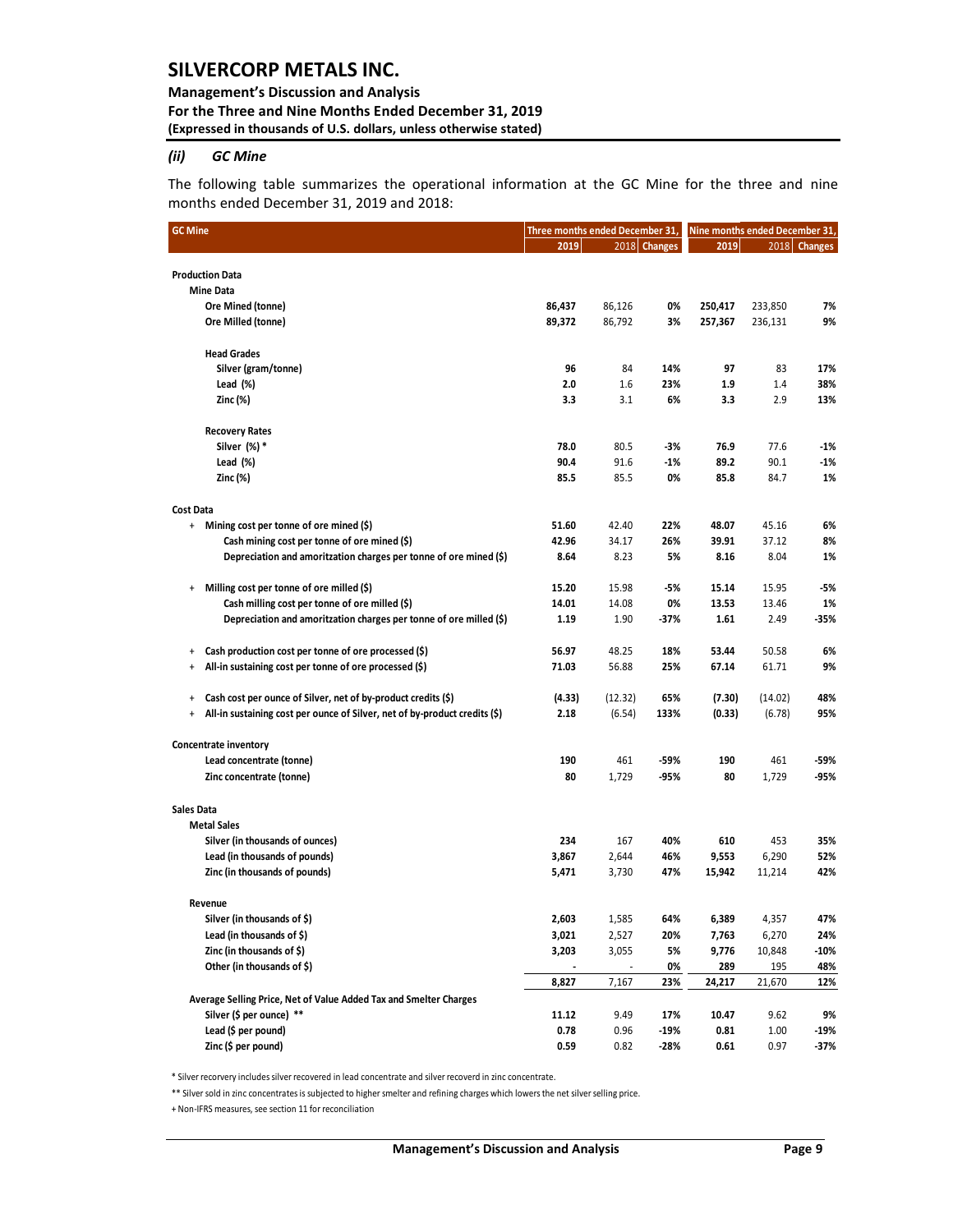#### **Management's Discussion and Analysis For the Three and Nine Months Ended December 31, 2019 (Expressed in thousands of U.S. dollars, unless otherwise stated)**

#### *(ii) GC Mine*

The following table summarizes the operational information at the GC Mine for the three and nine months ended December 31, 2019 and 2018:

| <b>GC Mine</b>    |                                                                            | Three months ended December 31, |         |              | Nine months ended December 31, |         |              |  |
|-------------------|----------------------------------------------------------------------------|---------------------------------|---------|--------------|--------------------------------|---------|--------------|--|
|                   |                                                                            | 2019                            |         | 2018 Changes | 2019                           |         | 2018 Changes |  |
|                   |                                                                            |                                 |         |              |                                |         |              |  |
|                   | <b>Production Data</b>                                                     |                                 |         |              |                                |         |              |  |
|                   | <b>Mine Data</b>                                                           |                                 |         |              |                                |         |              |  |
|                   | Ore Mined (tonne)                                                          | 86,437                          | 86,126  | 0%           | 250,417                        | 233,850 | 7%           |  |
|                   | Ore Milled (tonne)                                                         | 89,372                          | 86,792  | 3%           | 257,367                        | 236,131 | 9%           |  |
|                   | <b>Head Grades</b>                                                         |                                 |         |              |                                |         |              |  |
|                   | Silver (gram/tonne)                                                        | 96                              | 84      | 14%          | 97                             | 83      | 17%          |  |
|                   | Lead (%)                                                                   | 2.0                             | 1.6     | 23%          | 1.9                            | 1.4     | 38%          |  |
|                   | Zinc (%)                                                                   | 3.3                             | 3.1     | 6%           | 3.3                            | 2.9     | 13%          |  |
|                   | <b>Recovery Rates</b>                                                      |                                 |         |              |                                |         |              |  |
|                   | Silver (%) *                                                               | 78.0                            | 80.5    | -3%          | 76.9                           | 77.6    | $-1%$        |  |
|                   | Lead (%)                                                                   | 90.4                            | 91.6    | $-1%$        | 89.2                           | 90.1    | -1%          |  |
|                   | Zinc (%)                                                                   | 85.5                            | 85.5    | 0%           | 85.8                           | 84.7    | 1%           |  |
|                   |                                                                            |                                 |         |              |                                |         |              |  |
| <b>Cost Data</b>  | + Mining cost per tonne of ore mined (\$)                                  | 51.60                           | 42.40   | 22%          | 48.07                          | 45.16   | 6%           |  |
|                   | Cash mining cost per tonne of ore mined (\$)                               | 42.96                           | 34.17   | 26%          | 39.91                          | 37.12   | 8%           |  |
|                   | Depreciation and amoritzation charges per tonne of ore mined (\$)          | 8.64                            | 8.23    | 5%           | 8.16                           | 8.04    | 1%           |  |
|                   |                                                                            |                                 |         |              |                                |         |              |  |
| $\ddot{}$         | Milling cost per tonne of ore milled (\$)                                  | 15.20                           | 15.98   | -5%          | 15.14                          | 15.95   | -5%          |  |
|                   | Cash milling cost per tonne of ore milled (\$)                             | 14.01                           | 14.08   | 0%           | 13.53                          | 13.46   | 1%           |  |
|                   | Depreciation and amoritzation charges per tonne of ore milled (\$)         | 1.19                            | 1.90    | -37%         | 1.61                           | 2.49    | -35%         |  |
| $\ddot{}$         | Cash production cost per tonne of ore processed (\$)                       | 56.97                           | 48.25   | 18%          | 53.44                          | 50.58   | 6%           |  |
| $\ddot{}$         | All-in sustaining cost per tonne of ore processed (\$)                     | 71.03                           | 56.88   | 25%          | 67.14                          | 61.71   | 9%           |  |
| $\ddot{}$         | Cash cost per ounce of Silver, net of by-product credits (\$)              | (4.33)                          | (12.32) | 65%          | (7.30)                         | (14.02) | 48%          |  |
| $\ddot{}$         | All-in sustaining cost per ounce of Silver, net of by-product credits (\$) | 2.18                            | (6.54)  | 133%         | (0.33)                         | (6.78)  | 95%          |  |
|                   | Concentrate inventory                                                      |                                 |         |              |                                |         |              |  |
|                   | Lead concentrate (tonne)                                                   | 190                             | 461     | -59%         | 190                            | 461     | -59%         |  |
|                   | Zinc concentrate (tonne)                                                   | 80                              | 1,729   | -95%         | 80                             | 1,729   | -95%         |  |
|                   |                                                                            |                                 |         |              |                                |         |              |  |
| <b>Sales Data</b> |                                                                            |                                 |         |              |                                |         |              |  |
|                   | <b>Metal Sales</b>                                                         |                                 |         |              |                                |         |              |  |
|                   | Silver (in thousands of ounces)                                            | 234                             | 167     | 40%          | 610                            | 453     | 35%          |  |
|                   | Lead (in thousands of pounds)                                              | 3,867                           | 2,644   | 46%          | 9,553                          | 6,290   | 52%          |  |
|                   | Zinc (in thousands of pounds)                                              | 5,471                           | 3,730   | 47%          | 15,942                         | 11,214  | 42%          |  |
|                   | Revenue                                                                    |                                 |         |              |                                |         |              |  |
|                   | Silver (in thousands of \$)                                                | 2,603                           | 1,585   | 64%          | 6,389                          | 4,357   | 47%          |  |
|                   | Lead (in thousands of $\zeta$ )                                            | 3,021                           | 2,527   | 20%          | 7,763                          | 6,270   | 24%          |  |
|                   | Zinc (in thousands of \$)                                                  | 3,203                           | 3,055   | 5%           | 9,776                          | 10,848  | $-10%$       |  |
|                   | Other (in thousands of \$)                                                 |                                 |         | 0%           | 289                            | 195     | 48%          |  |
|                   |                                                                            | 8,827                           | 7,167   | 23%          | 24,217                         | 21,670  | 12%          |  |
|                   | Average Selling Price, Net of Value Added Tax and Smelter Charges          |                                 |         |              |                                |         |              |  |
|                   | Silver (\$ per ounce) **                                                   | 11.12                           | 9.49    | 17%          | 10.47                          | 9.62    | 9%           |  |
|                   | Lead (\$ per pound)                                                        | 0.78                            | 0.96    | -19%         | 0.81                           | 1.00    | -19%         |  |
|                   | Zinc (\$ per pound)                                                        | 0.59                            | 0.82    | -28%         | 0.61                           | 0.97    | -37%         |  |

\* Silver recorvery includes silver recovered in lead concentrate and silver recoverd in zinc concentrate.

\*\* Silver sold in zinc concentrates is subjected to higher smelter and refining charges which lowers the net silver selling price.

+ Non-IFRS measures, see section 11 for reconciliation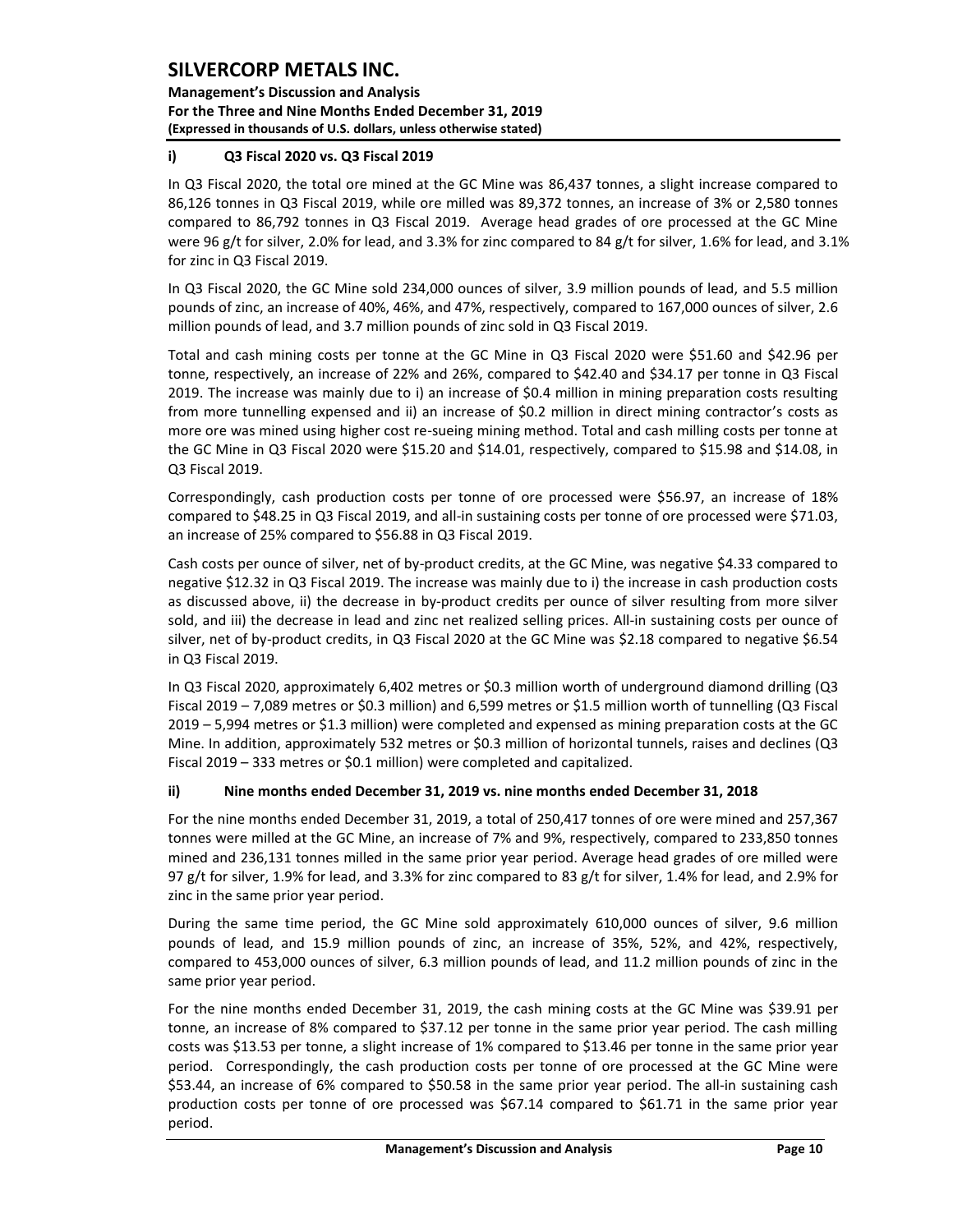**Management's Discussion and Analysis For the Three and Nine Months Ended December 31, 2019 (Expressed in thousands of U.S. dollars, unless otherwise stated)** 

### **i) Q3 Fiscal 2020 vs. Q3 Fiscal 2019**

In Q3 Fiscal 2020, the total ore mined at the GC Mine was 86,437 tonnes, a slight increase compared to 86,126 tonnes in Q3 Fiscal 2019, while ore milled was 89,372 tonnes, an increase of 3% or 2,580 tonnes compared to 86,792 tonnes in Q3 Fiscal 2019. Average head grades of ore processed at the GC Mine were 96 g/t for silver, 2.0% for lead, and 3.3% for zinc compared to 84 g/t for silver, 1.6% for lead, and 3.1% for zinc in Q3 Fiscal 2019.

In Q3 Fiscal 2020, the GC Mine sold 234,000 ounces of silver, 3.9 million pounds of lead, and 5.5 million pounds of zinc, an increase of 40%, 46%, and 47%, respectively, compared to 167,000 ounces of silver, 2.6 million pounds of lead, and 3.7 million pounds of zinc sold in Q3 Fiscal 2019.

Total and cash mining costs per tonne at the GC Mine in Q3 Fiscal 2020 were \$51.60 and \$42.96 per tonne, respectively, an increase of 22% and 26%, compared to \$42.40 and \$34.17 per tonne in Q3 Fiscal 2019. The increase was mainly due to i) an increase of \$0.4 million in mining preparation costs resulting from more tunnelling expensed and ii) an increase of \$0.2 million in direct mining contractor's costs as more ore was mined using higher cost re-sueing mining method. Total and cash milling costs per tonne at the GC Mine in Q3 Fiscal 2020 were \$15.20 and \$14.01, respectively, compared to \$15.98 and \$14.08, in Q3 Fiscal 2019.

Correspondingly, cash production costs per tonne of ore processed were \$56.97, an increase of 18% compared to \$48.25 in Q3 Fiscal 2019, and all-in sustaining costs per tonne of ore processed were \$71.03, an increase of 25% compared to \$56.88 in Q3 Fiscal 2019.

Cash costs per ounce of silver, net of by-product credits, at the GC Mine, was negative \$4.33 compared to negative \$12.32 in Q3 Fiscal 2019. The increase was mainly due to i) the increase in cash production costs as discussed above, ii) the decrease in by-product credits per ounce of silver resulting from more silver sold, and iii) the decrease in lead and zinc net realized selling prices. All-in sustaining costs per ounce of silver, net of by-product credits, in Q3 Fiscal 2020 at the GC Mine was \$2.18 compared to negative \$6.54 in Q3 Fiscal 2019.

In Q3 Fiscal 2020, approximately 6,402 metres or \$0.3 million worth of underground diamond drilling (Q3 Fiscal 2019 – 7,089 metres or \$0.3 million) and 6,599 metres or \$1.5 million worth of tunnelling (Q3 Fiscal 2019 – 5,994 metres or \$1.3 million) were completed and expensed as mining preparation costs at the GC Mine. In addition, approximately 532 metres or \$0.3 million of horizontal tunnels, raises and declines (Q3 Fiscal 2019 – 333 metres or \$0.1 million) were completed and capitalized.

### **ii) Nine months ended December 31, 2019 vs. nine months ended December 31, 2018**

For the nine months ended December 31, 2019, a total of 250,417 tonnes of ore were mined and 257,367 tonnes were milled at the GC Mine, an increase of 7% and 9%, respectively, compared to 233,850 tonnes mined and 236,131 tonnes milled in the same prior year period. Average head grades of ore milled were 97 g/t for silver, 1.9% for lead, and 3.3% for zinc compared to 83 g/t for silver, 1.4% for lead, and 2.9% for zinc in the same prior year period.

During the same time period, the GC Mine sold approximately 610,000 ounces of silver, 9.6 million pounds of lead, and 15.9 million pounds of zinc, an increase of 35%, 52%, and 42%, respectively, compared to 453,000 ounces of silver, 6.3 million pounds of lead, and 11.2 million pounds of zinc in the same prior year period.

For the nine months ended December 31, 2019, the cash mining costs at the GC Mine was \$39.91 per tonne, an increase of 8% compared to \$37.12 per tonne in the same prior year period. The cash milling costs was \$13.53 per tonne, a slight increase of 1% compared to \$13.46 per tonne in the same prior year period. Correspondingly, the cash production costs per tonne of ore processed at the GC Mine were \$53.44, an increase of 6% compared to \$50.58 in the same prior year period. The all-in sustaining cash production costs per tonne of ore processed was \$67.14 compared to \$61.71 in the same prior year period.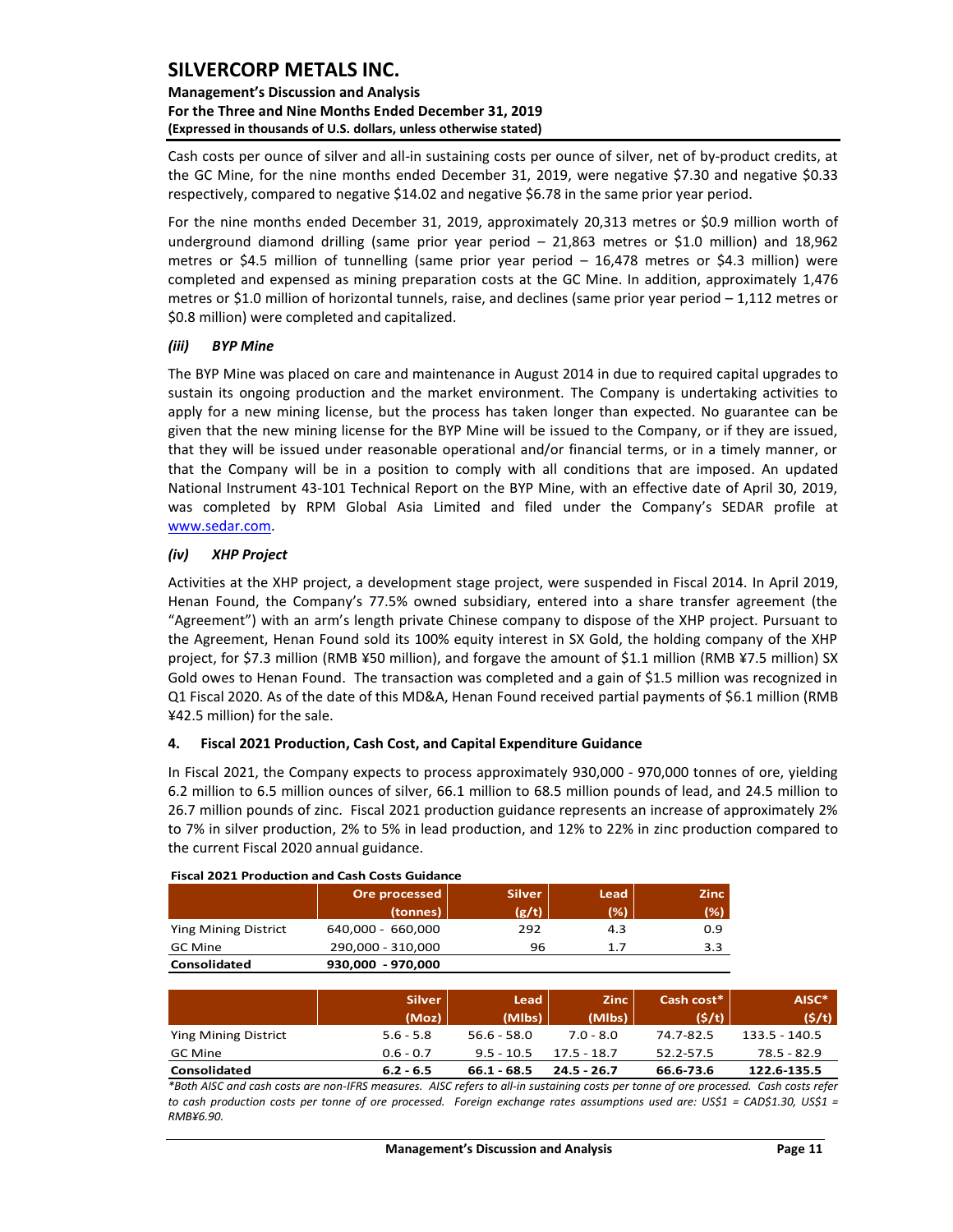### **Management's Discussion and Analysis For the Three and Nine Months Ended December 31, 2019 (Expressed in thousands of U.S. dollars, unless otherwise stated)**

Cash costs per ounce of silver and all-in sustaining costs per ounce of silver, net of by‐product credits, at the GC Mine, for the nine months ended December 31, 2019, were negative \$7.30 and negative \$0.33 respectively, compared to negative \$14.02 and negative \$6.78 in the same prior year period.

For the nine months ended December 31, 2019, approximately 20,313 metres or \$0.9 million worth of underground diamond drilling (same prior year period – 21,863 metres or \$1.0 million) and 18,962 metres or \$4.5 million of tunnelling (same prior year period – 16,478 metres or \$4.3 million) were completed and expensed as mining preparation costs at the GC Mine. In addition, approximately 1,476 metres or \$1.0 million of horizontal tunnels, raise, and declines (same prior year period – 1,112 metres or \$0.8 million) were completed and capitalized.

### *(iii) BYP Mine*

The BYP Mine was placed on care and maintenance in August 2014 in due to required capital upgrades to sustain its ongoing production and the market environment. The Company is undertaking activities to apply for a new mining license, but the process has taken longer than expected. No guarantee can be given that the new mining license for the BYP Mine will be issued to the Company, or if they are issued, that they will be issued under reasonable operational and/or financial terms, or in a timely manner, or that the Company will be in a position to comply with all conditions that are imposed. An updated National Instrument 43-101 Technical Report on the BYP Mine, with an effective date of April 30, 2019, was completed by RPM Global Asia Limited and filed under the Company's SEDAR profile at [www.sedar.com.](http://www.sedar.com/)

### *(iv) XHP Project*

Activities at the XHP project, a development stage project, were suspended in Fiscal 2014. In April 2019, Henan Found, the Company's 77.5% owned subsidiary, entered into a share transfer agreement (the "Agreement") with an arm's length private Chinese company to dispose of the XHP project. Pursuant to the Agreement, Henan Found sold its 100% equity interest in SX Gold, the holding company of the XHP project, for \$7.3 million (RMB ¥50 million), and forgave the amount of \$1.1 million (RMB ¥7.5 million) SX Gold owes to Henan Found. The transaction was completed and a gain of \$1.5 million was recognized in Q1 Fiscal 2020. As of the date of this MD&A, Henan Found received partial payments of \$6.1 million (RMB ¥42.5 million) for the sale.

### <span id="page-11-0"></span>**4. Fiscal 2021 Production, Cash Cost, and Capital Expenditure Guidance**

In Fiscal 2021, the Company expects to process approximately 930,000 - 970,000 tonnes of ore, yielding 6.2 million to 6.5 million ounces of silver, 66.1 million to 68.5 million pounds of lead, and 24.5 million to 26.7 million pounds of zinc. Fiscal 2021 production guidance represents an increase of approximately 2% to 7% in silver production, 2% to 5% in lead production, and 12% to 22% in zinc production compared to the current Fiscal 2020 annual guidance.

|                             | Ore processed<br>(tonnes) | <b>Silver</b><br>(g/t) | Lead<br>(% ) | <b>Zinc</b><br>(%) |
|-----------------------------|---------------------------|------------------------|--------------|--------------------|
| <b>Ying Mining District</b> | 640,000 - 660,000         | 292                    | 4.3          | 0.9                |
| <b>GC Mine</b>              | 290,000 - 310,000         | 96                     | 1.7          | 3.3                |
| Consolidated                | 930,000 - 970,000         |                        |              |                    |

|  | <b>Fiscal 2021 Production and Cash Costs Guidance</b> |  |  |
|--|-------------------------------------------------------|--|--|
|  |                                                       |  |  |

|                      | <b>Silver</b><br>(Moz) | Lead<br>(MIbs) | <b>Zinc</b><br>(MIbs) | Cash cost*<br>(S/t) | AISC*<br>(5/t)  |
|----------------------|------------------------|----------------|-----------------------|---------------------|-----------------|
| Ying Mining District | $5.6 - 5.8$            | $56.6 - 58.0$  | $7.0 - 8.0$           | 74.7-82.5           | $133.5 - 140.5$ |
| GC Mine              | $0.6 - 0.7$            | $9.5 - 10.5$   | $17.5 - 18.7$         | 52.2-57.5           | 78.5 - 82.9     |
| Consolidated         | $6.2 - 6.5$            | 66.1 - 68.5    | $24.5 - 26.7$         | 66.6-73.6           | 122.6 135.5     |

*\*Both AISC and cash costs are non-IFRS measures. AISC refers to all-in sustaining costs per tonne of ore processed. Cash costs refer to cash production costs per tonne of ore processed. Foreign exchange rates assumptions used are: US\$1 = CAD\$1.30, US\$1 = RMB¥6.90.*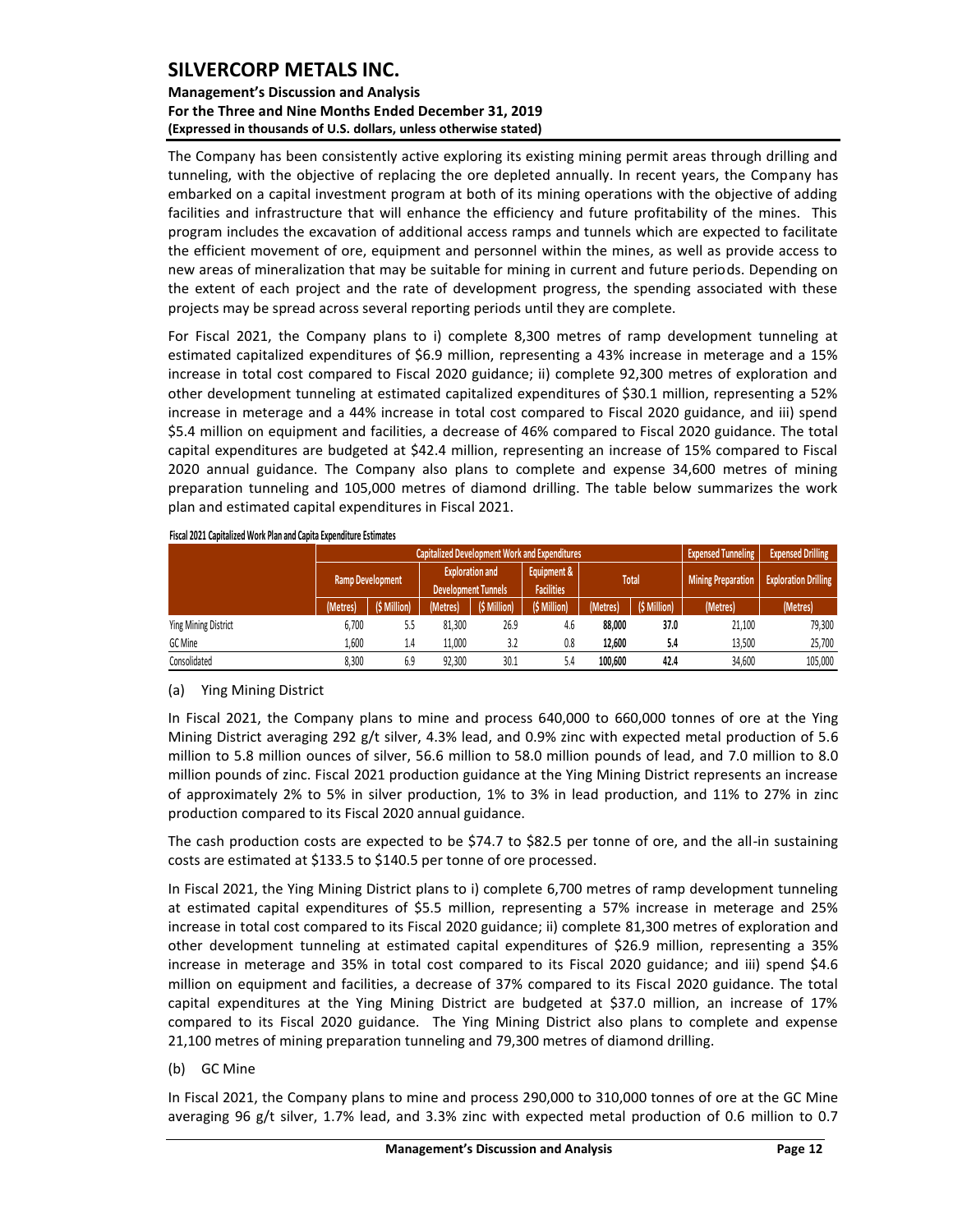### **Management's Discussion and Analysis For the Three and Nine Months Ended December 31, 2019 (Expressed in thousands of U.S. dollars, unless otherwise stated)**

The Company has been consistently active exploring its existing mining permit areas through drilling and tunneling, with the objective of replacing the ore depleted annually. In recent years, the Company has embarked on a capital investment program at both of its mining operations with the objective of adding facilities and infrastructure that will enhance the efficiency and future profitability of the mines. This program includes the excavation of additional access ramps and tunnels which are expected to facilitate the efficient movement of ore, equipment and personnel within the mines, as well as provide access to new areas of mineralization that may be suitable for mining in current and future periods. Depending on the extent of each project and the rate of development progress, the spending associated with these projects may be spread across several reporting periods until they are complete.

For Fiscal 2021, the Company plans to i) complete 8,300 metres of ramp development tunneling at estimated capitalized expenditures of \$6.9 million, representing a 43% increase in meterage and a 15% increase in total cost compared to Fiscal 2020 guidance; ii) complete 92,300 metres of exploration and other development tunneling at estimated capitalized expenditures of \$30.1 million, representing a 52% increase in meterage and a 44% increase in total cost compared to Fiscal 2020 guidance, and iii) spend \$5.4 million on equipment and facilities, a decrease of 46% compared to Fiscal 2020 guidance. The total capital expenditures are budgeted at \$42.4 million, representing an increase of 15% compared to Fiscal 2020 annual guidance. The Company also plans to complete and expense 34,600 metres of mining preparation tunneling and 105,000 metres of diamond drilling. The table below summarizes the work plan and estimated capital expenditures in Fiscal 2021.

|                      |          | <b>Capitalized Development Work and Expenditures</b> | <b>Expensed Tunneling</b> | <b>Expensed Drilling</b>         |              |              |                           |                             |          |
|----------------------|----------|------------------------------------------------------|---------------------------|----------------------------------|--------------|--------------|---------------------------|-----------------------------|----------|
| Ramp Development     |          | <b>Development Tunnels</b>                           | <b>Exploration and</b>    | Equipment &<br><b>Facilities</b> |              | <b>Total</b> | <b>Mining Preparation</b> | <b>Exploration Drilling</b> |          |
|                      | (Metres) | (\$ Million)                                         | (Metres)                  | (\$ Million)                     | (\$ Million) | (Metres)     | (\$ Million)              | (Metres)                    | (Metres) |
| Ying Mining District | 6.700    | 5.5                                                  | 81,300                    | 26.9                             | 4.6          | 88,000       | 37.0                      | 21,100                      | 79,300   |
| GC Mine              | 1.600    | 1.4                                                  | 11.000                    | 3.2                              | 0.8          | 12,600       | 5.4                       | 13.500                      | 25,700   |
| Consolidated         | 8.300    | 6.9                                                  | 92,300                    | 30.1                             | 5.4          | 100,600      | 42.4                      | 34,600                      | 105,000  |

#### **Fiscal 2021 Capitalized Work Plan and Capita Expenditure Estimates**

### (a) Ying Mining District

In Fiscal 2021, the Company plans to mine and process 640,000 to 660,000 tonnes of ore at the Ying Mining District averaging 292 g/t silver, 4.3% lead, and 0.9% zinc with expected metal production of 5.6 million to 5.8 million ounces of silver, 56.6 million to 58.0 million pounds of lead, and 7.0 million to 8.0 million pounds of zinc. Fiscal 2021 production guidance at the Ying Mining District represents an increase of approximately 2% to 5% in silver production, 1% to 3% in lead production, and 11% to 27% in zinc production compared to its Fiscal 2020 annual guidance.

The cash production costs are expected to be \$74.7 to \$82.5 per tonne of ore, and the all-in sustaining costs are estimated at \$133.5 to \$140.5 per tonne of ore processed.

In Fiscal 2021, the Ying Mining District plans to i) complete 6,700 metres of ramp development tunneling at estimated capital expenditures of \$5.5 million, representing a 57% increase in meterage and 25% increase in total cost compared to its Fiscal 2020 guidance; ii) complete 81,300 metres of exploration and other development tunneling at estimated capital expenditures of \$26.9 million, representing a 35% increase in meterage and 35% in total cost compared to its Fiscal 2020 guidance; and iii) spend \$4.6 million on equipment and facilities, a decrease of 37% compared to its Fiscal 2020 guidance. The total capital expenditures at the Ying Mining District are budgeted at \$37.0 million, an increase of 17% compared to its Fiscal 2020 guidance. The Ying Mining District also plans to complete and expense 21,100 metres of mining preparation tunneling and 79,300 metres of diamond drilling.

(b) GC Mine

In Fiscal 2021, the Company plans to mine and process 290,000 to 310,000 tonnes of ore at the GC Mine averaging 96 g/t silver, 1.7% lead, and 3.3% zinc with expected metal production of 0.6 million to 0.7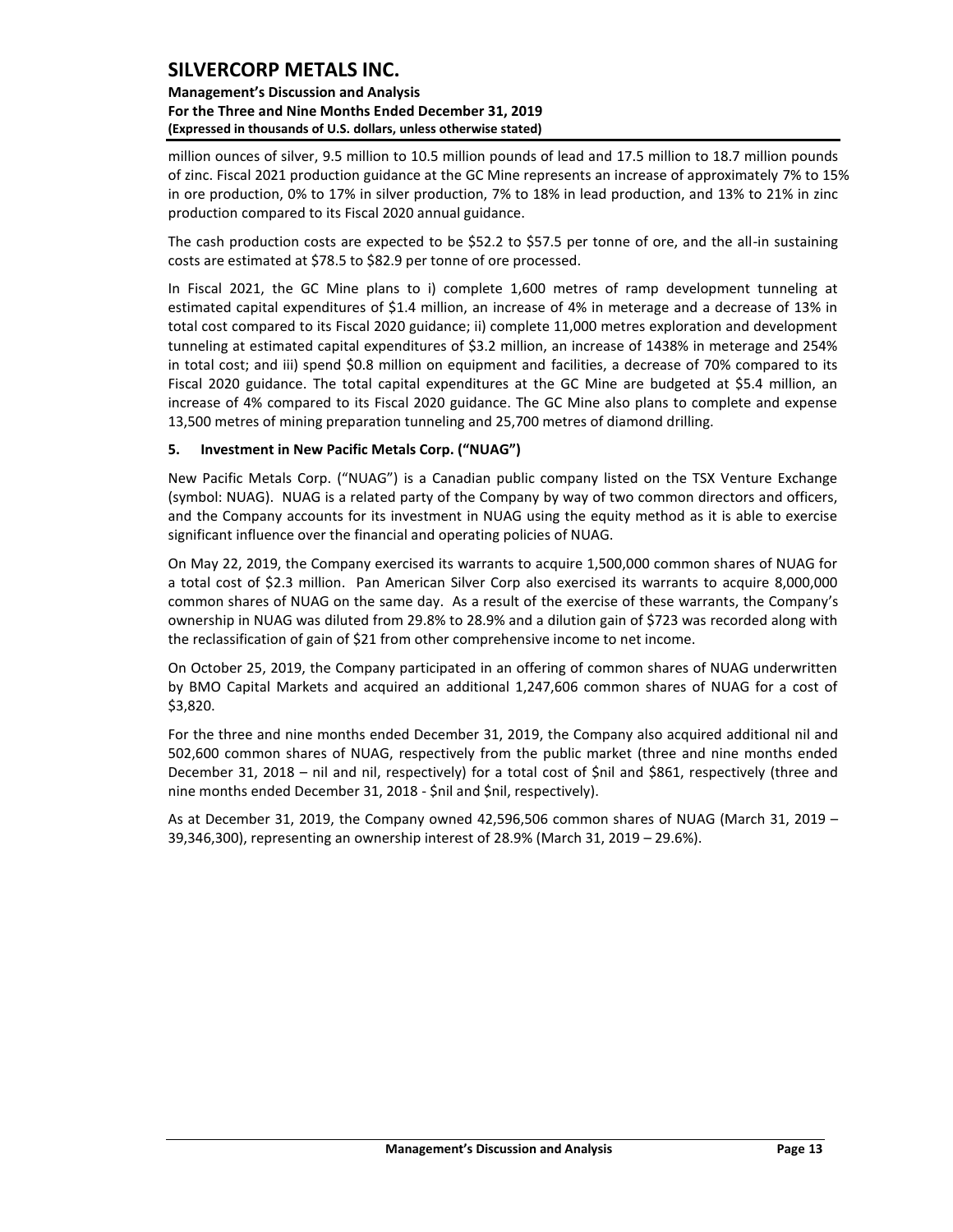**Management's Discussion and Analysis For the Three and Nine Months Ended December 31, 2019 (Expressed in thousands of U.S. dollars, unless otherwise stated)** 

million ounces of silver, 9.5 million to 10.5 million pounds of lead and 17.5 million to 18.7 million pounds of zinc. Fiscal 2021 production guidance at the GC Mine represents an increase of approximately 7% to 15% in ore production, 0% to 17% in silver production, 7% to 18% in lead production, and 13% to 21% in zinc production compared to its Fiscal 2020 annual guidance.

The cash production costs are expected to be \$52.2 to \$57.5 per tonne of ore, and the all-in sustaining costs are estimated at \$78.5 to \$82.9 per tonne of ore processed.

In Fiscal 2021, the GC Mine plans to i) complete 1,600 metres of ramp development tunneling at estimated capital expenditures of \$1.4 million, an increase of 4% in meterage and a decrease of 13% in total cost compared to its Fiscal 2020 guidance; ii) complete 11,000 metres exploration and development tunneling at estimated capital expenditures of \$3.2 million, an increase of 1438% in meterage and 254% in total cost; and iii) spend \$0.8 million on equipment and facilities, a decrease of 70% compared to its Fiscal 2020 guidance. The total capital expenditures at the GC Mine are budgeted at \$5.4 million, an increase of 4% compared to its Fiscal 2020 guidance. The GC Mine also plans to complete and expense 13,500 metres of mining preparation tunneling and 25,700 metres of diamond drilling.

### <span id="page-13-0"></span>**5. Investment in New Pacific Metals Corp. ("NUAG")**

New Pacific Metals Corp. ("NUAG") is a Canadian public company listed on the TSX Venture Exchange (symbol: NUAG). NUAG is a related party of the Company by way of two common directors and officers, and the Company accounts for its investment in NUAG using the equity method as it is able to exercise significant influence over the financial and operating policies of NUAG.

On May 22, 2019, the Company exercised its warrants to acquire 1,500,000 common shares of NUAG for a total cost of \$2.3 million. Pan American Silver Corp also exercised its warrants to acquire 8,000,000 common shares of NUAG on the same day. As a result of the exercise of these warrants, the Company's ownership in NUAG was diluted from 29.8% to 28.9% and a dilution gain of \$723 was recorded along with the reclassification of gain of \$21 from other comprehensive income to net income.

On October 25, 2019, the Company participated in an offering of common shares of NUAG underwritten by BMO Capital Markets and acquired an additional 1,247,606 common shares of NUAG for a cost of \$3,820.

For the three and nine months ended December 31, 2019, the Company also acquired additional nil and 502,600 common shares of NUAG, respectively from the public market (three and nine months ended December 31, 2018 – nil and nil, respectively) for a total cost of \$nil and \$861, respectively (three and nine months ended December 31, 2018 - \$nil and \$nil, respectively).

As at December 31, 2019, the Company owned 42,596,506 common shares of NUAG (March 31, 2019 – 39,346,300), representing an ownership interest of 28.9% (March 31, 2019 – 29.6%).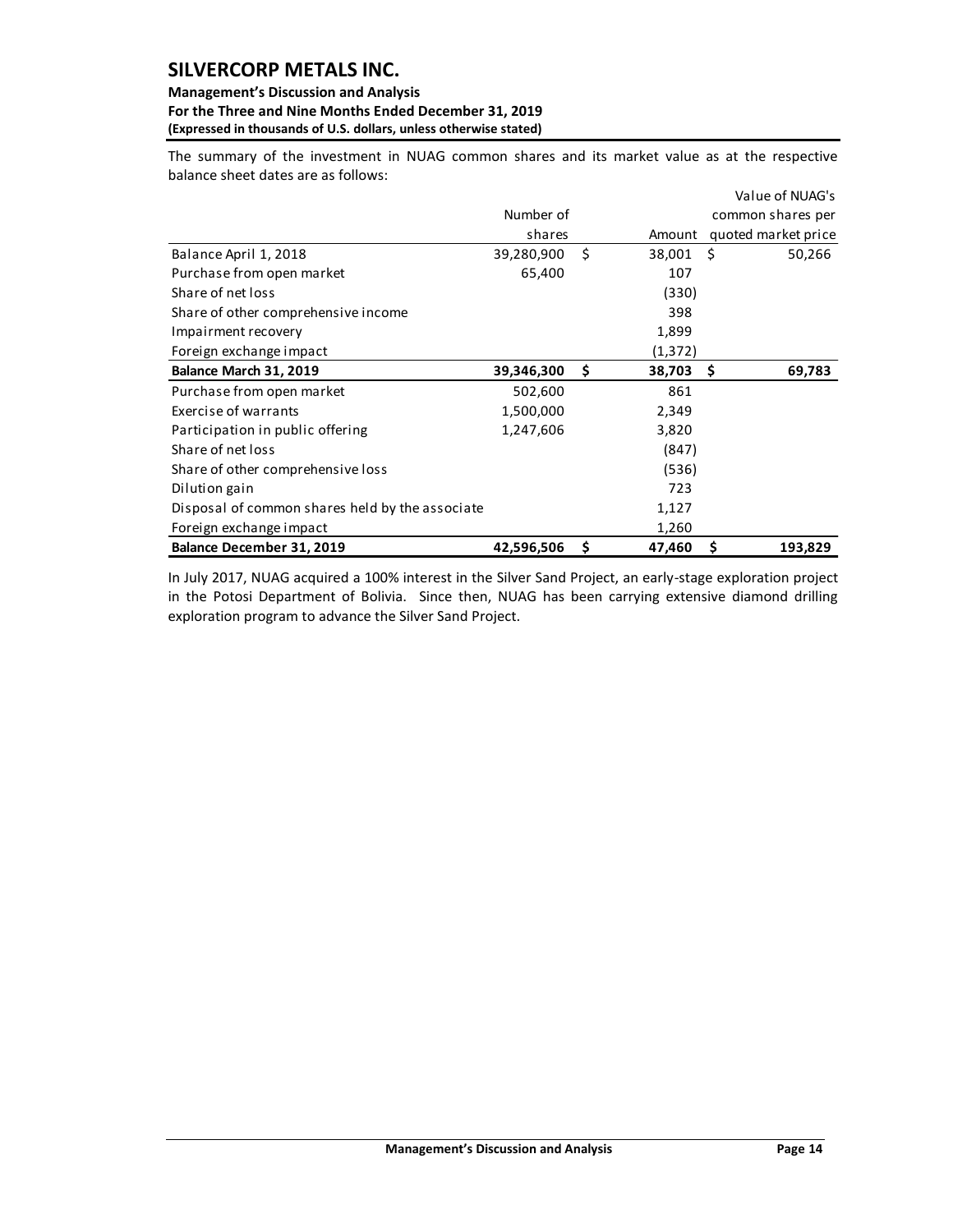#### **Management's Discussion and Analysis For the Three and Nine Months Ended December 31, 2019 (Expressed in thousands of U.S. dollars, unless otherwise stated)**

The summary of the investment in NUAG common shares and its market value as at the respective balance sheet dates are as follows:

|                                                 |            |    |         |    | Value of NUAG's     |
|-------------------------------------------------|------------|----|---------|----|---------------------|
|                                                 | Number of  |    |         |    | common shares per   |
|                                                 | shares     |    | Amount  |    | quoted market price |
| Balance April 1, 2018                           | 39,280,900 | Ś. | 38,001  | Ś. | 50,266              |
| Purchase from open market                       | 65,400     |    | 107     |    |                     |
| Share of net loss                               |            |    | (330)   |    |                     |
| Share of other comprehensive income             |            |    | 398     |    |                     |
| Impairment recovery                             |            |    | 1,899   |    |                     |
| Foreign exchange impact                         |            |    | (1,372) |    |                     |
| Balance March 31, 2019                          | 39,346,300 | \$ | 38,703  | S  | 69,783              |
| Purchase from open market                       | 502,600    |    | 861     |    |                     |
| Exercise of warrants                            | 1,500,000  |    | 2,349   |    |                     |
| Participation in public offering                | 1,247,606  |    | 3,820   |    |                     |
| Share of net loss                               |            |    | (847)   |    |                     |
| Share of other comprehensive loss               |            |    | (536)   |    |                     |
| Dilution gain                                   |            |    | 723     |    |                     |
| Disposal of common shares held by the associate |            |    | 1,127   |    |                     |
| Foreign exchange impact                         |            |    | 1,260   |    |                     |
| Balance December 31, 2019                       | 42,596,506 | \$ | 47,460  | \$ | 193,829             |

In July 2017, NUAG acquired a 100% interest in the Silver Sand Project, an early-stage exploration project in the Potosi Department of Bolivia. Since then, NUAG has been carrying extensive diamond drilling exploration program to advance the Silver Sand Project.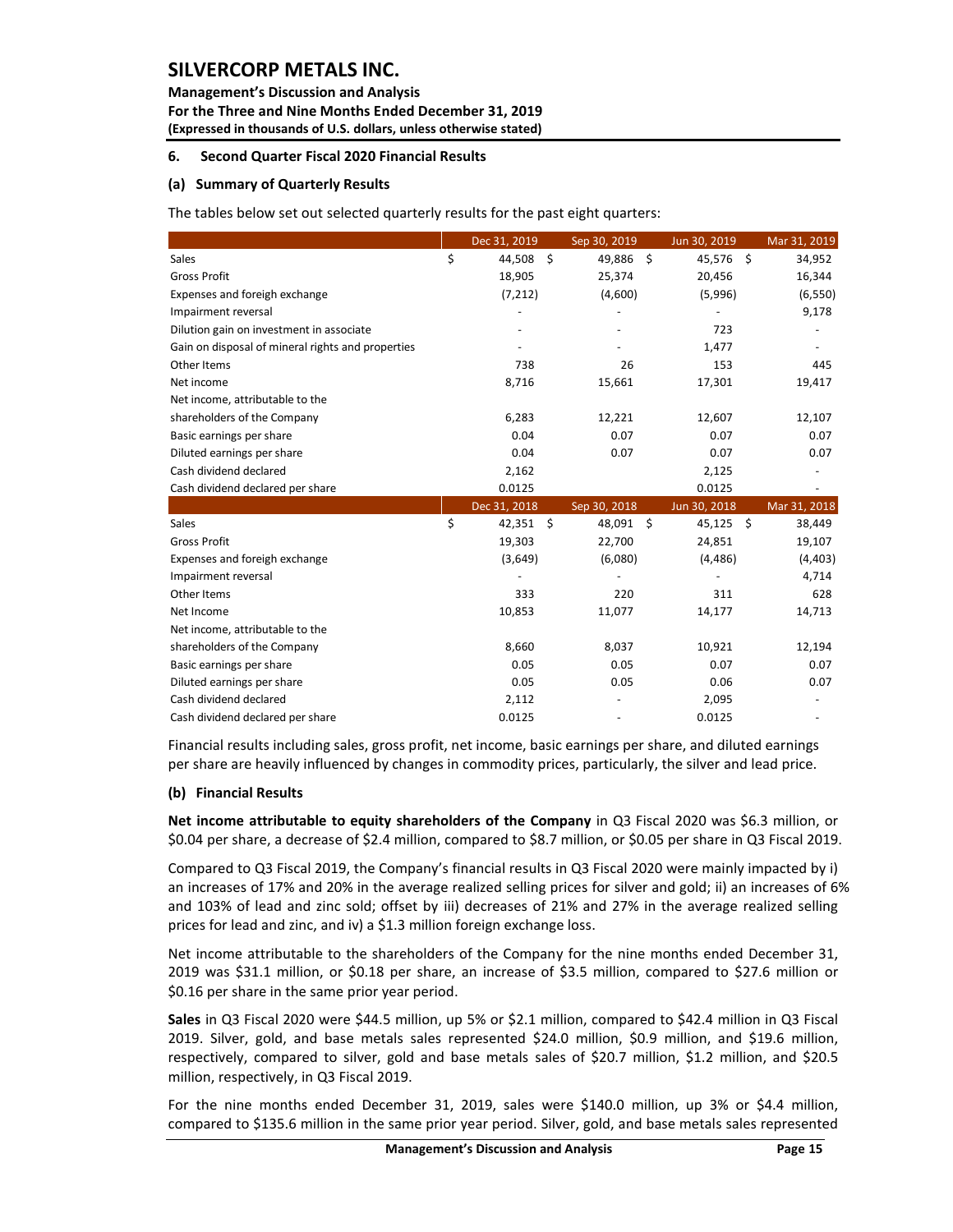#### **Management's Discussion and Analysis**

**For the Three and Nine Months Ended December 31, 2019 (Expressed in thousands of U.S. dollars, unless otherwise stated)** 

### <span id="page-15-0"></span>**6. Second Quarter Fiscal 2020 Financial Results**

#### **(a) Summary of Quarterly Results**

The tables below set out selected quarterly results for the past eight quarters:

|                                                                                                                                                                                                                                                                                                                                                                                                                   | Dec 31, 2019      | Sep 30, 2019 | Jun 30, 2019             | Mar 31, 2019 |
|-------------------------------------------------------------------------------------------------------------------------------------------------------------------------------------------------------------------------------------------------------------------------------------------------------------------------------------------------------------------------------------------------------------------|-------------------|--------------|--------------------------|--------------|
| Sales                                                                                                                                                                                                                                                                                                                                                                                                             | \$<br>44,508 \$   | 49,886 \$    | 45,576 \$                | 34,952       |
| <b>Gross Profit</b>                                                                                                                                                                                                                                                                                                                                                                                               | 18,905            | 25,374       | 20,456                   | 16,344       |
| Expenses and foreigh exchange                                                                                                                                                                                                                                                                                                                                                                                     | (7, 212)          | (4,600)      | (5,996)                  | (6, 550)     |
| Impairment reversal                                                                                                                                                                                                                                                                                                                                                                                               | $\overline{a}$    |              | $\overline{\phantom{a}}$ | 9,178        |
| Dilution gain on investment in associate                                                                                                                                                                                                                                                                                                                                                                          |                   |              | 723                      |              |
| Gain on disposal of mineral rights and properties                                                                                                                                                                                                                                                                                                                                                                 |                   |              | 1,477                    |              |
| Other Items                                                                                                                                                                                                                                                                                                                                                                                                       | 738               | 26           | 153                      | 445          |
| Net income                                                                                                                                                                                                                                                                                                                                                                                                        | 8,716             | 15,661       | 17,301                   | 19,417       |
| Net income, attributable to the                                                                                                                                                                                                                                                                                                                                                                                   |                   |              |                          |              |
| shareholders of the Company                                                                                                                                                                                                                                                                                                                                                                                       | 6,283             | 12,221       | 12,607                   | 12,107       |
| Basic earnings per share                                                                                                                                                                                                                                                                                                                                                                                          | 0.04              | 0.07         | 0.07                     | 0.07         |
| Diluted earnings per share                                                                                                                                                                                                                                                                                                                                                                                        | 0.04              | 0.07         | 0.07                     | 0.07         |
| Cash dividend declared                                                                                                                                                                                                                                                                                                                                                                                            | 2,162             |              | 2,125                    |              |
| Cash dividend declared per share                                                                                                                                                                                                                                                                                                                                                                                  | 0.0125            |              | 0.0125                   |              |
|                                                                                                                                                                                                                                                                                                                                                                                                                   | Dec 31, 2018      | Sep 30, 2018 | Jun 30, 2018             | Mar 31, 2018 |
| Sales                                                                                                                                                                                                                                                                                                                                                                                                             | \$<br>$42,351$ \$ | 48,091 \$    | $45,125$ \$              | 38,449       |
| Gross Profit                                                                                                                                                                                                                                                                                                                                                                                                      | 19,303            | 22,700       | 24,851                   | 19,107       |
| Expenses and foreigh exchange                                                                                                                                                                                                                                                                                                                                                                                     | (3,649)           | (6,080)      | (4, 486)                 | (4, 403)     |
| Impairment reversal                                                                                                                                                                                                                                                                                                                                                                                               |                   |              |                          | 4,714        |
| Other Items                                                                                                                                                                                                                                                                                                                                                                                                       | 333               | 220          | 311                      | 628          |
| Net Income                                                                                                                                                                                                                                                                                                                                                                                                        | 10,853            | 11,077       | 14,177                   | 14,713       |
| Net income, attributable to the                                                                                                                                                                                                                                                                                                                                                                                   |                   |              |                          |              |
| shareholders of the Company                                                                                                                                                                                                                                                                                                                                                                                       | 8,660             | 8,037        | 10,921                   | 12,194       |
| Basic earnings per share                                                                                                                                                                                                                                                                                                                                                                                          | 0.05              | 0.05         | 0.07                     | 0.07         |
| Diluted earnings per share                                                                                                                                                                                                                                                                                                                                                                                        | 0.05              | 0.05         | 0.06                     | 0.07         |
| Cash dividend declared                                                                                                                                                                                                                                                                                                                                                                                            | 2,112             |              | 2,095                    |              |
| Cash dividend declared per share                                                                                                                                                                                                                                                                                                                                                                                  | 0.0125            |              | 0.0125                   |              |
| Financial results including sales, gross profit, net income, basic earnings per share, and diluted earnings                                                                                                                                                                                                                                                                                                       |                   |              |                          |              |
| per share are heavily influenced by changes in commodity prices, particularly, the silver and lead price.                                                                                                                                                                                                                                                                                                         |                   |              |                          |              |
| (b) Financial Results                                                                                                                                                                                                                                                                                                                                                                                             |                   |              |                          |              |
| Net income attributable to equity shareholders of the Company in Q3 Fiscal 2020 was \$6.3 million, or<br>\$0.04 per share, a decrease of \$2.4 million, compared to \$8.7 million, or \$0.05 per share in Q3 Fiscal 2019.                                                                                                                                                                                         |                   |              |                          |              |
| Compared to Q3 Fiscal 2019, the Company's financial results in Q3 Fiscal 2020 were mainly impacted by i)<br>an increases of 17% and 20% in the average realized selling prices for silver and gold; ii) an increases of 69<br>and 103% of lead and zinc sold; offset by iii) decreases of 21% and 27% in the average realized selling<br>prices for lead and zinc, and iv) a \$1.3 million foreign exchange loss. |                   |              |                          |              |
| Net income attributable to the shareholders of the Company for the nine months ended December 31,<br>2019 was \$31.1 million, or \$0.18 per share, an increase of \$3.5 million, compared to \$27.6 million or<br>\$0.16 per share in the same prior year period.                                                                                                                                                 |                   |              |                          |              |
| Sales in Q3 Fiscal 2020 were \$44.5 million, up 5% or \$2.1 million, compared to \$42.4 million in Q3 Fiscal<br>2019. Silver, gold, and base metals sales represented \$24.0 million, \$0.9 million, and \$19.6 million,<br>respectively, compared to silver, gold and base metals sales of \$20.7 million, \$1.2 million, and \$20.5<br>million, respectively, in Q3 Fiscal 2019.                                |                   |              |                          |              |
| For the nine months ended December 31, 2019, sales were \$140.0 million, up 3% or \$4.4 million,<br>compared to \$135.6 million in the same prior year period. Silver, gold, and base metals sales represented                                                                                                                                                                                                    |                   |              |                          |              |

### **(b) Financial Results**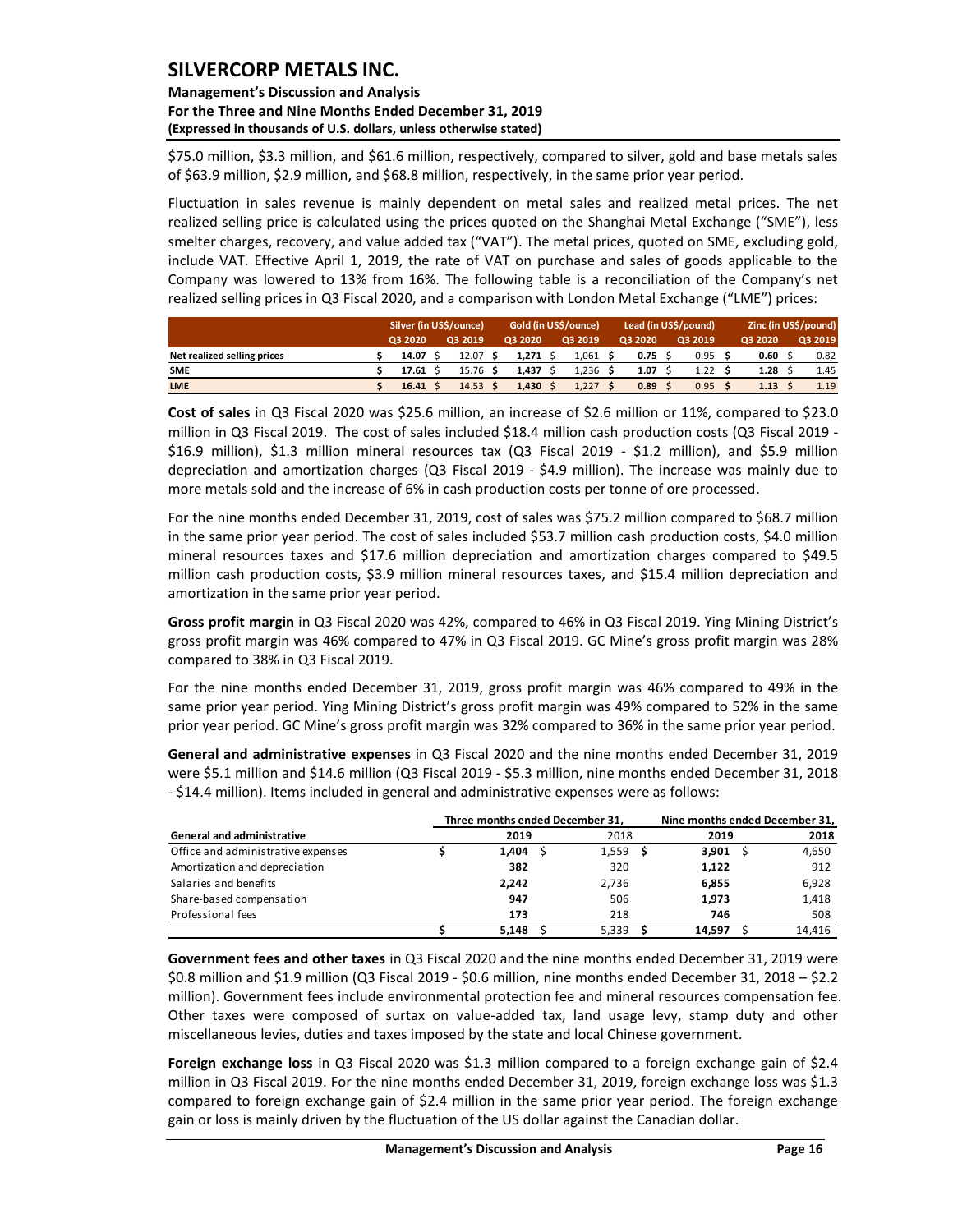### **Management's Discussion and Analysis For the Three and Nine Months Ended December 31, 2019 (Expressed in thousands of U.S. dollars, unless otherwise stated)**

\$75.0 million, \$3.3 million, and \$61.6 million, respectively, compared to silver, gold and base metals sales of \$63.9 million, \$2.9 million, and \$68.8 million, respectively, in the same prior year period.

Fluctuation in sales revenue is mainly dependent on metal sales and realized metal prices. The net realized selling price is calculated using the prices quoted on the Shanghai Metal Exchange ("SME"), less smelter charges, recovery, and value added tax ("VAT"). The metal prices, quoted on SME, excluding gold, include VAT. Effective April 1, 2019, the rate of VAT on purchase and sales of goods applicable to the Company was lowered to 13% from 16%. The following table is a reconciliation of the Company's net realized selling prices in Q3 Fiscal 2020, and a comparison with London Metal Exchange ("LME") prices:

|                             | Silver (in US\$/ounce) |  |                    | Gold (in US\$/ounce) |  |         | Lead (in US\$/pound) |                |  |         | Zinc (in US\$/pound) |  |         |  |
|-----------------------------|------------------------|--|--------------------|----------------------|--|---------|----------------------|----------------|--|---------|----------------------|--|---------|--|
|                             | 03 20 20               |  | Q3 2019            | Q3 2020              |  | Q3 2019 |                      | <b>Q3 2020</b> |  | Q3 2019 | Q3 2020              |  | Q3 2019 |  |
| Net realized selling prices | 14.07                  |  | 12.07 <sub>5</sub> | 1.271 S              |  | 1.061   |                      | $0.75$ \$      |  | 0.95    | 0.60                 |  | 0.82    |  |
| <b>SME</b>                  | 17.61                  |  | $15.76$ \$         | 1.437                |  | 1.236   |                      | 1.07           |  | 1.22    | 1.28                 |  | 1.45    |  |
| <b>LME</b>                  | 16.41                  |  | $14.53$ \$         | 1.430                |  | 1,227   |                      | 0.89           |  | 0.95    | 1.13                 |  | 1.19    |  |

**Cost of sales** in Q3 Fiscal 2020 was \$25.6 million, an increase of \$2.6 million or 11%, compared to \$23.0 million in Q3 Fiscal 2019. The cost of sales included \$18.4 million cash production costs (Q3 Fiscal 2019 - \$16.9 million), \$1.3 million mineral resources tax (Q3 Fiscal 2019 - \$1.2 million), and \$5.9 million depreciation and amortization charges (Q3 Fiscal 2019 - \$4.9 million). The increase was mainly due to more metals sold and the increase of 6% in cash production costs per tonne of ore processed.

For the nine months ended December 31, 2019, cost of sales was \$75.2 million compared to \$68.7 million in the same prior year period. The cost of sales included \$53.7 million cash production costs, \$4.0 million mineral resources taxes and \$17.6 million depreciation and amortization charges compared to \$49.5 million cash production costs, \$3.9 million mineral resources taxes, and \$15.4 million depreciation and amortization in the same prior year period.

**Gross profit margin** in Q3 Fiscal 2020 was 42%, compared to 46% in Q3 Fiscal 2019. Ying Mining District's gross profit margin was 46% compared to 47% in Q3 Fiscal 2019. GC Mine's gross profit margin was 28% compared to 38% in Q3 Fiscal 2019.

For the nine months ended December 31, 2019, gross profit margin was 46% compared to 49% in the same prior year period. Ying Mining District's gross profit margin was 49% compared to 52% in the same prior year period. GC Mine's gross profit margin was 32% compared to 36% in the same prior year period.

**General and administrative expenses** in Q3 Fiscal 2020 and the nine months ended December 31, 2019 were \$5.1 million and \$14.6 million (Q3 Fiscal 2019 - \$5.3 million, nine months ended December 31, 2018 - \$14.4 million). Items included in general and administrative expenses were as follows:

|                                    | Three months ended December 31, | Nine months ended December 31, |        |        |  |  |  |  |
|------------------------------------|---------------------------------|--------------------------------|--------|--------|--|--|--|--|
| <b>General and administrative</b>  | 2019                            | 2018                           | 2019   | 2018   |  |  |  |  |
| Office and administrative expenses | 1.404                           | 1,559                          | 3.901  | 4,650  |  |  |  |  |
| Amortization and depreciation      | 382                             | 320                            | 1,122  | 912    |  |  |  |  |
| Salaries and benefits              | 2.242                           | 2,736                          | 6,855  | 6,928  |  |  |  |  |
| Share-based compensation           | 947                             | 506                            | 1,973  | 1,418  |  |  |  |  |
| Professional fees                  | 173                             | 218                            | 746    | 508    |  |  |  |  |
|                                    | 5.148                           | 5.339                          | 14.597 | 14.416 |  |  |  |  |

**Government fees and other taxes** in Q3 Fiscal 2020 and the nine months ended December 31, 2019 were \$0.8 million and \$1.9 million (Q3 Fiscal 2019 - \$0.6 million, nine months ended December 31, 2018 – \$2.2 million). Government fees include environmental protection fee and mineral resources compensation fee. Other taxes were composed of surtax on value-added tax, land usage levy, stamp duty and other miscellaneous levies, duties and taxes imposed by the state and local Chinese government.

**Foreign exchange loss** in Q3 Fiscal 2020 was \$1.3 million compared to a foreign exchange gain of \$2.4 million in Q3 Fiscal 2019. For the nine months ended December 31, 2019, foreign exchange loss was \$1.3 compared to foreign exchange gain of \$2.4 million in the same prior year period. The foreign exchange gain or loss is mainly driven by the fluctuation of the US dollar against the Canadian dollar.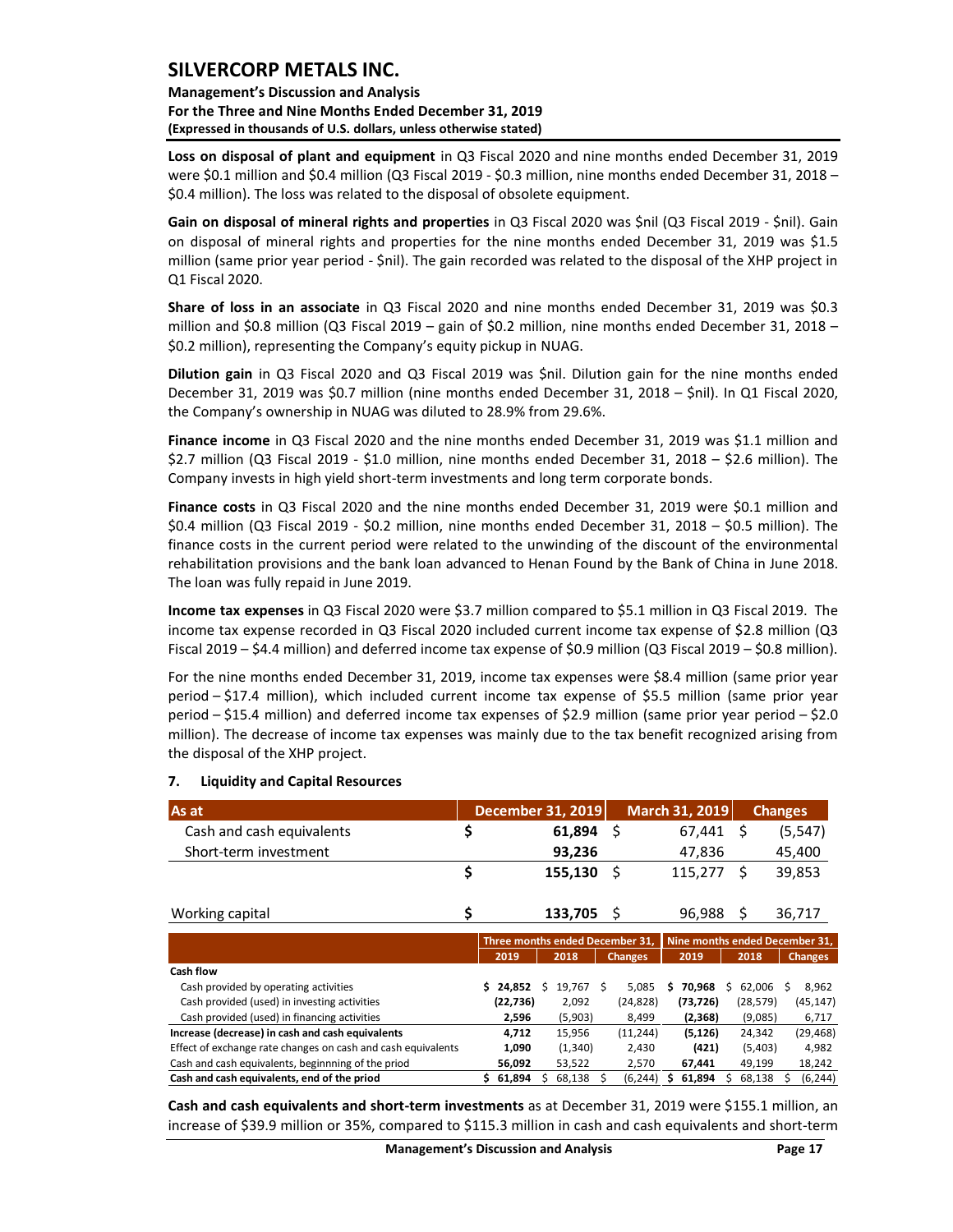**Management's Discussion and Analysis For the Three and Nine Months Ended December 31, 2019 (Expressed in thousands of U.S. dollars, unless otherwise stated)** 

**Loss on disposal of plant and equipment** in Q3 Fiscal 2020 and nine months ended December 31, 2019 were \$0.1 million and \$0.4 million (Q3 Fiscal 2019 - \$0.3 million, nine months ended December 31, 2018 – \$0.4 million). The loss was related to the disposal of obsolete equipment.

**Gain on disposal of mineral rights and properties** in Q3 Fiscal 2020 was \$nil (Q3 Fiscal 2019 - \$nil). Gain on disposal of mineral rights and properties for the nine months ended December 31, 2019 was \$1.5 million (same prior year period - \$nil). The gain recorded was related to the disposal of the XHP project in Q1 Fiscal 2020.

**Share of loss in an associate** in Q3 Fiscal 2020 and nine months ended December 31, 2019 was \$0.3 million and \$0.8 million (Q3 Fiscal 2019 – gain of \$0.2 million, nine months ended December 31, 2018 – \$0.2 million), representing the Company's equity pickup in NUAG.

**Dilution gain** in Q3 Fiscal 2020 and Q3 Fiscal 2019 was \$nil. Dilution gain for the nine months ended December 31, 2019 was \$0.7 million (nine months ended December 31, 2018 – \$nil). In Q1 Fiscal 2020, the Company's ownership in NUAG was diluted to 28.9% from 29.6%.

**Finance income** in Q3 Fiscal 2020 and the nine months ended December 31, 2019 was \$1.1 million and \$2.7 million (Q3 Fiscal 2019 - \$1.0 million, nine months ended December 31, 2018 – \$2.6 million). The Company invests in high yield short-term investments and long term corporate bonds.

**Finance costs** in Q3 Fiscal 2020 and the nine months ended December 31, 2019 were \$0.1 million and \$0.4 million (Q3 Fiscal 2019 - \$0.2 million, nine months ended December 31, 2018 – \$0.5 million). The finance costs in the current period were related to the unwinding of the discount of the environmental rehabilitation provisions and the bank loan advanced to Henan Found by the Bank of China in June 2018. The loan was fully repaid in June 2019.

**Income tax expenses** in Q3 Fiscal 2020 were \$3.7 million compared to \$5.1 million in Q3 Fiscal 2019. The income tax expense recorded in Q3 Fiscal 2020 included current income tax expense of \$2.8 million (Q3 Fiscal 2019 – \$4.4 million) and deferred income tax expense of \$0.9 million (Q3 Fiscal 2019 – \$0.8 million).

For the nine months ended December 31, 2019, income tax expenses were \$8.4 million (same prior year period – \$17.4 million), which included current income tax expense of \$5.5 million (same prior year period – \$15.4 million) and deferred income tax expenses of \$2.9 million (same prior year period – \$2.0 million). The decrease of income tax expenses was mainly due to the tax benefit recognized arising from the disposal of the XHP project.

| As at                                                                                                                                                                                                               |     |           |   | December 31, 2019 |   |                                 |   | March 31, 2019 |    | <b>Changes</b>                 |    |                |
|---------------------------------------------------------------------------------------------------------------------------------------------------------------------------------------------------------------------|-----|-----------|---|-------------------|---|---------------------------------|---|----------------|----|--------------------------------|----|----------------|
| Cash and cash equivalents                                                                                                                                                                                           | \$  |           |   | 61,894            |   | Ś.                              |   | 67,441         |    | Š.                             |    | (5, 547)       |
| Short-term investment                                                                                                                                                                                               |     |           |   | 93,236            |   |                                 |   | 47,836         |    |                                |    | 45,400         |
|                                                                                                                                                                                                                     | \$  |           |   | 155,130           |   | \$                              |   | 115,277        |    | Š.                             |    | 39,853         |
| Working capital                                                                                                                                                                                                     | \$  |           |   | 133,705           |   | S                               |   | 96,988         |    | \$                             |    | 36,717         |
|                                                                                                                                                                                                                     |     |           |   |                   |   | Three months ended December 31. |   |                |    | Nine months ended December 31, |    |                |
|                                                                                                                                                                                                                     |     | 2019      |   | 2018              |   | <b>Changes</b>                  |   | 2019           |    | 2018                           |    | <b>Changes</b> |
| Cash flow                                                                                                                                                                                                           |     |           |   |                   |   |                                 |   |                |    |                                |    |                |
| Cash provided by operating activities                                                                                                                                                                               | Ś.  | 24,852    | Ŝ | 19,767 \$         |   | 5,085                           | s | 70,968         | Ś. | 62,006                         | Ŝ. | 8,962          |
| Cash provided (used) in investing activities                                                                                                                                                                        |     | (22, 736) |   | 2,092             |   | (24, 828)                       |   | (73, 726)      |    | (28, 579)                      |    | (45, 147)      |
| Cash provided (used) in financing activities                                                                                                                                                                        |     | 2,596     |   | (5,903)           |   | 8,499                           |   | (2, 368)       |    | (9,085)                        |    | 6,717          |
| Increase (decrease) in cash and cash equivalents                                                                                                                                                                    |     | 4,712     |   | 15,956            |   | (11, 244)                       |   | (5, 126)       |    | 24,342                         |    | (29, 468)      |
| Effect of exchange rate changes on cash and cash equivalents                                                                                                                                                        |     | 1,090     |   | (1, 340)          |   | 2,430                           |   | (421)          |    | (5,403)                        |    | 4,982          |
| Cash and cash equivalents, beginnning of the priod                                                                                                                                                                  |     | 56,092    |   | 53,522            |   | 2,570                           |   | 67,441         |    | 49,199                         |    | 18,242         |
| Cash and cash equivalents, end of the priod                                                                                                                                                                         | \$. | 61,894    |   | 68,138            | s | (6, 244)                        |   | 61,894         |    | 68,138                         |    | (6, 244)       |
| Cash and cash equivalents and short-term investments as at December 31, 2019 were \$155.1 million, an<br>increase of \$39.9 million or 35%, compared to \$115.3 million in cash and cash equivalents and short-term |     |           |   |                   |   |                                 |   |                |    |                                |    |                |

#### <span id="page-17-0"></span>**7. Liquidity and Capital Resources**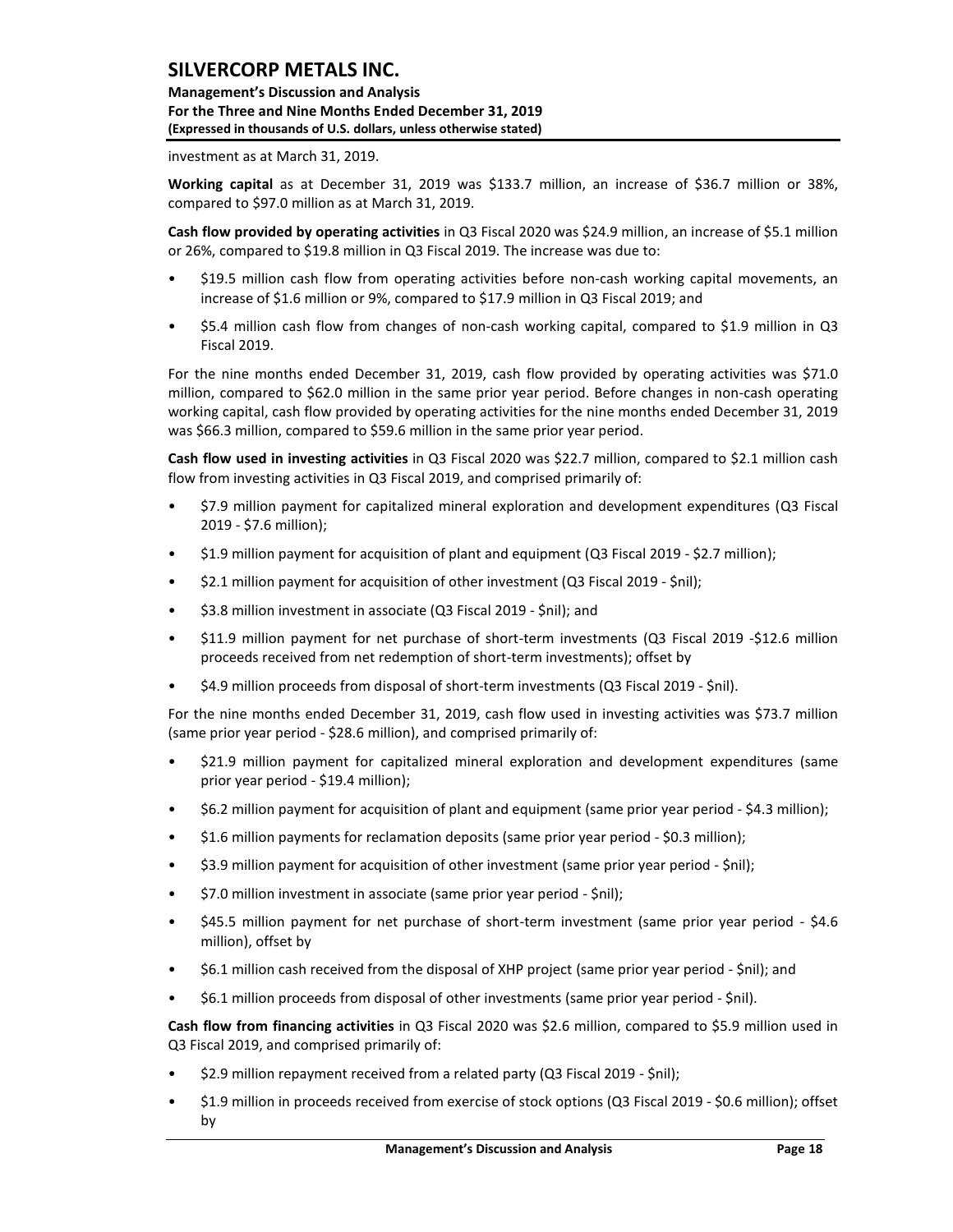**Management's Discussion and Analysis For the Three and Nine Months Ended December 31, 2019 (Expressed in thousands of U.S. dollars, unless otherwise stated)** 

investment as at March 31, 2019.

**Working capital** as at December 31, 2019 was \$133.7 million, an increase of \$36.7 million or 38%, compared to \$97.0 million as at March 31, 2019.

**Cash flow provided by operating activities** in Q3 Fiscal 2020 was \$24.9 million, an increase of \$5.1 million or 26%, compared to \$19.8 million in Q3 Fiscal 2019. The increase was due to:

- \$19.5 million cash flow from operating activities before non-cash working capital movements, an increase of \$1.6 million or 9%, compared to \$17.9 million in Q3 Fiscal 2019; and
- \$5.4 million cash flow from changes of non-cash working capital, compared to \$1.9 million in Q3 Fiscal 2019.

For the nine months ended December 31, 2019, cash flow provided by operating activities was \$71.0 million, compared to \$62.0 million in the same prior year period. Before changes in non-cash operating working capital, cash flow provided by operating activities for the nine months ended December 31, 2019 was \$66.3 million, compared to \$59.6 million in the same prior year period.

**Cash flow used in investing activities** in Q3 Fiscal 2020 was \$22.7 million, compared to \$2.1 million cash flow from investing activities in Q3 Fiscal 2019, and comprised primarily of:

- \$7.9 million payment for capitalized mineral exploration and development expenditures (Q3 Fiscal 2019 - \$7.6 million);
- \$1.9 million payment for acquisition of plant and equipment (Q3 Fiscal 2019 \$2.7 million);
- \$2.1 million payment for acquisition of other investment (Q3 Fiscal 2019 \$nil);
- \$3.8 million investment in associate (Q3 Fiscal 2019 \$nil); and
- \$11.9 million payment for net purchase of short-term investments (Q3 Fiscal 2019 -\$12.6 million proceeds received from net redemption of short-term investments); offset by
- \$4.9 million proceeds from disposal of short-term investments (Q3 Fiscal 2019 \$nil).

For the nine months ended December 31, 2019, cash flow used in investing activities was \$73.7 million (same prior year period - \$28.6 million), and comprised primarily of:

- \$21.9 million payment for capitalized mineral exploration and development expenditures (same prior year period - \$19.4 million);
- \$6.2 million payment for acquisition of plant and equipment (same prior year period \$4.3 million);
- \$1.6 million payments for reclamation deposits (same prior year period \$0.3 million);
- \$3.9 million payment for acquisition of other investment (same prior year period \$nil);
- \$7.0 million investment in associate (same prior year period \$nil);
- \$45.5 million payment for net purchase of short-term investment (same prior year period \$4.6 million), offset by
- \$6.1 million cash received from the disposal of XHP project (same prior year period \$nil); and
- \$6.1 million proceeds from disposal of other investments (same prior year period \$nil).

**Cash flow from financing activities** in Q3 Fiscal 2020 was \$2.6 million, compared to \$5.9 million used in Q3 Fiscal 2019, and comprised primarily of:

- \$2.9 million repayment received from a related party (Q3 Fiscal 2019 \$nil);
- \$1.9 million in proceeds received from exercise of stock options (Q3 Fiscal 2019 \$0.6 million); offset by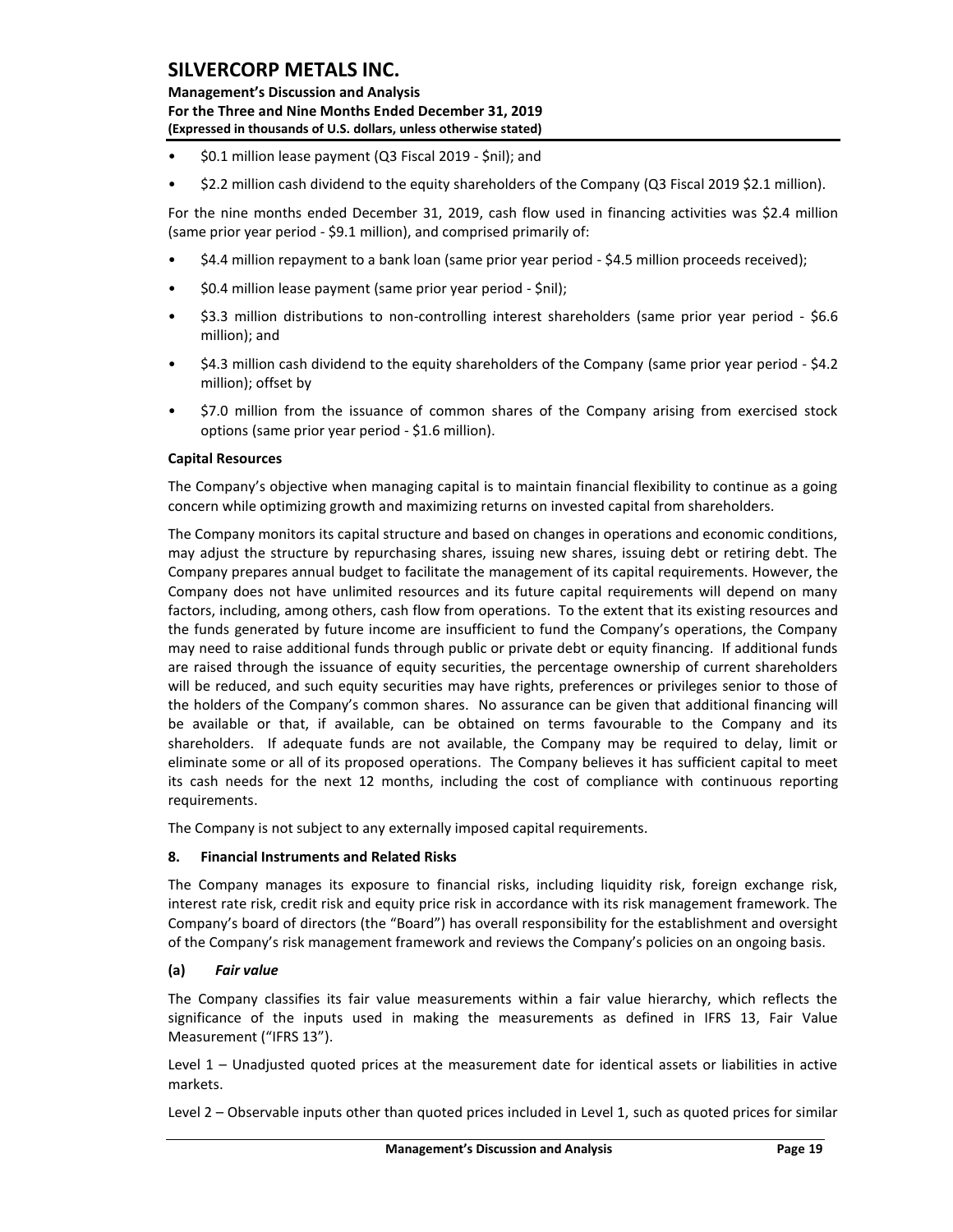**Management's Discussion and Analysis For the Three and Nine Months Ended December 31, 2019 (Expressed in thousands of U.S. dollars, unless otherwise stated)** 

- \$0.1 million lease payment (Q3 Fiscal 2019 \$nil); and
- \$2.2 million cash dividend to the equity shareholders of the Company (Q3 Fiscal 2019 \$2.1 million).

For the nine months ended December 31, 2019, cash flow used in financing activities was \$2.4 million (same prior year period - \$9.1 million), and comprised primarily of:

- \$4.4 million repayment to a bank loan (same prior year period \$4.5 million proceeds received);
- \$0.4 million lease payment (same prior year period \$nil);
- \$3.3 million distributions to non-controlling interest shareholders (same prior year period \$6.6 million); and
- \$4.3 million cash dividend to the equity shareholders of the Company (same prior year period \$4.2 million); offset by
- \$7.0 million from the issuance of common shares of the Company arising from exercised stock options (same prior year period - \$1.6 million).

### **Capital Resources**

The Company's objective when managing capital is to maintain financial flexibility to continue as a going concern while optimizing growth and maximizing returns on invested capital from shareholders.

The Company monitors its capital structure and based on changes in operations and economic conditions, may adjust the structure by repurchasing shares, issuing new shares, issuing debt or retiring debt. The Company prepares annual budget to facilitate the management of its capital requirements. However, the Company does not have unlimited resources and its future capital requirements will depend on many factors, including, among others, cash flow from operations. To the extent that its existing resources and the funds generated by future income are insufficient to fund the Company's operations, the Company may need to raise additional funds through public or private debt or equity financing. If additional funds are raised through the issuance of equity securities, the percentage ownership of current shareholders will be reduced, and such equity securities may have rights, preferences or privileges senior to those of the holders of the Company's common shares. No assurance can be given that additional financing will be available or that, if available, can be obtained on terms favourable to the Company and its shareholders. If adequate funds are not available, the Company may be required to delay, limit or eliminate some or all of its proposed operations. The Company believes it has sufficient capital to meet its cash needs for the next 12 months, including the cost of compliance with continuous reporting requirements.

The Company is not subject to any externally imposed capital requirements.

### <span id="page-19-0"></span>**8. Financial Instruments and Related Risks**

The Company manages its exposure to financial risks, including liquidity risk, foreign exchange risk, interest rate risk, credit risk and equity price risk in accordance with its risk management framework. The Company's board of directors (the "Board") has overall responsibility for the establishment and oversight of the Company's risk management framework and reviews the Company's policies on an ongoing basis.

### **(a)** *Fair value*

The Company classifies its fair value measurements within a fair value hierarchy, which reflects the significance of the inputs used in making the measurements as defined in IFRS 13, Fair Value Measurement ("IFRS 13").

Level 1 – Unadjusted quoted prices at the measurement date for identical assets or liabilities in active markets.

Level 2 – Observable inputs other than quoted prices included in Level 1, such as quoted prices for similar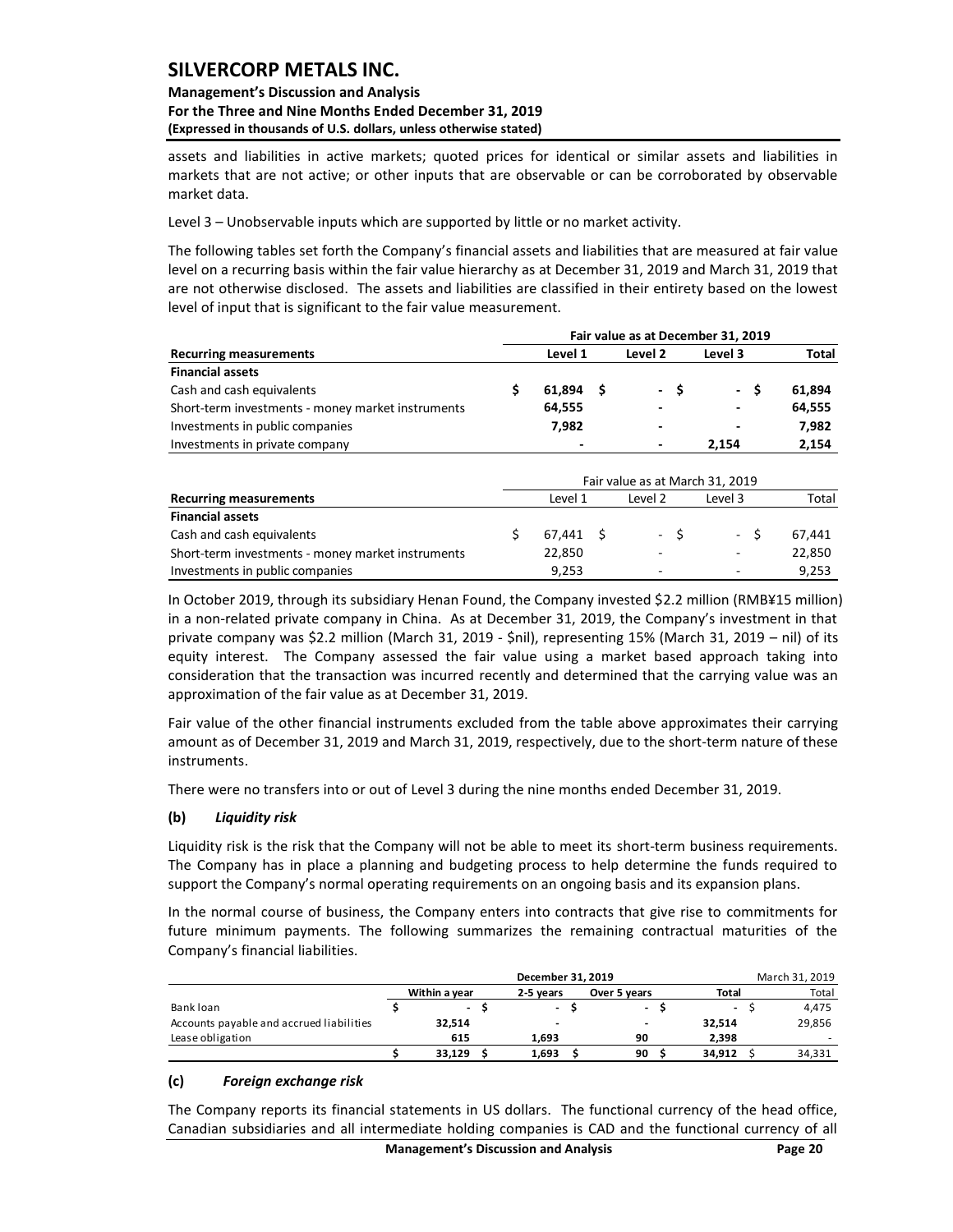### **Management's Discussion and Analysis For the Three and Nine Months Ended December 31, 2019 (Expressed in thousands of U.S. dollars, unless otherwise stated)**

assets and liabilities in active markets; quoted prices for identical or similar assets and liabilities in markets that are not active; or other inputs that are observable or can be corroborated by observable market data.

Level 3 – Unobservable inputs which are supported by little or no market activity.

The following tables set forth the Company's financial assets and liabilities that are measured at fair value level on a recurring basis within the fair value hierarchy as at December 31, 2019 and March 31, 2019 that are not otherwise disclosed. The assets and liabilities are classified in their entirety based on the lowest level of input that is significant to the fair value measurement.

|                                                   | Fair value as at December 31, 2019 |          |  |                          |  |                       |              |  |  |  |  |  |  |  |
|---------------------------------------------------|------------------------------------|----------|--|--------------------------|--|-----------------------|--------------|--|--|--|--|--|--|--|
| <b>Recurring measurements</b>                     |                                    | Level 1  |  | Level 2                  |  | Level 3               | <b>Total</b> |  |  |  |  |  |  |  |
| <b>Financial assets</b>                           |                                    |          |  |                          |  |                       |              |  |  |  |  |  |  |  |
| Cash and cash equivalents                         |                                    | 61.894 S |  | - S                      |  | - S<br>$\blacksquare$ | 61.894       |  |  |  |  |  |  |  |
| Short-term investments - money market instruments |                                    | 64,555   |  | $\overline{\phantom{a}}$ |  | ٠                     | 64,555       |  |  |  |  |  |  |  |
| Investments in public companies                   |                                    | 7.982    |  | $\overline{\phantom{a}}$ |  | ٠                     | 7,982        |  |  |  |  |  |  |  |
| Investments in private company                    |                                    |          |  | $\overline{\phantom{0}}$ |  | 2.154                 | 2.154        |  |  |  |  |  |  |  |

| <b>Recurring measurements</b>                                                                                                                                                                                                                                                                                                                                                                                                                                                              |                                      | Level 1              | Level 2                         | Level 3         | Total          |
|--------------------------------------------------------------------------------------------------------------------------------------------------------------------------------------------------------------------------------------------------------------------------------------------------------------------------------------------------------------------------------------------------------------------------------------------------------------------------------------------|--------------------------------------|----------------------|---------------------------------|-----------------|----------------|
| <b>Financial assets</b>                                                                                                                                                                                                                                                                                                                                                                                                                                                                    |                                      |                      |                                 |                 |                |
| Cash and cash equivalents                                                                                                                                                                                                                                                                                                                                                                                                                                                                  |                                      | \$<br>61,894         | \$                              | \$              | \$<br>61,894   |
| Short-term investments - money market instruments                                                                                                                                                                                                                                                                                                                                                                                                                                          |                                      | 64,555               |                                 |                 | 64,555         |
| Investments in public companies                                                                                                                                                                                                                                                                                                                                                                                                                                                            |                                      | 7,982                |                                 |                 | 7,982          |
| Investments in private company                                                                                                                                                                                                                                                                                                                                                                                                                                                             |                                      |                      |                                 | 2,154           | 2,154          |
|                                                                                                                                                                                                                                                                                                                                                                                                                                                                                            |                                      |                      |                                 |                 |                |
|                                                                                                                                                                                                                                                                                                                                                                                                                                                                                            |                                      |                      | Fair value as at March 31, 2019 |                 |                |
| <b>Recurring measurements</b>                                                                                                                                                                                                                                                                                                                                                                                                                                                              |                                      | Level 1              | Level 2                         | Level 3         | Total          |
| <b>Financial assets</b>                                                                                                                                                                                                                                                                                                                                                                                                                                                                    |                                      |                      |                                 |                 |                |
| Cash and cash equivalents                                                                                                                                                                                                                                                                                                                                                                                                                                                                  |                                      | \$<br>67,441         | \$                              | \$              | \$<br>67,441   |
| Short-term investments - money market instruments                                                                                                                                                                                                                                                                                                                                                                                                                                          |                                      | 22,850               |                                 |                 | 22,850         |
| Investments in public companies                                                                                                                                                                                                                                                                                                                                                                                                                                                            |                                      | 9,253                |                                 |                 | 9,253          |
| in a non-related private company in China. As at December 31, 2019, the Company's investment in that<br>private company was \$2.2 million (March 31, 2019 - \$nil), representing 15% (March 31, 2019 - nil) of its<br>equity interest. The Company assessed the fair value using a market based approach taking into<br>consideration that the transaction was incurred recently and determined that the carrying value was an<br>approximation of the fair value as at December 31, 2019. |                                      |                      |                                 |                 |                |
| Fair value of the other financial instruments excluded from the table above approximates their carrying<br>amount as of December 31, 2019 and March 31, 2019, respectively, due to the short-term nature of these<br>instruments.                                                                                                                                                                                                                                                          |                                      |                      |                                 |                 |                |
| There were no transfers into or out of Level 3 during the nine months ended December 31, 2019.                                                                                                                                                                                                                                                                                                                                                                                             |                                      |                      |                                 |                 |                |
| (b)<br><b>Liquidity risk</b>                                                                                                                                                                                                                                                                                                                                                                                                                                                               |                                      |                      |                                 |                 |                |
| Liquidity risk is the risk that the Company will not be able to meet its short-term business requirements.<br>The Company has in place a planning and budgeting process to help determine the funds required to<br>support the Company's normal operating requirements on an ongoing basis and its expansion plans.                                                                                                                                                                        |                                      |                      |                                 |                 |                |
| In the normal course of business, the Company enters into contracts that give rise to commitments for<br>future minimum payments. The following summarizes the remaining contractual maturities of the<br>Company's financial liabilities.                                                                                                                                                                                                                                                 |                                      | December 31, 2019    |                                 |                 | March 31, 2019 |
|                                                                                                                                                                                                                                                                                                                                                                                                                                                                                            | Within a year                        | 2-5 years            | Over 5 years                    | <b>Total</b>    | Total          |
| Bank loan                                                                                                                                                                                                                                                                                                                                                                                                                                                                                  | \$<br>\$<br>$\overline{\phantom{0}}$ | - \$                 | \$<br>$\overline{\phantom{a}}$  | - \$            | 4,475          |
| Accounts payable and accrued liabilities                                                                                                                                                                                                                                                                                                                                                                                                                                                   | 32,514                               |                      | $\overline{\phantom{a}}$        | 32,514          | 29,856         |
| Lease obligation                                                                                                                                                                                                                                                                                                                                                                                                                                                                           | 615<br>\$<br>\$<br>33,129            | 1,693<br>\$<br>1,693 | 90<br>\$<br>90                  | 2,398<br>34,912 | \$<br>34,331   |
|                                                                                                                                                                                                                                                                                                                                                                                                                                                                                            |                                      |                      |                                 |                 |                |
| Foreign exchange risk<br>(c)                                                                                                                                                                                                                                                                                                                                                                                                                                                               |                                      |                      |                                 |                 |                |
|                                                                                                                                                                                                                                                                                                                                                                                                                                                                                            |                                      |                      |                                 |                 |                |
| The Company reports its financial statements in US dollars. The functional currency of the head office,<br>Canadian subsidiaries and all intermediate holding companies is CAD and the functional currency of all                                                                                                                                                                                                                                                                          |                                      |                      |                                 |                 |                |

### **(b)** *Liquidity risk*

|                                          | December 31, 2019 |  |                          |              |  |                          |  |        |  |
|------------------------------------------|-------------------|--|--------------------------|--------------|--|--------------------------|--|--------|--|
|                                          | Within a year     |  | 2-5 vears                | Over 5 years |  | <b>Total</b>             |  | Total  |  |
| Bank loan                                | $\sim$            |  | $\overline{\phantom{a}}$ | $\sim$       |  | $\overline{\phantom{a}}$ |  | 4.475  |  |
| Accounts payable and accrued liabilities | 32,514            |  | -                        | -            |  | 32,514                   |  | 29,856 |  |
| Lease obligation                         | 615               |  | 1.693                    | 90           |  | 2.398                    |  |        |  |
|                                          | 33.129            |  | 1,693                    | 90           |  | 34.912                   |  | 34,331 |  |
| $\mathbf{L}$<br>Pauatan angkanan nisir   |                   |  |                          |              |  |                          |  |        |  |

### **(c)** *Foreign exchange risk*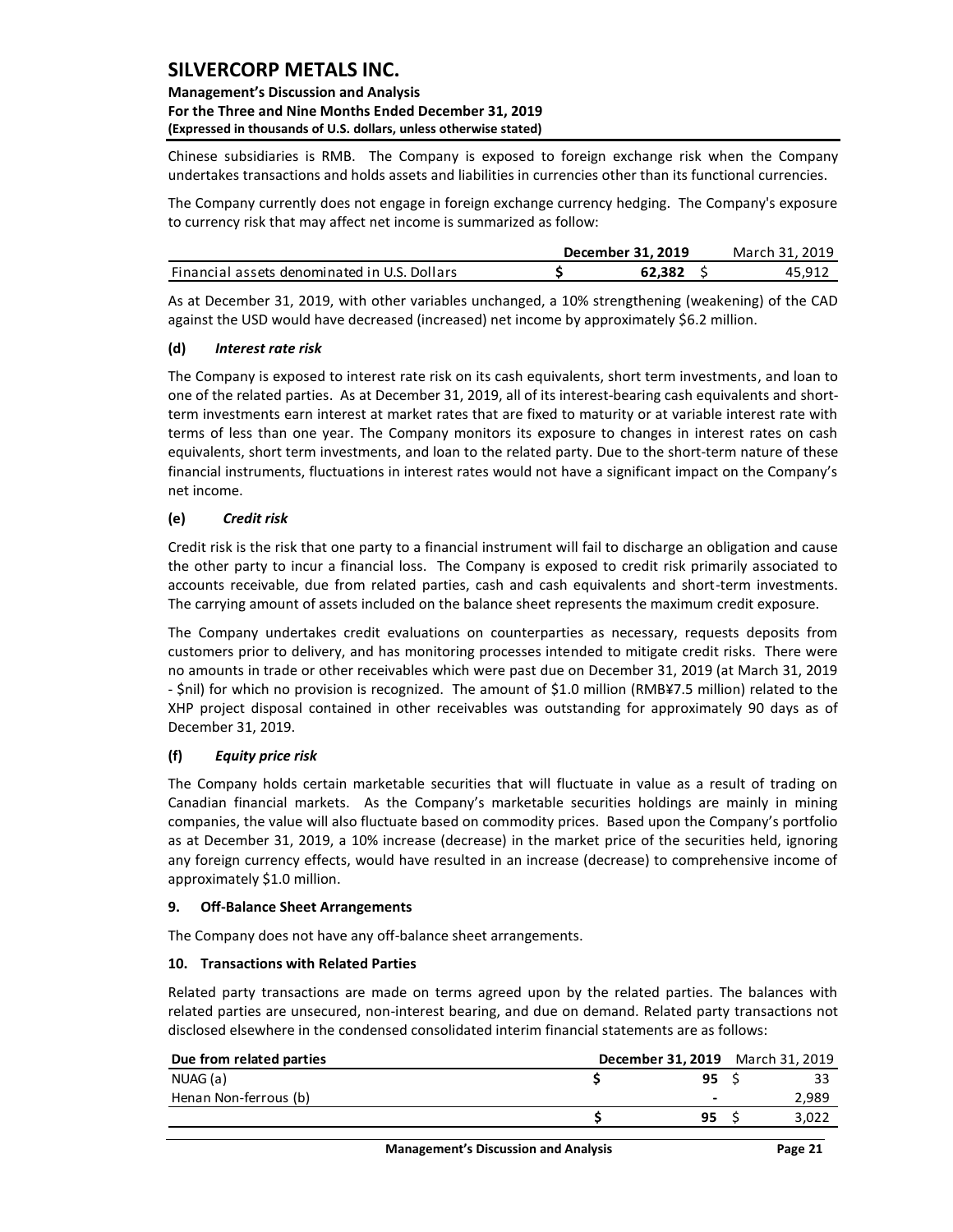### **Management's Discussion and Analysis For the Three and Nine Months Ended December 31, 2019 (Expressed in thousands of U.S. dollars, unless otherwise stated)**

Chinese subsidiaries is RMB. The Company is exposed to foreign exchange risk when the Company undertakes transactions and holds assets and liabilities in currencies other than its functional currencies.

The Company currently does not engage in foreign exchange currency hedging. The Company's exposure to currency risk that may affect net income is summarized as follow:

|                                              | December 31, 2019 | March 31. 2019 |
|----------------------------------------------|-------------------|----------------|
| Financial assets denominated in U.S. Dollars | 62.382            | 45.912         |

As at December 31, 2019, with other variables unchanged, a 10% strengthening (weakening) of the CAD against the USD would have decreased (increased) net income by approximately \$6.2 million.

### **(d)** *Interest rate risk*

The Company is exposed to interest rate risk on its cash equivalents, short term investments, and loan to one of the related parties. As at December 31, 2019, all of its interest-bearing cash equivalents and shortterm investments earn interest at market rates that are fixed to maturity or at variable interest rate with terms of less than one year. The Company monitors its exposure to changes in interest rates on cash equivalents, short term investments, and loan to the related party. Due to the short-term nature of these financial instruments, fluctuations in interest rates would not have a significant impact on the Company's net income.

### **(e)** *Credit risk*

Credit risk is the risk that one party to a financial instrument will fail to discharge an obligation and cause the other party to incur a financial loss. The Company is exposed to credit risk primarily associated to accounts receivable, due from related parties, cash and cash equivalents and short-term investments. The carrying amount of assets included on the balance sheet represents the maximum credit exposure.

The Company undertakes credit evaluations on counterparties as necessary, requests deposits from customers prior to delivery, and has monitoring processes intended to mitigate credit risks. There were no amounts in trade or other receivables which were past due on December 31, 2019 (at March 31, 2019 - \$nil) for which no provision is recognized. The amount of \$1.0 million (RMB¥7.5 million) related to the XHP project disposal contained in other receivables was outstanding for approximately 90 days as of December 31, 2019.

### **(f)** *Equity price risk*

The Company holds certain marketable securities that will fluctuate in value as a result of trading on Canadian financial markets. As the Company's marketable securities holdings are mainly in mining companies, the value will also fluctuate based on commodity prices. Based upon the Company's portfolio as at December 31, 2019, a 10% increase (decrease) in the market price of the securities held, ignoring any foreign currency effects, would have resulted in an increase (decrease) to comprehensive income of approximately \$1.0 million.

### <span id="page-21-0"></span>**9. Off-Balance Sheet Arrangements**

The Company does not have any off-balance sheet arrangements.

### <span id="page-21-1"></span>**10. Transactions with Related Parties**

Related party transactions are made on terms agreed upon by the related parties. The balances with related parties are unsecured, non-interest bearing, and due on demand. Related party transactions not

| Telated parties are ansecured, non-miterest bearing, and due on achianal helated party transactions not<br>disclosed elsewhere in the condensed consolidated interim financial statements are as follows: |      |                                  |
|-----------------------------------------------------------------------------------------------------------------------------------------------------------------------------------------------------------|------|----------------------------------|
| Due from related parties                                                                                                                                                                                  |      | December 31, 2019 March 31, 2019 |
| NUAG (a)                                                                                                                                                                                                  | 95S  | 33                               |
| Henan Non-ferrous (b)                                                                                                                                                                                     |      | 2,989                            |
|                                                                                                                                                                                                           | 95 S | 3,022                            |
|                                                                                                                                                                                                           |      |                                  |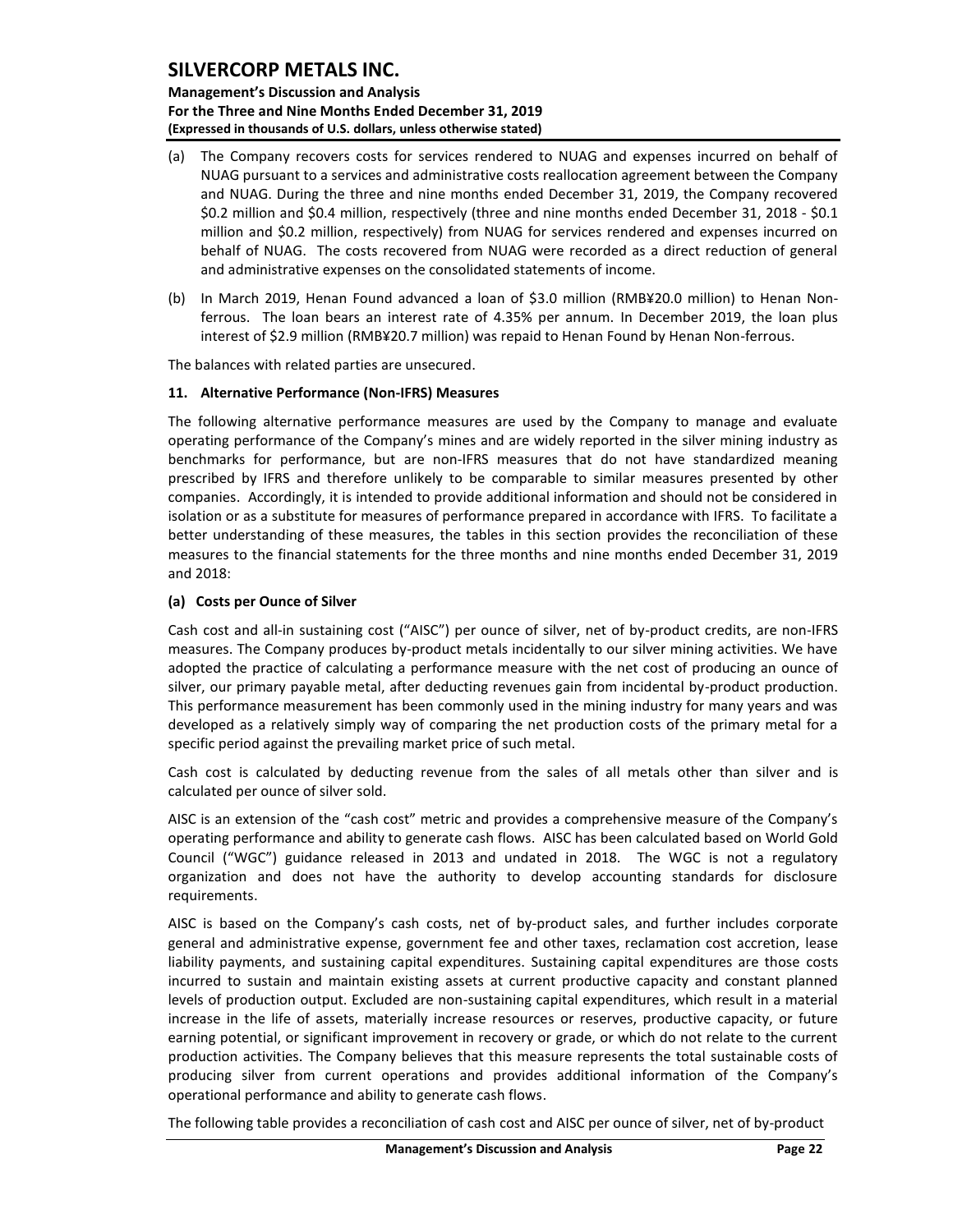**Management's Discussion and Analysis For the Three and Nine Months Ended December 31, 2019 (Expressed in thousands of U.S. dollars, unless otherwise stated)** 

- (a) The Company recovers costs for services rendered to NUAG and expenses incurred on behalf of NUAG pursuant to a services and administrative costs reallocation agreement between the Company and NUAG. During the three and nine months ended December 31, 2019, the Company recovered \$0.2 million and \$0.4 million, respectively (three and nine months ended December 31, 2018 - \$0.1 million and \$0.2 million, respectively) from NUAG for services rendered and expenses incurred on behalf of NUAG. The costs recovered from NUAG were recorded as a direct reduction of general and administrative expenses on the consolidated statements of income.
- (b) In March 2019, Henan Found advanced a loan of \$3.0 million (RMB¥20.0 million) to Henan Nonferrous. The loan bears an interest rate of 4.35% per annum. In December 2019, the loan plus interest of \$2.9 million (RMB¥20.7 million) was repaid to Henan Found by Henan Non-ferrous.

The balances with related parties are unsecured.

#### <span id="page-22-0"></span>**11. Alternative Performance (Non-IFRS) Measures**

The following alternative performance measures are used by the Company to manage and evaluate operating performance of the Company's mines and are widely reported in the silver mining industry as benchmarks for performance, but are non-IFRS measures that do not have standardized meaning prescribed by IFRS and therefore unlikely to be comparable to similar measures presented by other companies. Accordingly, it is intended to provide additional information and should not be considered in isolation or as a substitute for measures of performance prepared in accordance with IFRS. To facilitate a better understanding of these measures, the tables in this section provides the reconciliation of these measures to the financial statements for the three months and nine months ended December 31, 2019 and 2018:

#### **(a) Costs per Ounce of Silver**

Cash cost and all-in sustaining cost ("AISC") per ounce of silver, net of by-product credits, are non-IFRS measures. The Company produces by-product metals incidentally to our silver mining activities. We have adopted the practice of calculating a performance measure with the net cost of producing an ounce of silver, our primary payable metal, after deducting revenues gain from incidental by-product production. This performance measurement has been commonly used in the mining industry for many years and was developed as a relatively simply way of comparing the net production costs of the primary metal for a specific period against the prevailing market price of such metal.

Cash cost is calculated by deducting revenue from the sales of all metals other than silver and is calculated per ounce of silver sold.

AISC is an extension of the "cash cost" metric and provides a comprehensive measure of the Company's operating performance and ability to generate cash flows. AISC has been calculated based on World Gold Council ("WGC") guidance released in 2013 and undated in 2018. The WGC is not a regulatory organization and does not have the authority to develop accounting standards for disclosure requirements.

AISC is based on the Company's cash costs, net of by-product sales, and further includes corporate general and administrative expense, government fee and other taxes, reclamation cost accretion, lease liability payments, and sustaining capital expenditures. Sustaining capital expenditures are those costs incurred to sustain and maintain existing assets at current productive capacity and constant planned levels of production output. Excluded are non-sustaining capital expenditures, which result in a material increase in the life of assets, materially increase resources or reserves, productive capacity, or future earning potential, or significant improvement in recovery or grade, or which do not relate to the current production activities. The Company believes that this measure represents the total sustainable costs of producing silver from current operations and provides additional information of the Company's operational performance and ability to generate cash flows.

The following table provides a reconciliation of cash cost and AISC per ounce of silver, net of by-product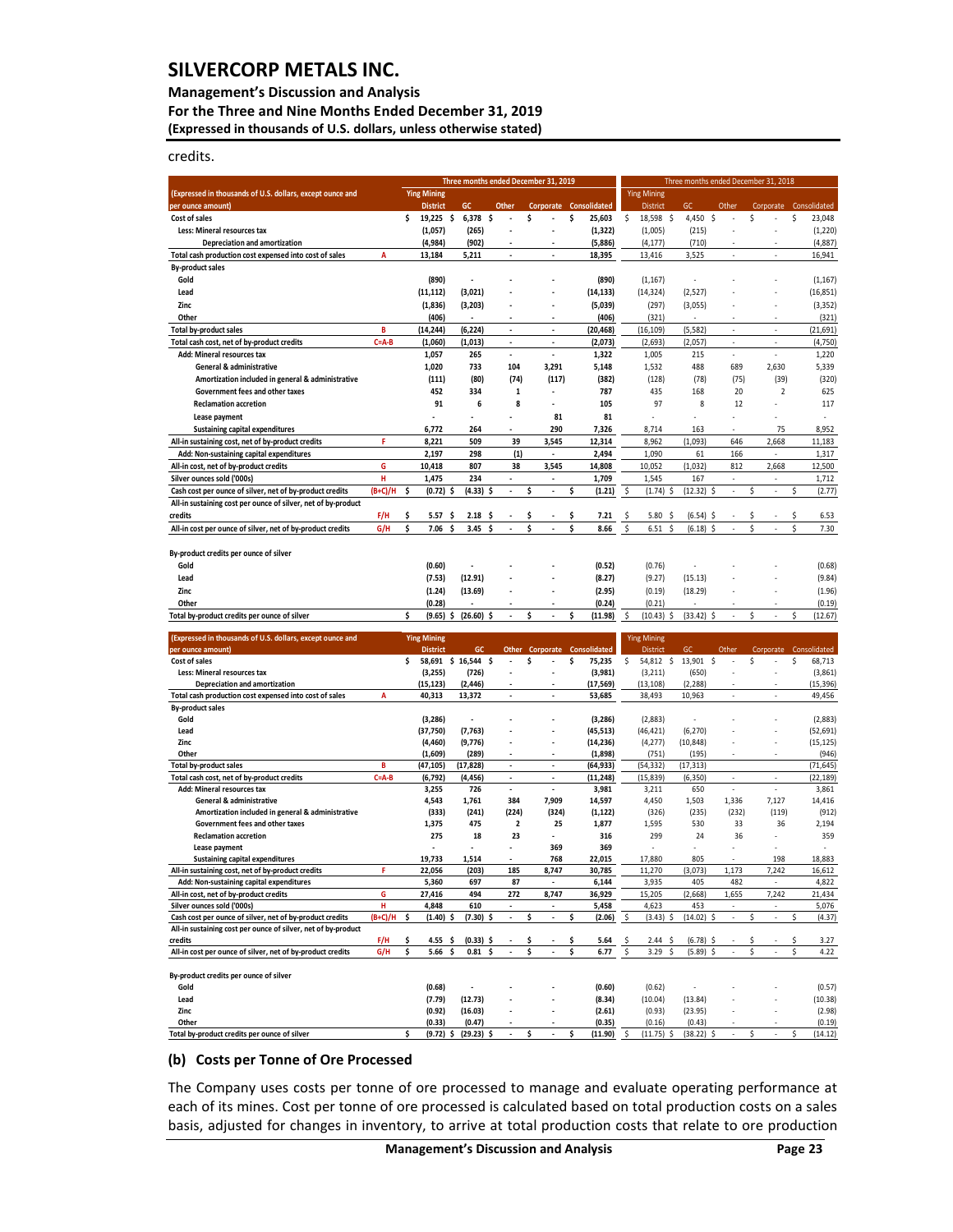#### **Management's Discussion and Analysis**

**For the Three and Nine Months Ended December 31, 2019 (Expressed in thousands of U.S. dollars, unless otherwise stated)** 

credits.

|                                                                                                             |                |                                       |          | Three months ended December 31, 2019 |                                               |         |                          |         |                        |          |                                         | Three months ended December 31, 2018 |              |    |                          |    |                     |
|-------------------------------------------------------------------------------------------------------------|----------------|---------------------------------------|----------|--------------------------------------|-----------------------------------------------|---------|--------------------------|---------|------------------------|----------|-----------------------------------------|--------------------------------------|--------------|----|--------------------------|----|---------------------|
| (Expressed in thousands of U.S. dollars, except ounce and                                                   |                | <b>Ying Mining</b>                    |          |                                      |                                               |         |                          |         |                        |          | <b>Ying Mining</b>                      |                                      |              |    |                          |    |                     |
| per ounce amount)                                                                                           |                | <b>District</b>                       |          | GC                                   | Other                                         |         | Corporate                |         | Consolidated           |          | <b>District</b>                         | GC                                   | Other        |    | Corporate                |    | Consolidated        |
| Cost of sales<br>Less: Mineral resources tax                                                                |                | \$<br>$19,225$ \$<br>(1,057)          |          | 6,378<br>(265)                       | -\$                                           | \$      | ÷.                       | \$      | 25,603<br>(1, 322)     | \$       | $\ddot{\varsigma}$<br>18,598<br>(1,005) | 4,450 \$<br>(215)                    |              | \$ |                          | \$ | 23,048              |
| Depreciation and amortization                                                                               |                | (4,984)                               |          | (902)                                |                                               |         |                          |         | (5,886)                |          | (4, 177)                                | (710)                                |              |    |                          |    | (1, 220)<br>(4,887) |
| Total cash production cost expensed into cost of sales                                                      | A              | 13,184                                |          | 5,211                                | $\overline{a}$                                |         | ÷,                       |         | 18,395                 |          | 13,416                                  | 3,525                                | ×,           |    | ×,                       |    | 16,941              |
| <b>By-product sales</b>                                                                                     |                |                                       |          |                                      |                                               |         |                          |         |                        |          |                                         |                                      |              |    |                          |    |                     |
| Gold                                                                                                        |                | (890)                                 |          | $\overline{\phantom{a}}$             |                                               |         |                          |         | (890)                  |          | (1, 167)                                |                                      |              |    |                          |    | (1, 167)            |
| Lead                                                                                                        |                | (11, 112)                             |          | (3,021)                              |                                               |         |                          |         | (14, 133)              |          | (14, 324)                               | (2, 527)                             |              |    |                          |    | (16, 851)           |
| Zinc<br>Other                                                                                               |                | (1,836)<br>(406)                      |          | (3, 203)                             | ÷.                                            |         | ٠                        |         | (5,039)<br>(406)       |          | (297)<br>(321)                          | (3,055)                              |              |    | i.                       |    | (3, 352)<br>(321)   |
| Total by-product sales                                                                                      | B              | (14, 244)                             |          | (6, 224)                             | $\overline{\phantom{a}}$                      |         | ÷,                       |         | (20, 468)              |          | (16, 109)                               | (5, 582)                             | ä,           |    | ×                        |    | (21, 691)           |
| Total cash cost, net of by-product credits                                                                  | $C = A - B$    | (1,060)                               |          | (1,013)                              | $\sim$                                        |         | $\blacksquare$           |         | (2,073)                |          | (2,693)                                 | (2,057)                              | $\sim$       |    | $\overline{\phantom{a}}$ |    | (4,750)             |
| Add: Mineral resources tax                                                                                  |                | 1,057                                 |          | 265                                  | $\overline{a}$                                |         | $\overline{a}$           |         | 1,322                  |          | 1,005                                   | 215                                  |              |    |                          |    | 1,220               |
| General & administrative                                                                                    |                | 1,020                                 |          | 733                                  | 104                                           |         | 3,291                    |         | 5,148                  |          | 1,532                                   | 488                                  | 689          |    | 2,630                    |    | 5,339               |
| Amortization included in general & administrative                                                           |                | (111)                                 |          | (80)                                 | (74)                                          |         | (117)                    |         | (382)                  |          | (128)                                   | (78)                                 | (75)         |    | (39)                     |    | (320)               |
| Government fees and other taxes<br><b>Reclamation accretion</b>                                             |                | 452<br>91                             |          | 334<br>6                             | $\mathbf 1$<br>8                              |         |                          |         | 787<br>105             |          | 435<br>97                               | 168<br>8                             | 20<br>12     |    | $\overline{2}$           |    | 625<br>117          |
| Lease payment                                                                                               |                |                                       |          | $\overline{a}$                       | ä,                                            |         | 81                       |         | 81                     |          | ä,                                      |                                      |              |    |                          |    | ä,                  |
| <b>Sustaining capital expenditures</b>                                                                      |                | 6,772                                 |          | 264                                  | L.                                            |         | 290                      |         | 7,326                  |          | 8,714                                   | 163                                  |              |    | 75                       |    | 8,952               |
| All-in sustaining cost, net of by-product credits                                                           | F              | 8,221                                 |          | 509                                  | 39                                            |         | 3,545                    |         | 12,314                 |          | 8,962                                   | (1,093)                              | 646          |    | 2,668                    |    | 11,183              |
| Add: Non-sustaining capital expenditures                                                                    |                | 2,197                                 |          | 298                                  | (1)                                           |         | $\blacksquare$           |         | 2,494                  |          | 1,090                                   | 61                                   | 166          |    | ×,                       |    | 1,317               |
| All-in cost, net of by-product credits                                                                      | G              | 10,418                                |          | 807                                  | 38                                            |         | 3,545                    |         | 14,808                 |          | 10,052                                  | (1,032)                              | 812          |    | 2,668                    |    | 12,500              |
| Silver ounces sold ('000s)<br>Cash cost per ounce of silver, net of by-product credits                      | н<br>$(B+C)/H$ | 1,475<br>Ś<br>(0.72)                  | Ŝ        | 234<br>(4.33)                        | $\blacksquare$<br>$\ddot{\phantom{0}}$<br>-\$ | Ś       | $\overline{\phantom{a}}$ | \$      | 1,709<br>(1.21)        | \$       | 1,545<br>(1.74)<br>\$                   | 167<br>(12.32)                       | ×,<br>Ŝ<br>÷ | \$ | ä,<br>ä,                 | \$ | 1,712<br>(2.77)     |
| All-in sustaining cost per ounce of silver, net of by-product                                               |                |                                       |          |                                      |                                               |         |                          |         |                        |          |                                         |                                      |              |    |                          |    |                     |
| credits                                                                                                     | F/H            | \$<br>5.57                            | \$.      | 2.18                                 | \$.                                           |         |                          |         | 7.21                   | \$       | 5.80<br>S                               | (6.54)                               |              |    |                          |    | 6.53                |
| All-in cost per ounce of silver, net of by-product credits                                                  | G/H            | \$<br>7.06                            | Ś        | 3.45                                 | Ś                                             | \$      |                          | \$      | 8.66                   | \$       | Ś<br>6.51                               | (6.18)                               | Ś            | Ś  |                          | Ś  | 7.30                |
|                                                                                                             |                |                                       |          |                                      |                                               |         |                          |         |                        |          |                                         |                                      |              |    |                          |    |                     |
| By-product credits per ounce of silver                                                                      |                |                                       |          |                                      |                                               |         |                          |         |                        |          |                                         |                                      |              |    |                          |    |                     |
| Gold                                                                                                        |                | (0.60)                                |          | $\overline{a}$                       |                                               |         |                          |         | (0.52)                 |          | (0.76)                                  |                                      |              |    |                          |    | (0.68)              |
| Lead<br>Zinc                                                                                                |                | (7.53)<br>(1.24)                      |          | (12.91)<br>(13.69)                   |                                               |         |                          |         | (8.27)<br>(2.95)       |          | (9.27)<br>(0.19)                        | (15.13)<br>(18.29)                   |              |    |                          |    | (9.84)<br>(1.96)    |
| Other                                                                                                       |                | (0.28)                                |          |                                      | $\overline{\phantom{a}}$                      |         |                          |         | (0.24)                 |          | (0.21)                                  |                                      |              |    |                          |    | (0.19)              |
| Total by-product credits per ounce of silver                                                                |                | \$<br>(9.65)                          | \$       | (26.60)                              | S<br>$\overline{a}$                           | Ś       | $\lambda$                | \$      | (11.98)                | \$       | (10.43)<br>Ś                            | (33.42)                              | S            | Ś  | ×.                       | Ś  | (12.67)             |
|                                                                                                             |                |                                       |          |                                      |                                               |         |                          |         |                        |          |                                         |                                      |              |    |                          |    |                     |
| (Expressed in thousands of U.S. dollars, except ounce and<br>per ounce amount)                              |                | <b>Ying Mining</b><br><b>District</b> |          | GC                                   | Other                                         |         | Corporate                |         | Consolidated           |          | <b>Ying Mining</b><br><b>District</b>   | GC                                   | Other        |    | Corporate                |    | Consolidated        |
| Cost of sales                                                                                               |                | \$                                    |          | 58,691 \$ 16,544                     | -\$                                           | \$      |                          | \$      | 75,235                 | \$       | \$<br>54,812                            | 13,901                               | \$           | \$ |                          | \$ | 68,713              |
| Less: Mineral resources tax                                                                                 |                | (3, 255)                              |          | (726)                                |                                               |         |                          |         | (3,981)                |          | (3, 211)                                | (650)                                |              |    |                          |    | (3,861)             |
| Depreciation and amortization                                                                               |                | (15, 123)                             |          | (2, 446)                             |                                               |         |                          |         | (17, 569)              |          | (13, 108)                               | (2, 288)                             |              |    |                          |    | (15, 396)           |
| Total cash production cost expensed into cost of sales<br><b>By-product sales</b>                           | A              | 40,313                                |          | 13,372                               | $\overline{a}$                                |         | $\overline{a}$           |         | 53,685                 |          | 38,493                                  | 10,963                               | i,           |    | i,                       |    | 49,456              |
| Gold                                                                                                        |                | (3, 286)                              |          |                                      |                                               |         |                          |         | (3, 286)               |          | (2,883)                                 |                                      |              |    |                          |    | (2,883)             |
| Lead                                                                                                        |                | (37,750)                              |          | (7, 763)                             |                                               |         |                          |         | (45, 513)              |          | (46, 421)                               | (6, 270)                             |              |    |                          |    | (52, 691)           |
| Zinc                                                                                                        |                | (4, 460)                              |          | (9,776)                              |                                               |         |                          |         | (14, 236)              |          | (4, 277)                                | (10, 848)                            |              |    |                          |    | (15, 125)           |
| Other                                                                                                       | B              | (1,609)                               |          | (289)<br>(17, 828)                   | $\overline{a}$                                |         | $\overline{a}$           |         | (1,898)                |          | (751)<br>(54, 332)                      | (195)<br>(17, 313)                   |              |    | J.                       |    | (946)<br>(71, 645)  |
| <b>Total by-product sales</b><br>Total cash cost, net of by-product credits                                 | $C = A - B$    | (47, 105)<br>(6, 792)                 |          | (4, 456)                             | $\blacksquare$                                |         | $\overline{\phantom{a}}$ |         | (64, 933)<br>(11, 248) |          | (15, 839)                               | (6, 350)                             | ÷            |    | $\overline{\phantom{a}}$ |    | (22, 189)           |
| Add: Mineral resources tax                                                                                  |                | 3,255                                 |          | 726                                  | $\Box$                                        |         | $\overline{\phantom{a}}$ |         | 3,981                  |          | 3,211                                   | 650                                  | ÷,           |    | ÷,                       |    | 3,861               |
| General & administrative                                                                                    |                | 4,543                                 |          | 1,761                                | 384                                           |         | 7,909                    |         | 14,597                 |          | 4,450                                   | 1,503                                | 1,336        |    | 7,127                    |    | 14,416              |
| Amortization included in general & administrative                                                           |                | (333)                                 |          | (241)                                | (224)                                         |         | (324)                    |         | (1, 122)               |          | (326)                                   | (235)                                | (232)        |    | (119)                    |    | (912)               |
| Government fees and other taxes<br><b>Reclamation accretion</b>                                             |                | 1,375<br>275                          |          | 475<br>18                            | $\overline{\mathbf{2}}$<br>23                 |         | 25                       |         | 1,877<br>316           |          | 1,595<br>299                            | 530<br>24                            | 33<br>36     |    | 36                       |    | 2,194<br>359        |
| Lease payment                                                                                               |                |                                       |          |                                      |                                               |         | 369                      |         | 369                    |          |                                         |                                      |              |    |                          |    |                     |
| <b>Sustaining capital expenditures</b>                                                                      |                | 19,733                                |          | 1,514                                |                                               |         | 768                      |         | 22,015                 |          | 17,880                                  | 805                                  |              |    | 198                      |    | 18,883              |
| All-in sustaining cost, net of by-product credits                                                           | F              | 22,056                                |          | (203)                                | 185                                           |         | 8,747                    |         | 30,785                 |          | 11,270                                  | (3,073)                              | 1,173        |    | 7,242                    |    | 16,612              |
| Add: Non-sustaining capital expenditures<br>All-in cost, net of by-product credits                          | G              | 5,360<br>27,416                       |          | 697<br>494                           | 87<br>272                                     |         | 8,747                    |         | 6,144<br>36,929        |          | 3,935<br>15,205                         | 405<br>(2,668)                       | 482<br>1,655 |    | 7,242                    |    | 4,822<br>21,434     |
| Silver ounces sold ('000s)                                                                                  | н              | 4,848                                 |          | 610                                  |                                               |         |                          |         | 5,458                  |          | 4,623                                   | 453                                  |              |    |                          |    | 5,076               |
| Cash cost per ounce of silver, net of by-product credits                                                    | (B+C)/H        | (1.40)<br>Ś                           | \$       | (7.30)                               | $\overline{\phantom{a}}$                      | Ś       | $\overline{a}$           | \$      | (2.06)                 | \$       | (3.43)<br>\$                            | (14.02)                              | \$           | \$ | $\overline{\phantom{a}}$ | Ś  | (4.37)              |
| All-in sustaining cost per ounce of silver, net of by-product                                               |                |                                       |          |                                      |                                               |         |                          |         |                        |          |                                         |                                      |              |    |                          |    |                     |
| credits<br>All-in cost per ounce of silver, net of by-product credits                                       | F/H<br>G/H     | 4.55<br>s<br>Ś<br>5.66                | S<br>\$. | (0.33)<br>0.81                       | -S<br>\$                                      | s<br>\$ |                          | s<br>\$ | 5.64<br>6.77           | \$<br>\$ | 2.44<br>S<br>3.29<br>Ś                  | (6.78)<br>(5.89)                     | S<br>Ś       | \$ |                          |    | 3.27<br>4.22        |
|                                                                                                             |                |                                       |          |                                      |                                               |         |                          |         |                        |          |                                         |                                      |              |    |                          |    |                     |
| By-product credits per ounce of silver                                                                      |                |                                       |          |                                      |                                               |         |                          |         |                        |          |                                         |                                      |              |    |                          |    |                     |
| Gold                                                                                                        |                | (0.68)                                |          |                                      |                                               |         |                          |         | (0.60)                 |          | (0.62)                                  |                                      |              |    |                          |    | (0.57)              |
| Lead                                                                                                        |                | (7.79)                                |          | (12.73)                              |                                               |         |                          |         | (8.34)                 |          | (10.04)                                 | (13.84)                              |              |    |                          |    | (10.38)             |
| Zinc<br>Other                                                                                               |                | (0.92)<br>(0.33)                      |          | (16.03)<br>(0.47)                    |                                               |         |                          |         | (2.61)<br>(0.35)       |          | (0.93)<br>(0.16)                        | (23.95)<br>(0.43)                    |              |    |                          |    | (2.98)<br>(0.19)    |
| Total by-product credits per ounce of silver                                                                |                | (9.72)                                | \$       | (29.23)                              |                                               | Ś       |                          | \$      | (11.90)                | \$       | (11.75)                                 | (38.22)                              | \$           | \$ |                          | Ś  | (14.12)             |
|                                                                                                             |                |                                       |          |                                      |                                               |         |                          |         |                        |          |                                         |                                      |              |    |                          |    |                     |
| <b>Costs per Tonne of Ore Processed</b><br>(b)                                                              |                |                                       |          |                                      |                                               |         |                          |         |                        |          |                                         |                                      |              |    |                          |    |                     |
|                                                                                                             |                |                                       |          |                                      |                                               |         |                          |         |                        |          |                                         |                                      |              |    |                          |    |                     |
| The Company uses costs per tonne of ore processed to manage and evaluate operating performance at           |                |                                       |          |                                      |                                               |         |                          |         |                        |          |                                         |                                      |              |    |                          |    |                     |
| each of its mines. Cost per tonne of ore processed is calculated based on total production costs on a sales |                |                                       |          |                                      |                                               |         |                          |         |                        |          |                                         |                                      |              |    |                          |    |                     |
|                                                                                                             |                |                                       |          |                                      |                                               |         |                          |         |                        |          |                                         |                                      |              |    |                          |    |                     |
| basis, adjusted for changes in inventory, to arrive at total production costs that relate to ore production |                |                                       |          |                                      |                                               |         |                          |         |                        |          |                                         |                                      |              |    |                          |    |                     |

#### **(b) Costs per Tonne of Ore Processed**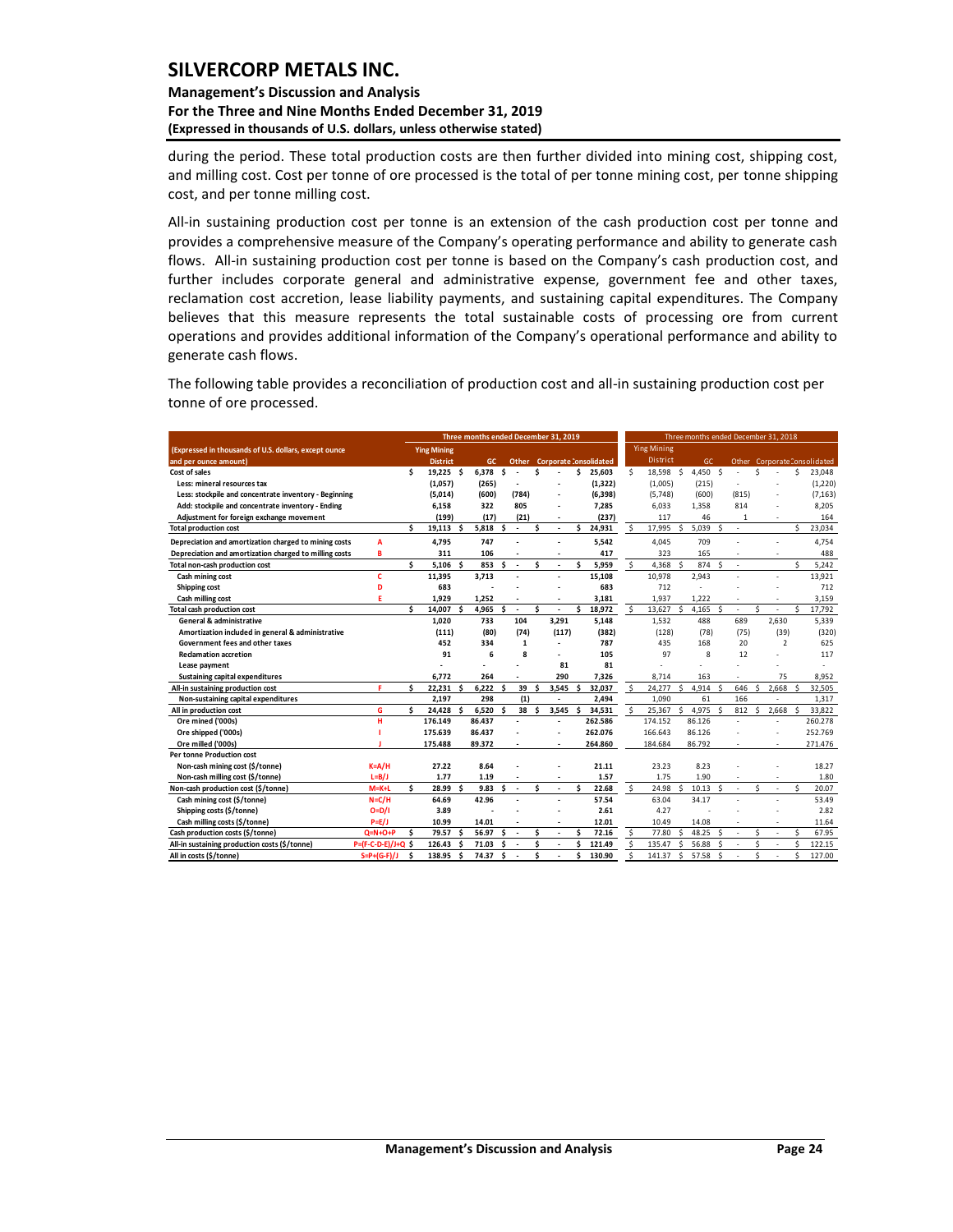### **Management's Discussion and Analysis For the Three and Nine Months Ended December 31, 2019 (Expressed in thousands of U.S. dollars, unless otherwise stated)**

during the period. These total production costs are then further divided into mining cost, shipping cost, and milling cost. Cost per tonne of ore processed is the total of per tonne mining cost, per tonne shipping cost, and per tonne milling cost.

All-in sustaining production cost per tonne is an extension of the cash production cost per tonne and provides a comprehensive measure of the Company's operating performance and ability to generate cash flows. All-in sustaining production cost per tonne is based on the Company's cash production cost, and further includes corporate general and administrative expense, government fee and other taxes, reclamation cost accretion, lease liability payments, and sustaining capital expenditures. The Company believes that this measure represents the total sustainable costs of processing ore from current operations and provides additional information of the Company's operational performance and ability to generate cash flows.

The following table provides a reconciliation of production cost and all-in sustaining production cost per tonne of ore processed.

|                                                        |                     | Three months ended December 31, 2019 |                    |     |           |    |                          |          | Three months ended December 31, 2018 |   |                        |              |                    |              |        |              |                          |    |                |    |                             |
|--------------------------------------------------------|---------------------|--------------------------------------|--------------------|-----|-----------|----|--------------------------|----------|--------------------------------------|---|------------------------|--------------|--------------------|--------------|--------|--------------|--------------------------|----|----------------|----|-----------------------------|
| (Expressed in thousands of U.S. dollars, except ounce  |                     |                                      | <b>Ying Mining</b> |     |           |    |                          |          |                                      |   |                        |              | <b>Ying Mining</b> |              |        |              |                          |    |                |    |                             |
| and per ounce amount)                                  |                     |                                      | <b>District</b>    |     | <b>GC</b> |    | Other                    |          |                                      |   | Corporate Consolidated |              | District           |              | GC     |              |                          |    |                |    | Other CorporateConsolidated |
| Cost of sales                                          |                     | Ś                                    | 19.225 \$          |     | 6.378     | Ŝ. |                          | Ś        |                                      | Ś | 25,603                 | Ś            | 18.598             | -Ś           | 4,450  | <sub>S</sub> | $\overline{a}$           | Ś  |                | \$ | 23,048                      |
| Less: mineral resources tax                            |                     |                                      | (1,057)            |     | (265)     |    | ÷                        |          |                                      |   | (1, 322)               |              | (1,005)            |              | (215)  |              | $\overline{a}$           |    |                |    | (1,220)                     |
| Less: stockpile and concentrate inventory - Beginning  |                     |                                      | (5,014)            |     | (600)     |    | (784)                    |          |                                      |   | (6, 398)               |              | (5,748)            |              | (600)  |              | (815)                    |    |                |    | (7, 163)                    |
| Add: stockpile and concentrate inventory - Ending      |                     |                                      | 6,158              |     | 322       |    | 805                      |          |                                      |   | 7,285                  |              | 6,033              |              | 1.358  |              | 814                      |    |                |    | 8,205                       |
| Adjustment for foreign exchange movement               |                     |                                      | (199)              |     | (17)      |    | (21)                     |          |                                      |   | (237)                  |              | 117                |              | 46     |              | 1                        |    |                |    | 164                         |
| <b>Total production cost</b>                           |                     | Ś                                    | 19,113             | .s  | 5,818     | \$ | $\blacksquare$           | \$       | ÷,                                   | Ś | 24,931                 | <sub>S</sub> | 17,995             | \$           | 5,039  | <sub>S</sub> | $\overline{\phantom{a}}$ |    |                | Ś. | 23,034                      |
| Depreciation and amortization charged to mining costs  | A                   |                                      | 4,795              |     | 747       |    |                          |          |                                      |   | 5,542                  |              | 4.045              |              | 709    |              |                          |    |                |    | 4.754                       |
| Depreciation and amortization charged to milling costs | B                   |                                      | 311                |     | 106       |    |                          |          |                                      |   | 417                    |              | 323                |              | 165    |              | ÷                        |    |                |    | 488                         |
| Total non-cash production cost                         |                     | ¢.                                   | $5,106$ \$         |     | 853       | Ś. |                          | Ś        |                                      | Ś | 5,959                  | Š.           | 4.368              | $\mathsf{s}$ | 874    | <sub>S</sub> | $\overline{a}$           |    |                | Ś. | 5,242                       |
| Cash mining cost                                       | c                   |                                      | 11,395             |     | 3.713     |    |                          |          |                                      |   | 15,108                 |              | 10,978             |              | 2.943  |              |                          |    |                |    | 13,921                      |
| Shipping cost                                          | D                   |                                      | 683                |     |           |    |                          |          |                                      |   | 683                    |              | 712                |              |        |              |                          |    |                |    | 712                         |
| Cash milling cost                                      | F                   |                                      | 1,929              |     | 1.252     |    |                          |          |                                      |   | 3,181                  |              | 1.937              |              | 1.222  |              |                          |    |                |    | 3,159                       |
| <b>Total cash production cost</b>                      |                     | ¢.                                   | 14,007             | Ŝ   | 4,965     | Ś  | $\blacksquare$           | Ś        |                                      | Ś | 18,972                 | Ŝ.           | 13,627             | Ŝ.           | 4,165  | <sub>S</sub> | ÷,                       | Ś  |                | Š. | 17,792                      |
| General & administrative                               |                     |                                      | 1.020              |     | 733       |    | 104                      |          | 3.291                                |   | 5,148                  |              | 1,532              |              | 488    |              | 689                      |    | 2.630          |    | 5,339                       |
| Amortization included in general & administrative      |                     |                                      | (111)              |     | (80)      |    | (74)                     |          | (117)                                |   | (382)                  |              | (128)              |              | (78)   |              | (75)                     |    | (39)           |    | (320)                       |
| Government fees and other taxes                        |                     |                                      | 452                |     | 334       |    | 1                        |          |                                      |   | 787                    |              | 435                |              | 168    |              | 20                       |    | $\overline{2}$ |    | 625                         |
| <b>Reclamation accretion</b>                           |                     |                                      | 91                 |     | 6         |    | 8                        |          |                                      |   | 105                    |              | 97                 |              | 8      |              | 12                       |    |                |    | 117                         |
| Lease payment                                          |                     |                                      |                    |     |           |    |                          |          | 81                                   |   | 81                     |              |                    |              |        |              |                          |    |                |    | ٠                           |
| <b>Sustaining capital expenditures</b>                 |                     |                                      | 6.772              |     | 264       |    |                          |          | 290                                  |   | 7,326                  |              | 8.714              |              | 163    |              | $\overline{a}$           |    | 75             |    | 8.952                       |
| All-in sustaining production cost                      | F                   | \$.                                  | 22.231             | S.  | 6.222     | Ŝ. | 39                       | Ś        | 3,545                                | Ś | 32.037                 | S.           | 24.277             | Ŝ.           | 4.914  | -Ś           | 646                      | Š, | 2.668          | Š. | 32.505                      |
| Non-sustaining capital expenditures                    |                     |                                      | 2,197              |     | 298       |    | (1)                      |          |                                      |   | 2,494                  |              | 1.090              |              | 61     |              | 166                      |    |                |    | 1,317                       |
| All in production cost                                 | G                   | Ś                                    | 24,428             | S   | 6,520     | \$ | 38                       | <b>S</b> | 3,545                                | Ś | 34,531                 | <sub>S</sub> | 25,367             | ¢.           | 4.975  | $\mathsf{S}$ | 812                      | Ŝ  | 2.668          | Š, | 33,822                      |
| Ore mined ('000s)                                      | н                   |                                      | 176.149            |     | 86.437    |    |                          |          |                                      |   | 262.586                |              | 174.152            |              | 86.126 |              |                          |    |                |    | 260.278                     |
| Ore shipped ('000s)                                    |                     |                                      | 175.639            |     | 86.437    |    |                          |          |                                      |   | 262.076                |              | 166.643            |              | 86.126 |              |                          |    |                |    | 252.769                     |
| Ore milled ('000s)                                     |                     |                                      | 175.488            |     | 89.372    |    |                          |          |                                      |   | 264.860                |              | 184.684            |              | 86.792 |              |                          |    |                |    | 271.476                     |
| <b>Per tonne Production cost</b>                       |                     |                                      |                    |     |           |    |                          |          |                                      |   |                        |              |                    |              |        |              |                          |    |                |    |                             |
| Non-cash mining cost (\$/tonne)                        | $K = A/H$           |                                      | 27.22              |     | 8.64      |    |                          |          |                                      |   | 21.11                  |              | 23.23              |              | 8.23   |              |                          |    |                |    | 18.27                       |
| Non-cash milling cost (\$/tonne)                       | $L = B/J$           |                                      | 1.77               |     | 1.19      |    |                          |          |                                      |   | 1.57                   |              | 1.75               |              | 1.90   |              |                          |    |                |    | 1.80                        |
| Non-cash production cost (\$/tonne)                    | $M=K+L$             | ¢.                                   | 28.99              | ¢   | 9.83      | ¢. |                          | Ś        |                                      | Ś | 22.68                  | \$           | 24.98              | ¢.           | 10.13  | - Ś          | $\overline{a}$           | Ś  |                | Š. | 20.07                       |
| Cash mining cost (\$/tonne)                            | $N = C/H$           |                                      | 64.69              |     | 42.96     |    |                          |          |                                      |   | 57.54                  |              | 63.04              |              | 34.17  |              |                          |    |                |    | 53.49                       |
| Shipping costs (\$/tonne)                              | $O=D/I$             |                                      | 3.89               |     |           |    |                          |          |                                      |   | 2.61                   |              | 4.27               |              |        |              |                          |    |                |    | 2.82                        |
| Cash milling costs (\$/tonne)                          | $P=E/J$             |                                      | 10.99              |     | 14.01     |    |                          |          |                                      |   | 12.01                  |              | 10.49              |              | 14.08  |              | ä,                       |    |                |    | 11.64                       |
| Cash production costs (\$/tonne)                       | $Q=N+O+P$           | Ś                                    | 79.57              | \$. | 56.97     | Ŝ  | $\overline{\phantom{a}}$ | Ś        |                                      | Ś | 72.16                  | Ŝ.           | 77.80              | Š.           | 48.25  | -Ś           | ÷,                       | Ś  |                | Ś  | 67.95                       |
| All-in sustaining production costs (\$/tonne)          | P=(F-C-D-E)/J+Q     | Ś                                    | 126.43             | S   | 71.03     | Ś  |                          | Ś        |                                      | Ś | 121.49                 | Ś            | 135.47             | Ś            | 56.88  | Ŝ.           | ÷,                       | Ś  |                | Ś  | 122.15                      |
| All in costs (\$/tonne)                                | $S = P + (G - F)/J$ | Ś                                    | 138.95             | Ś   | 74.37     | \$ |                          | Ś        |                                      | Ś | 130.90                 | Ś            | 141.37             | \$           | 57.58  | <sub>S</sub> |                          | Ś  |                | Ś  | 127.00                      |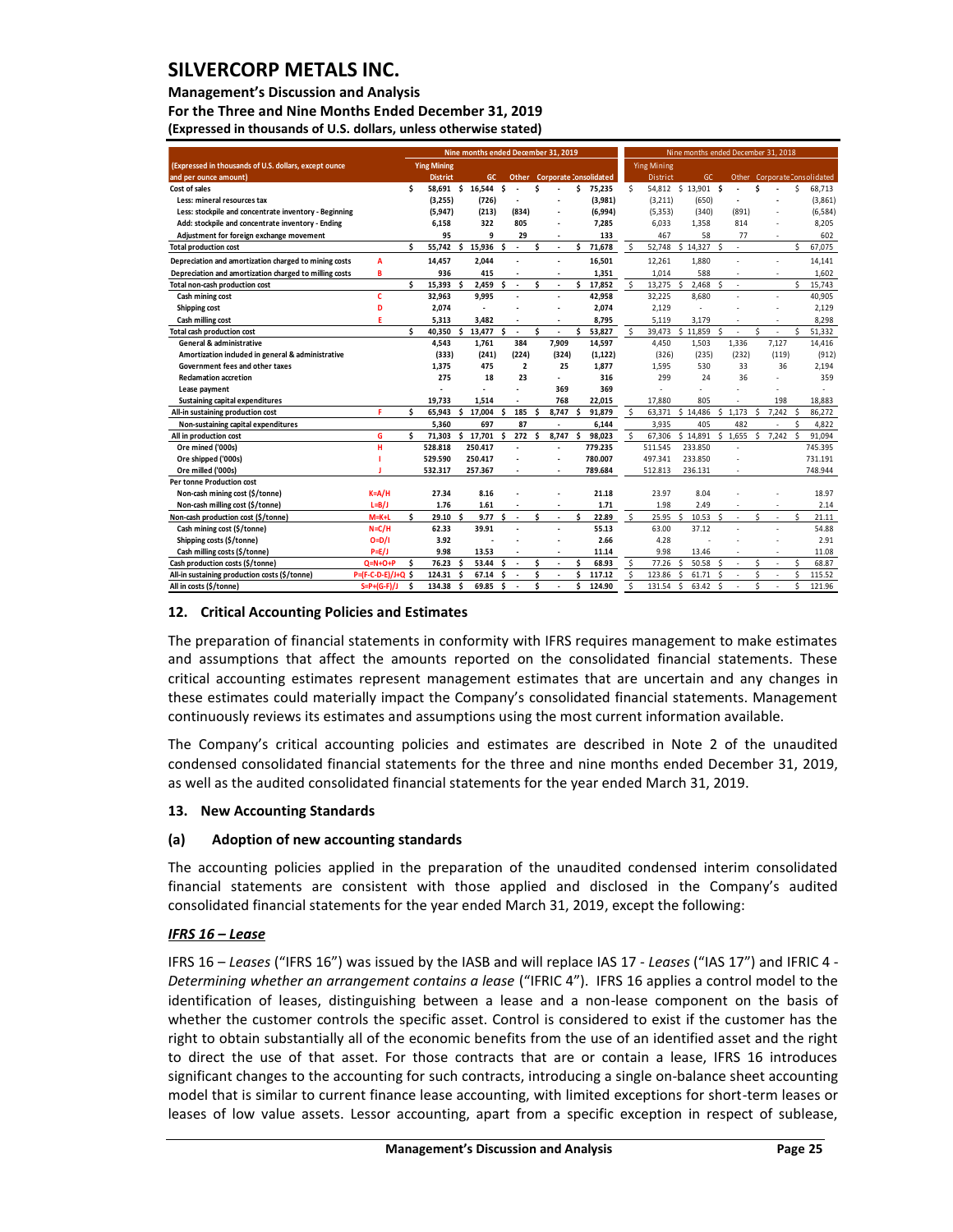#### **Management's Discussion and Analysis**

**For the Three and Nine Months Ended December 31, 2019 (Expressed in thousands of U.S. dollars, unless otherwise stated)** 

| Nine months ended December 31, 2019                    |                     |    |                    |    |                  |     | Nine months ended December 31, 2018 |    |                          |    |                              |                    |                     |    |          |     |                          |    |                          |                    |                              |
|--------------------------------------------------------|---------------------|----|--------------------|----|------------------|-----|-------------------------------------|----|--------------------------|----|------------------------------|--------------------|---------------------|----|----------|-----|--------------------------|----|--------------------------|--------------------|------------------------------|
| (Expressed in thousands of U.S. dollars, except ounce  |                     |    | <b>Ying Mining</b> |    |                  |     |                                     |    |                          |    |                              |                    | <b>Ying Mining</b>  |    |          |     |                          |    |                          |                    |                              |
| and per ounce amount)                                  |                     |    | <b>District</b>    |    | GC.              |     |                                     |    |                          |    | Other Corporate Consolidated |                    | District            |    | GC.      |     |                          |    |                          |                    | Other Corporate Consolidated |
| Cost of sales                                          |                     | Ś. |                    |    | 58.691 \$ 16.544 | \$. |                                     | Ś  |                          | \$ | 75.235                       | Š.                 | 54,812 \$ 13,901 \$ |    |          |     |                          | \$ |                          | \$                 | 68,713                       |
| Less: mineral resources tax                            |                     |    | (3,255)            |    | (726)            |     |                                     |    | ٠                        |    | (3,981)                      |                    | (3,211)             |    | (650)    |     | $\overline{\phantom{a}}$ |    |                          |                    | (3,861)                      |
| Less: stockpile and concentrate inventory - Beginning  |                     |    | (5, 947)           |    | (213)            |     | (834)                               |    | $\overline{a}$           |    | (6,994)                      |                    | (5, 353)            |    | (340)    |     | (891)                    |    |                          |                    | (6, 584)                     |
| Add: stockpile and concentrate inventory - Ending      |                     |    | 6,158              |    | 322              |     | 805                                 |    | $\overline{\phantom{a}}$ |    | 7,285                        |                    | 6,033               |    | 1,358    |     | 814                      |    |                          |                    | 8,205                        |
| Adjustment for foreign exchange movement               |                     |    | 95                 |    | 9                |     | 29                                  |    | ÷                        |    | 133                          |                    | 467                 |    | 58       |     | 77                       |    |                          |                    | 602                          |
| <b>Total production cost</b>                           |                     | Ś. | 55,742             | \$ | 15,936           | Ś.  | $\overline{\phantom{a}}$            | Ś  | $\overline{a}$           | Ś  | 71,678                       | Ŝ.                 | 52,748              | Ś. | 14,327   | -\$ | ×.                       |    |                          | ¢                  | 67,075                       |
| Depreciation and amortization charged to mining costs  | A                   |    | 14,457             |    | 2.044            |     |                                     |    | $\overline{a}$           |    | 16,501                       |                    | 12,261              |    | 1.880    |     |                          |    | $\overline{a}$           |                    | 14,141                       |
| Depreciation and amortization charged to milling costs | B                   |    | 936                |    | 415              |     |                                     |    | $\overline{a}$           |    | 1,351                        |                    | 1.014               |    | 588      |     |                          |    | $\overline{a}$           |                    | 1,602                        |
| Total non-cash production cost                         |                     | Ś. | 15.393             | Ś  | 2.459            | \$  | $\overline{\phantom{a}}$            | Ś  | $\overline{\phantom{a}}$ | Ś  | 17,852                       | Ŝ.                 | 13.275              | Ś  | 2.468    | Ś   | $\overline{\phantom{a}}$ |    |                          | \$                 | 15,743                       |
| Cash mining cost                                       | c                   |    | 32.963             |    | 9.995            |     | $\overline{\phantom{a}}$            |    | ÷.                       |    | 42,958                       |                    | 32,225              |    | 8.680    |     |                          |    | $\overline{a}$           |                    | 40,905                       |
| Shipping cost                                          | D                   |    | 2.074              |    | $\overline{a}$   |     |                                     |    | $\overline{a}$           |    | 2,074                        |                    | 2.129               |    | ÷.       |     |                          |    |                          |                    | 2.129                        |
| Cash milling cost                                      | F                   |    | 5,313              |    | 3.482            |     |                                     |    | $\overline{\phantom{a}}$ |    | 8,795                        |                    | 5,119               |    | 3.179    |     |                          |    |                          |                    | 8,298                        |
| Total cash production cost                             |                     | Ś. | 40,350             | \$ | 13,477           | Ś.  | $\overline{\phantom{a}}$            | \$ | $\overline{\phantom{a}}$ | Ś  | 53,827                       | \$                 | 39,473              | Ś. | 11,859   | -Ś  | $\overline{\phantom{a}}$ | Š. |                          | Ś                  | 51,332                       |
| General & administrative                               |                     |    | 4,543              |    | 1.761            |     | 384                                 |    | 7,909                    |    | 14,597                       |                    | 4,450               |    | 1,503    |     | 1.336                    |    | 7,127                    |                    | 14,416                       |
| Amortization included in general & administrative      |                     |    | (333)              |    | (241)            |     | (224)                               |    | (324)                    |    | (1, 122)                     |                    | (326)               |    | (235)    |     | (232)                    |    | (119)                    |                    | (912)                        |
| Government fees and other taxes                        |                     |    | 1,375              |    | 475              |     | $\overline{2}$                      |    | 25                       |    | 1.877                        |                    | 1.595               |    | 530      |     | 33                       |    | 36                       |                    | 2,194                        |
| <b>Reclamation accretion</b>                           |                     |    | 275                |    | 18               |     | 23                                  |    | $\overline{a}$           |    | 316                          |                    | 299                 |    | 24       |     | 36                       |    |                          |                    | 359                          |
| Lease payment                                          |                     |    |                    |    |                  |     | $\overline{a}$                      |    | 369                      |    | 369                          |                    | ٠                   |    | ÷,       |     |                          |    |                          |                    |                              |
| Sustaining capital expenditures                        |                     |    | 19,733             |    | 1.514            |     |                                     |    | 768                      |    | 22,015                       |                    | 17,880              |    | 805      |     |                          |    | 198                      |                    | 18,883                       |
| All-in sustaining production cost                      | F.                  | Ś. | 65,943             | \$ | 17,004           | \$  | 185                                 | Ś  | 8,747                    | Ś  | 91,879                       | $\mathsf{\hat{S}}$ | 63,371              |    | \$14,486 | Ŝ.  | 1.173                    | \$ | 7,242                    | <sup>\$</sup>      | 86,272                       |
| Non-sustaining capital expenditures                    |                     |    | 5.360              |    | 697              |     | 87                                  |    | $\overline{\phantom{a}}$ |    | 6.144                        |                    | 3.935               |    | 405      |     | 482                      |    | $\overline{\phantom{a}}$ | Ś                  | 4,822                        |
| All in production cost                                 | G                   | Ś. | 71.303             |    | \$17,701         | \$  | 272                                 | \$ | 8,747                    | Ś  | 98,023                       | Ŝ.                 | 67,306              |    | \$14,891 | Ś.  | 1,655                    | \$ | 7,242                    | Ŝ.                 | 91.094                       |
| Ore mined ('000s)                                      | н                   |    | 528.818            |    | 250.417          |     | $\overline{a}$                      |    | $\overline{a}$           |    | 779.235                      |                    | 511.545             |    | 233.850  |     |                          |    |                          |                    | 745.395                      |
| Ore shipped ('000s)                                    |                     |    | 529.590            |    | 250.417          |     |                                     |    | $\overline{\phantom{a}}$ |    | 780.007                      |                    | 497.341             |    | 233.850  |     |                          |    |                          |                    | 731.191                      |
| Ore milled ('000s)                                     |                     |    | 532.317            |    | 257.367          |     |                                     |    | $\overline{\phantom{a}}$ |    | 789.684                      |                    | 512.813             |    | 236.131  |     |                          |    |                          |                    | 748.944                      |
| <b>Per tonne Production cost</b>                       |                     |    |                    |    |                  |     |                                     |    |                          |    |                              |                    |                     |    |          |     |                          |    |                          |                    |                              |
| Non-cash mining cost (\$/tonne)                        | $K = A/H$           |    | 27.34              |    | 8.16             |     |                                     |    |                          |    | 21.18                        |                    | 23.97               |    | 8.04     |     |                          |    |                          |                    | 18.97                        |
| Non-cash milling cost (\$/tonne)                       | $L=B/J$             |    | 1.76               |    | 1.61             |     |                                     |    | $\overline{\phantom{a}}$ |    | 1.71                         |                    | 1.98                |    | 2.49     |     | ٠                        |    | $\overline{\phantom{a}}$ |                    | 2.14                         |
| Non-cash production cost (\$/tonne)                    | $M=K+L$             | Ś. | 29.10              | ¢, | 9.77             | Ŝ.  | $\overline{\phantom{a}}$            | Ś  | $\overline{\phantom{a}}$ | Ś  | 22.89                        | \$                 | 25.95               | ¢  | 10.53    | Ŝ.  | $\overline{\phantom{a}}$ | Š. | $\overline{\phantom{a}}$ | $\mathsf{\hat{S}}$ | 21.11                        |
| Cash mining cost (\$/tonne)                            | $N = C/H$           |    | 62.33              |    | 39.91            |     |                                     |    |                          |    | 55.13                        |                    | 63.00               |    | 37.12    |     |                          |    | $\overline{a}$           |                    | 54.88                        |
| Shipping costs (\$/tonne)                              | $O=D/I$             |    | 3.92               |    |                  |     |                                     |    | $\overline{a}$           |    | 2.66                         |                    | 4.28                |    |          |     |                          |    |                          |                    | 2.91                         |
| Cash milling costs (\$/tonne)                          | $P=E/J$             |    | 9.98               |    | 13.53            |     |                                     |    | $\overline{a}$           |    | 11.14                        |                    | 9.98                |    | 13.46    |     | ٠                        |    | $\overline{\phantom{a}}$ |                    | 11.08                        |
| Cash production costs (\$/tonne)                       | $Q=N+O+P$           | \$ | 76.23              | \$ | 53.44            | Ś   | $\overline{\phantom{a}}$            | Ś  | $\overline{a}$           | Ś  | 68.93                        | Ŝ.                 | 77.26               | Ś  | 50.58    | Ś   | ×,                       | \$ |                          | \$                 | 68.87                        |
| All-in sustaining production costs (\$/tonne)          | P=(F-C-D-E)/J+Q \$  |    | 124.31             | Ś  | 67.14            | \$  |                                     | Ś  | $\overline{a}$           | Ś  | 117.12                       | Ś.                 | 123.86              | Ś  | 61.71    | Ś   |                          | Ś  |                          | ¢                  | 115.52                       |
| All in costs (\$/tonne)                                | $S = P + (G - F)/J$ | Ś  | 134.38             | Ś  | 69.85            | \$  |                                     | Ś  |                          | Ś  | 124.90                       | Ś.                 | 131.54              | Ś  | 63.42    | Ś   |                          | Ś  |                          | Ś                  | 121.96                       |

#### <span id="page-25-0"></span>**12. Critical Accounting Policies and Estimates**

The preparation of financial statements in conformity with IFRS requires management to make estimates and assumptions that affect the amounts reported on the consolidated financial statements. These critical accounting estimates represent management estimates that are uncertain and any changes in these estimates could materially impact the Company's consolidated financial statements. Management continuously reviews its estimates and assumptions using the most current information available.

The Company's critical accounting policies and estimates are described in Note 2 of the unaudited condensed consolidated financial statements for the three and nine months ended December 31, 2019, as well as the audited consolidated financial statements for the year ended March 31, 2019.

### <span id="page-25-1"></span>**13. New Accounting Standards**

#### **(a) Adoption of new accounting standards**

The accounting policies applied in the preparation of the unaudited condensed interim consolidated financial statements are consistent with those applied and disclosed in the Company's audited consolidated financial statements for the year ended March 31, 2019, except the following:

### *IFRS 16 – Lease*

IFRS 16 – *Leases* ("IFRS 16") was issued by the IASB and will replace IAS 17 - *Leases* ("IAS 17") and IFRIC 4 - *Determining whether an arrangement contains a lease* ("IFRIC 4"). IFRS 16 applies a control model to the identification of leases, distinguishing between a lease and a non-lease component on the basis of whether the customer controls the specific asset. Control is considered to exist if the customer has the right to obtain substantially all of the economic benefits from the use of an identified asset and the right to direct the use of that asset. For those contracts that are or contain a lease, IFRS 16 introduces significant changes to the accounting for such contracts, introducing a single on-balance sheet accounting model that is similar to current finance lease accounting, with limited exceptions for short-term leases or leases of low value assets. Lessor accounting, apart from a specific exception in respect of sublease,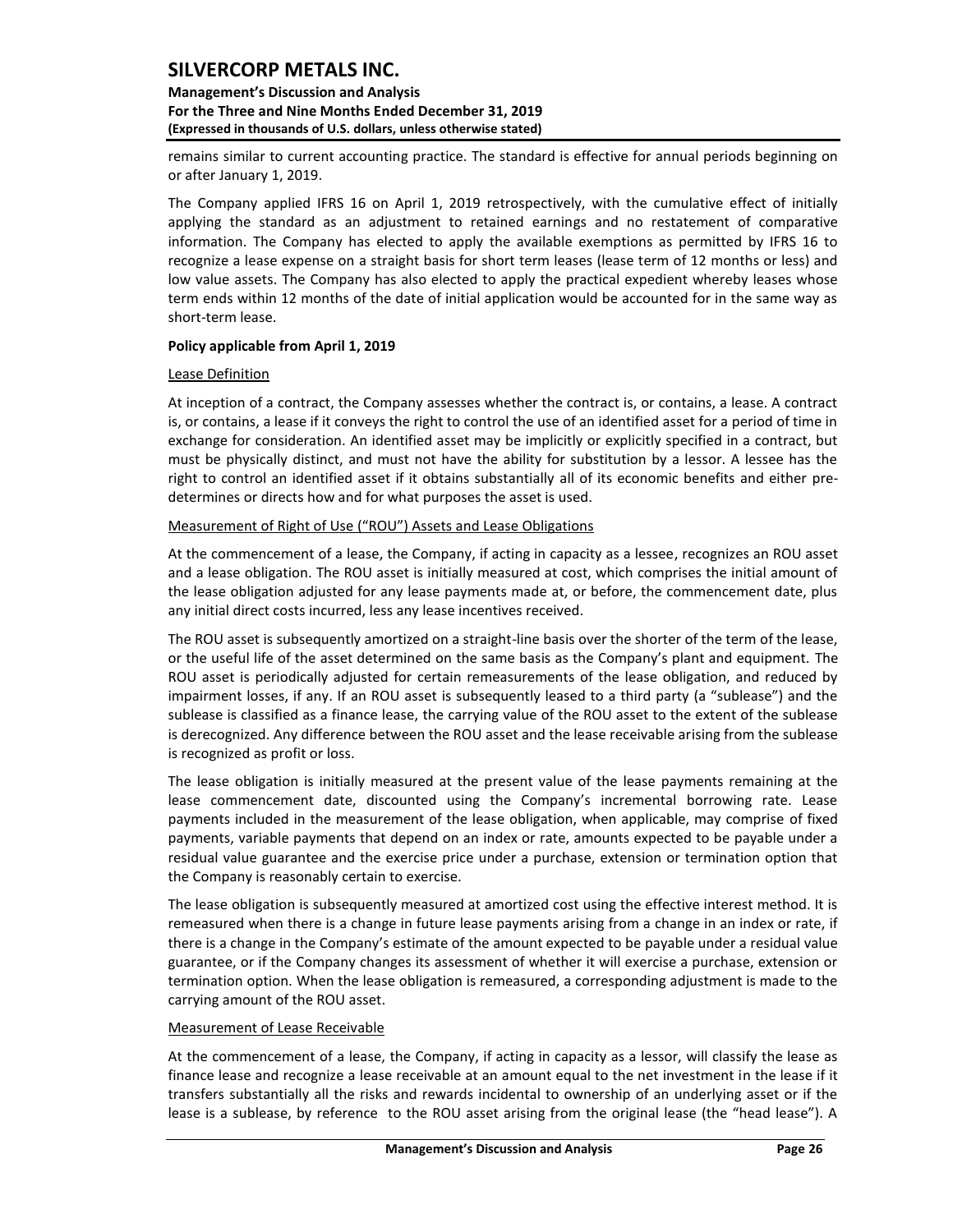### **Management's Discussion and Analysis For the Three and Nine Months Ended December 31, 2019 (Expressed in thousands of U.S. dollars, unless otherwise stated)**

remains similar to current accounting practice. The standard is effective for annual periods beginning on or after January 1, 2019.

The Company applied IFRS 16 on April 1, 2019 retrospectively, with the cumulative effect of initially applying the standard as an adjustment to retained earnings and no restatement of comparative information. The Company has elected to apply the available exemptions as permitted by IFRS 16 to recognize a lease expense on a straight basis for short term leases (lease term of 12 months or less) and low value assets. The Company has also elected to apply the practical expedient whereby leases whose term ends within 12 months of the date of initial application would be accounted for in the same way as short-term lease.

#### **Policy applicable from April 1, 2019**

#### Lease Definition

At inception of a contract, the Company assesses whether the contract is, or contains, a lease. A contract is, or contains, a lease if it conveys the right to control the use of an identified asset for a period of time in exchange for consideration. An identified asset may be implicitly or explicitly specified in a contract, but must be physically distinct, and must not have the ability for substitution by a lessor. A lessee has the right to control an identified asset if it obtains substantially all of its economic benefits and either predetermines or directs how and for what purposes the asset is used.

#### Measurement of Right of Use ("ROU") Assets and Lease Obligations

At the commencement of a lease, the Company, if acting in capacity as a lessee, recognizes an ROU asset and a lease obligation. The ROU asset is initially measured at cost, which comprises the initial amount of the lease obligation adjusted for any lease payments made at, or before, the commencement date, plus any initial direct costs incurred, less any lease incentives received.

The ROU asset is subsequently amortized on a straight-line basis over the shorter of the term of the lease, or the useful life of the asset determined on the same basis as the Company's plant and equipment. The ROU asset is periodically adjusted for certain remeasurements of the lease obligation, and reduced by impairment losses, if any. If an ROU asset is subsequently leased to a third party (a "sublease") and the sublease is classified as a finance lease, the carrying value of the ROU asset to the extent of the sublease is derecognized. Any difference between the ROU asset and the lease receivable arising from the sublease is recognized as profit or loss.

The lease obligation is initially measured at the present value of the lease payments remaining at the lease commencement date, discounted using the Company's incremental borrowing rate. Lease payments included in the measurement of the lease obligation, when applicable, may comprise of fixed payments, variable payments that depend on an index or rate, amounts expected to be payable under a residual value guarantee and the exercise price under a purchase, extension or termination option that the Company is reasonably certain to exercise.

The lease obligation is subsequently measured at amortized cost using the effective interest method. It is remeasured when there is a change in future lease payments arising from a change in an index or rate, if there is a change in the Company's estimate of the amount expected to be payable under a residual value guarantee, or if the Company changes its assessment of whether it will exercise a purchase, extension or termination option. When the lease obligation is remeasured, a corresponding adjustment is made to the carrying amount of the ROU asset.

#### Measurement of Lease Receivable

At the commencement of a lease, the Company, if acting in capacity as a lessor, will classify the lease as finance lease and recognize a lease receivable at an amount equal to the net investment in the lease if it transfers substantially all the risks and rewards incidental to ownership of an underlying asset or if the lease is a sublease, by reference to the ROU asset arising from the original lease (the "head lease"). A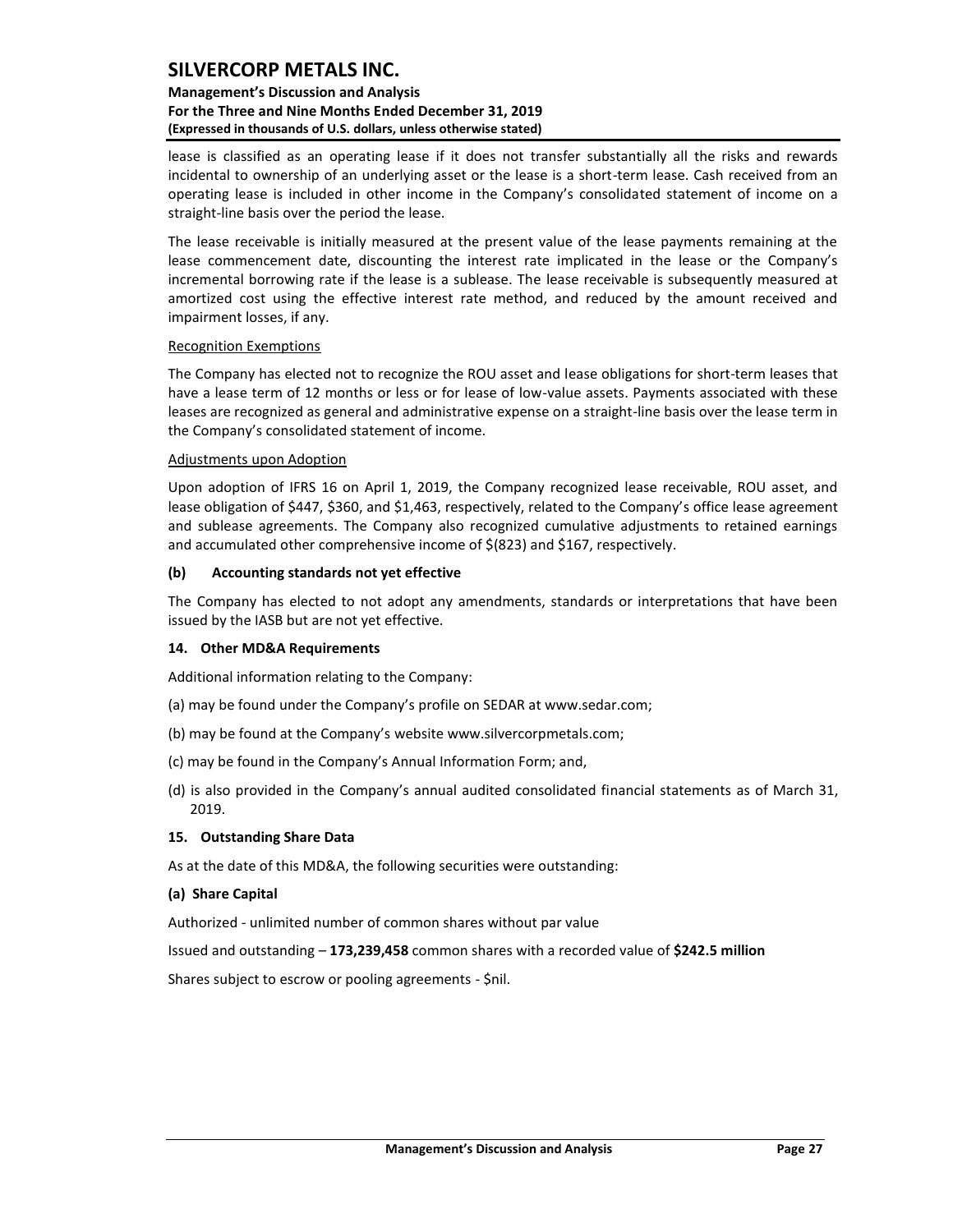### **Management's Discussion and Analysis For the Three and Nine Months Ended December 31, 2019 (Expressed in thousands of U.S. dollars, unless otherwise stated)**

lease is classified as an operating lease if it does not transfer substantially all the risks and rewards incidental to ownership of an underlying asset or the lease is a short-term lease. Cash received from an operating lease is included in other income in the Company's consolidated statement of income on a straight-line basis over the period the lease.

The lease receivable is initially measured at the present value of the lease payments remaining at the lease commencement date, discounting the interest rate implicated in the lease or the Company's incremental borrowing rate if the lease is a sublease. The lease receivable is subsequently measured at amortized cost using the effective interest rate method, and reduced by the amount received and impairment losses, if any.

#### Recognition Exemptions

The Company has elected not to recognize the ROU asset and lease obligations for short-term leases that have a lease term of 12 months or less or for lease of low-value assets. Payments associated with these leases are recognized as general and administrative expense on a straight-line basis over the lease term in the Company's consolidated statement of income.

#### Adjustments upon Adoption

Upon adoption of IFRS 16 on April 1, 2019, the Company recognized lease receivable, ROU asset, and lease obligation of \$447, \$360, and \$1,463, respectively, related to the Company's office lease agreement and sublease agreements. The Company also recognized cumulative adjustments to retained earnings and accumulated other comprehensive income of \$(823) and \$167, respectively.

#### **(b) Accounting standards not yet effective**

The Company has elected to not adopt any amendments, standards or interpretations that have been issued by the IASB but are not yet effective.

### <span id="page-27-0"></span>**14. Other MD&A Requirements**

Additional information relating to the Company:

- (a) may be found under the Company's profile on SEDAR at www.sedar.com;
- (b) may be found at the Company's website www.silvercorpmetals.com;
- (c) may be found in the Company's Annual Information Form; and,
- (d) is also provided in the Company's annual audited consolidated financial statements as of March 31, 2019.

#### <span id="page-27-1"></span>**15. Outstanding Share Data**

As at the date of this MD&A, the following securities were outstanding:

#### **(a) Share Capital**

Authorized - unlimited number of common shares without par value

Issued and outstanding – **173,239,458** common shares with a recorded value of **\$242.5 million**

Shares subject to escrow or pooling agreements - \$nil.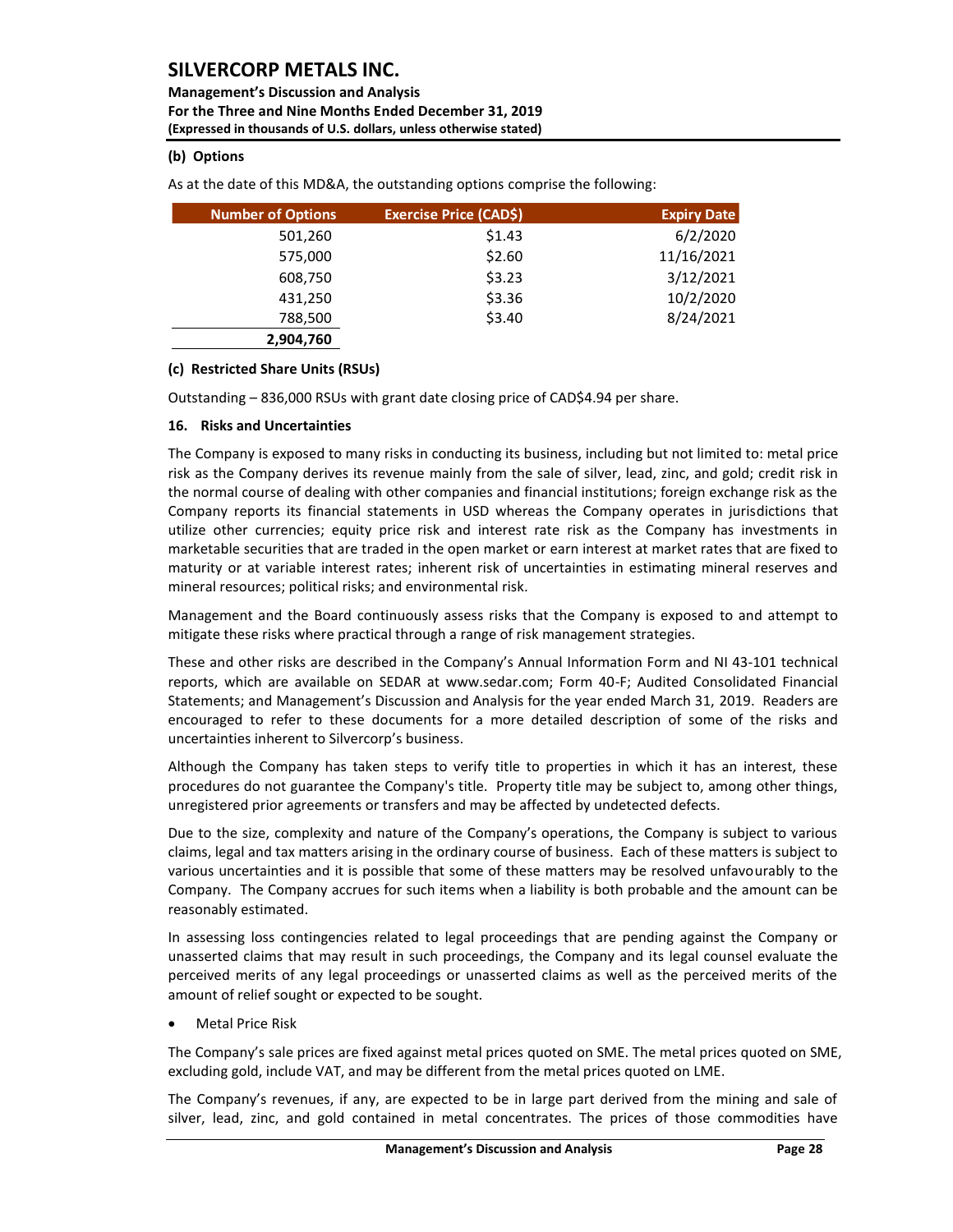**Management's Discussion and Analysis For the Three and Nine Months Ended December 31, 2019 (Expressed in thousands of U.S. dollars, unless otherwise stated)** 

### **(b) Options**

As at the date of this MD&A, the outstanding options comprise the following:

| <b>Number of Options</b> | <b>Exercise Price (CAD\$)</b> | <b>Expiry Date</b> |
|--------------------------|-------------------------------|--------------------|
| 501,260                  | \$1.43                        | 6/2/2020           |
| 575,000                  | \$2.60                        | 11/16/2021         |
| 608,750                  | \$3.23                        | 3/12/2021          |
| 431,250                  | \$3.36                        | 10/2/2020          |
| 788,500                  | \$3.40                        | 8/24/2021          |
| 2,904,760                |                               |                    |

### **(c) Restricted Share Units (RSUs)**

Outstanding – 836,000 RSUs with grant date closing price of CAD\$4.94 per share.

### <span id="page-28-0"></span>**16. Risks and Uncertainties**

The Company is exposed to many risks in conducting its business, including but not limited to: metal price risk as the Company derives its revenue mainly from the sale of silver, lead, zinc, and gold; credit risk in the normal course of dealing with other companies and financial institutions; foreign exchange risk as the Company reports its financial statements in USD whereas the Company operates in jurisdictions that utilize other currencies; equity price risk and interest rate risk as the Company has investments in marketable securities that are traded in the open market or earn interest at market rates that are fixed to maturity or at variable interest rates; inherent risk of uncertainties in estimating mineral reserves and mineral resources; political risks; and environmental risk.

Management and the Board continuously assess risks that the Company is exposed to and attempt to mitigate these risks where practical through a range of risk management strategies.

These and other risks are described in the Company's Annual Information Form and NI 43-101 technical reports, which are available on SEDAR at www.sedar.com; Form 40-F; Audited Consolidated Financial Statements; and Management's Discussion and Analysis for the year ended March 31, 2019. Readers are encouraged to refer to these documents for a more detailed description of some of the risks and uncertainties inherent to Silvercorp's business.

Although the Company has taken steps to verify title to properties in which it has an interest, these procedures do not guarantee the Company's title. Property title may be subject to, among other things, unregistered prior agreements or transfers and may be affected by undetected defects.

Due to the size, complexity and nature of the Company's operations, the Company is subject to various claims, legal and tax matters arising in the ordinary course of business. Each of these matters is subject to various uncertainties and it is possible that some of these matters may be resolved unfavourably to the Company. The Company accrues for such items when a liability is both probable and the amount can be reasonably estimated.

In assessing loss contingencies related to legal proceedings that are pending against the Company or unasserted claims that may result in such proceedings, the Company and its legal counsel evaluate the perceived merits of any legal proceedings or unasserted claims as well as the perceived merits of the amount of relief sought or expected to be sought.

• Metal Price Risk

The Company's sale prices are fixed against metal prices quoted on SME. The metal prices quoted on SME, excluding gold, include VAT, and may be different from the metal prices quoted on LME.

The Company's revenues, if any, are expected to be in large part derived from the mining and sale of silver, lead, zinc, and gold contained in metal concentrates. The prices of those commodities have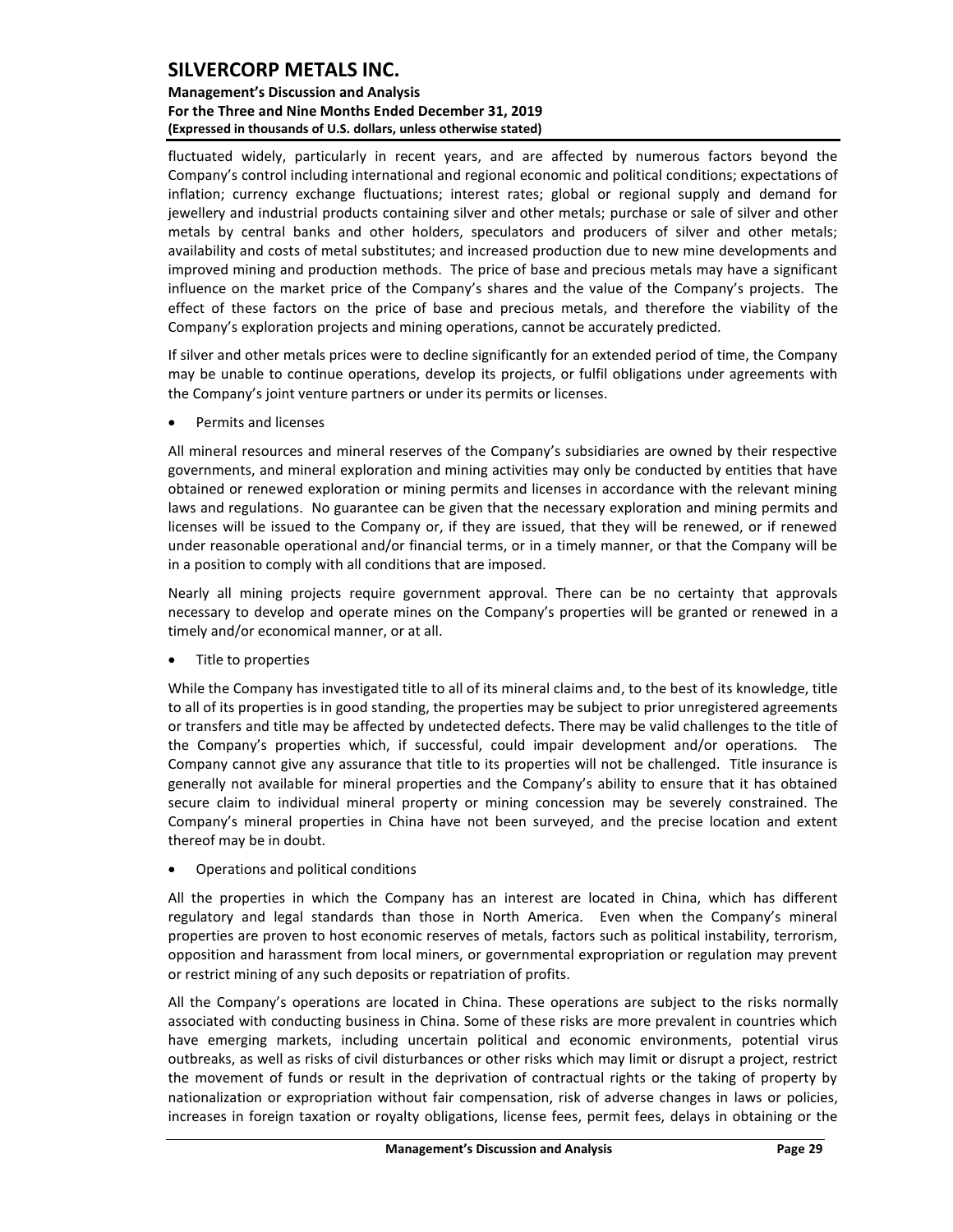### **Management's Discussion and Analysis For the Three and Nine Months Ended December 31, 2019 (Expressed in thousands of U.S. dollars, unless otherwise stated)**

fluctuated widely, particularly in recent years, and are affected by numerous factors beyond the Company's control including international and regional economic and political conditions; expectations of inflation; currency exchange fluctuations; interest rates; global or regional supply and demand for jewellery and industrial products containing silver and other metals; purchase or sale of silver and other metals by central banks and other holders, speculators and producers of silver and other metals; availability and costs of metal substitutes; and increased production due to new mine developments and improved mining and production methods. The price of base and precious metals may have a significant influence on the market price of the Company's shares and the value of the Company's projects. The effect of these factors on the price of base and precious metals, and therefore the viability of the Company's exploration projects and mining operations, cannot be accurately predicted.

If silver and other metals prices were to decline significantly for an extended period of time, the Company may be unable to continue operations, develop its projects, or fulfil obligations under agreements with the Company's joint venture partners or under its permits or licenses.

• Permits and licenses

All mineral resources and mineral reserves of the Company's subsidiaries are owned by their respective governments, and mineral exploration and mining activities may only be conducted by entities that have obtained or renewed exploration or mining permits and licenses in accordance with the relevant mining laws and regulations. No guarantee can be given that the necessary exploration and mining permits and licenses will be issued to the Company or, if they are issued, that they will be renewed, or if renewed under reasonable operational and/or financial terms, or in a timely manner, or that the Company will be in a position to comply with all conditions that are imposed.

Nearly all mining projects require government approval. There can be no certainty that approvals necessary to develop and operate mines on the Company's properties will be granted or renewed in a timely and/or economical manner, or at all.

• Title to properties

While the Company has investigated title to all of its mineral claims and, to the best of its knowledge, title to all of its properties is in good standing, the properties may be subject to prior unregistered agreements or transfers and title may be affected by undetected defects. There may be valid challenges to the title of the Company's properties which, if successful, could impair development and/or operations. The Company cannot give any assurance that title to its properties will not be challenged. Title insurance is generally not available for mineral properties and the Company's ability to ensure that it has obtained secure claim to individual mineral property or mining concession may be severely constrained. The Company's mineral properties in China have not been surveyed, and the precise location and extent thereof may be in doubt.

• Operations and political conditions

All the properties in which the Company has an interest are located in China, which has different regulatory and legal standards than those in North America. Even when the Company's mineral properties are proven to host economic reserves of metals, factors such as political instability, terrorism, opposition and harassment from local miners, or governmental expropriation or regulation may prevent or restrict mining of any such deposits or repatriation of profits.

All the Company's operations are located in China. These operations are subject to the risks normally associated with conducting business in China. Some of these risks are more prevalent in countries which have emerging markets, including uncertain political and economic environments, potential virus outbreaks, as well as risks of civil disturbances or other risks which may limit or disrupt a project, restrict the movement of funds or result in the deprivation of contractual rights or the taking of property by nationalization or expropriation without fair compensation, risk of adverse changes in laws or policies, increases in foreign taxation or royalty obligations, license fees, permit fees, delays in obtaining or the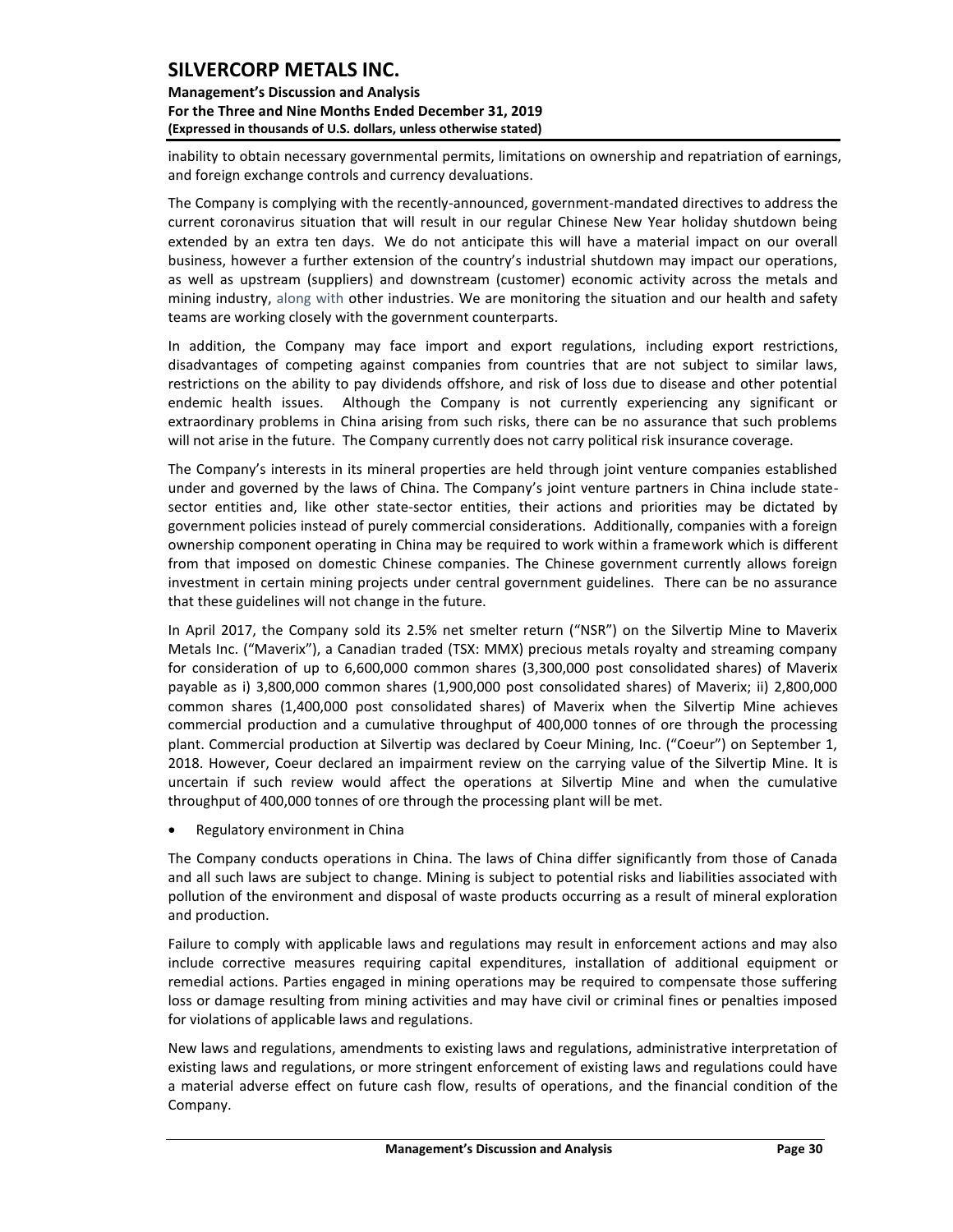### **Management's Discussion and Analysis For the Three and Nine Months Ended December 31, 2019 (Expressed in thousands of U.S. dollars, unless otherwise stated)**

inability to obtain necessary governmental permits, limitations on ownership and repatriation of earnings, and foreign exchange controls and currency devaluations.

The Company is complying with the recently-announced, government-mandated directives to address the current coronavirus situation that will result in our regular Chinese New Year holiday shutdown being extended by an extra ten days. We do not anticipate this will have a material impact on our overall business, however a further extension of the country's industrial shutdown may impact our operations, as well as upstream (suppliers) and downstream (customer) economic activity across the metals and mining industry, along with other industries. We are monitoring the situation and our health and safety teams are working closely with the government counterparts.

In addition, the Company may face import and export regulations, including export restrictions, disadvantages of competing against companies from countries that are not subject to similar laws, restrictions on the ability to pay dividends offshore, and risk of loss due to disease and other potential endemic health issues. Although the Company is not currently experiencing any significant or extraordinary problems in China arising from such risks, there can be no assurance that such problems will not arise in the future. The Company currently does not carry political risk insurance coverage.

The Company's interests in its mineral properties are held through joint venture companies established under and governed by the laws of China. The Company's joint venture partners in China include statesector entities and, like other state-sector entities, their actions and priorities may be dictated by government policies instead of purely commercial considerations. Additionally, companies with a foreign ownership component operating in China may be required to work within a framework which is different from that imposed on domestic Chinese companies. The Chinese government currently allows foreign investment in certain mining projects under central government guidelines. There can be no assurance that these guidelines will not change in the future.

In April 2017, the Company sold its 2.5% net smelter return ("NSR") on the Silvertip Mine to Maverix Metals Inc. ("Maverix"), a Canadian traded (TSX: MMX) precious metals royalty and streaming company for consideration of up to 6,600,000 common shares (3,300,000 post consolidated shares) of Maverix payable as i) 3,800,000 common shares (1,900,000 post consolidated shares) of Maverix; ii) 2,800,000 common shares (1,400,000 post consolidated shares) of Maverix when the Silvertip Mine achieves commercial production and a cumulative throughput of 400,000 tonnes of ore through the processing plant. Commercial production at Silvertip was declared by Coeur Mining, Inc. ("Coeur") on September 1, 2018. However, Coeur declared an impairment review on the carrying value of the Silvertip Mine. It is uncertain if such review would affect the operations at Silvertip Mine and when the cumulative throughput of 400,000 tonnes of ore through the processing plant will be met.

• Regulatory environment in China

The Company conducts operations in China. The laws of China differ significantly from those of Canada and all such laws are subject to change. Mining is subject to potential risks and liabilities associated with pollution of the environment and disposal of waste products occurring as a result of mineral exploration and production.

Failure to comply with applicable laws and regulations may result in enforcement actions and may also include corrective measures requiring capital expenditures, installation of additional equipment or remedial actions. Parties engaged in mining operations may be required to compensate those suffering loss or damage resulting from mining activities and may have civil or criminal fines or penalties imposed for violations of applicable laws and regulations.

New laws and regulations, amendments to existing laws and regulations, administrative interpretation of existing laws and regulations, or more stringent enforcement of existing laws and regulations could have a material adverse effect on future cash flow, results of operations, and the financial condition of the Company.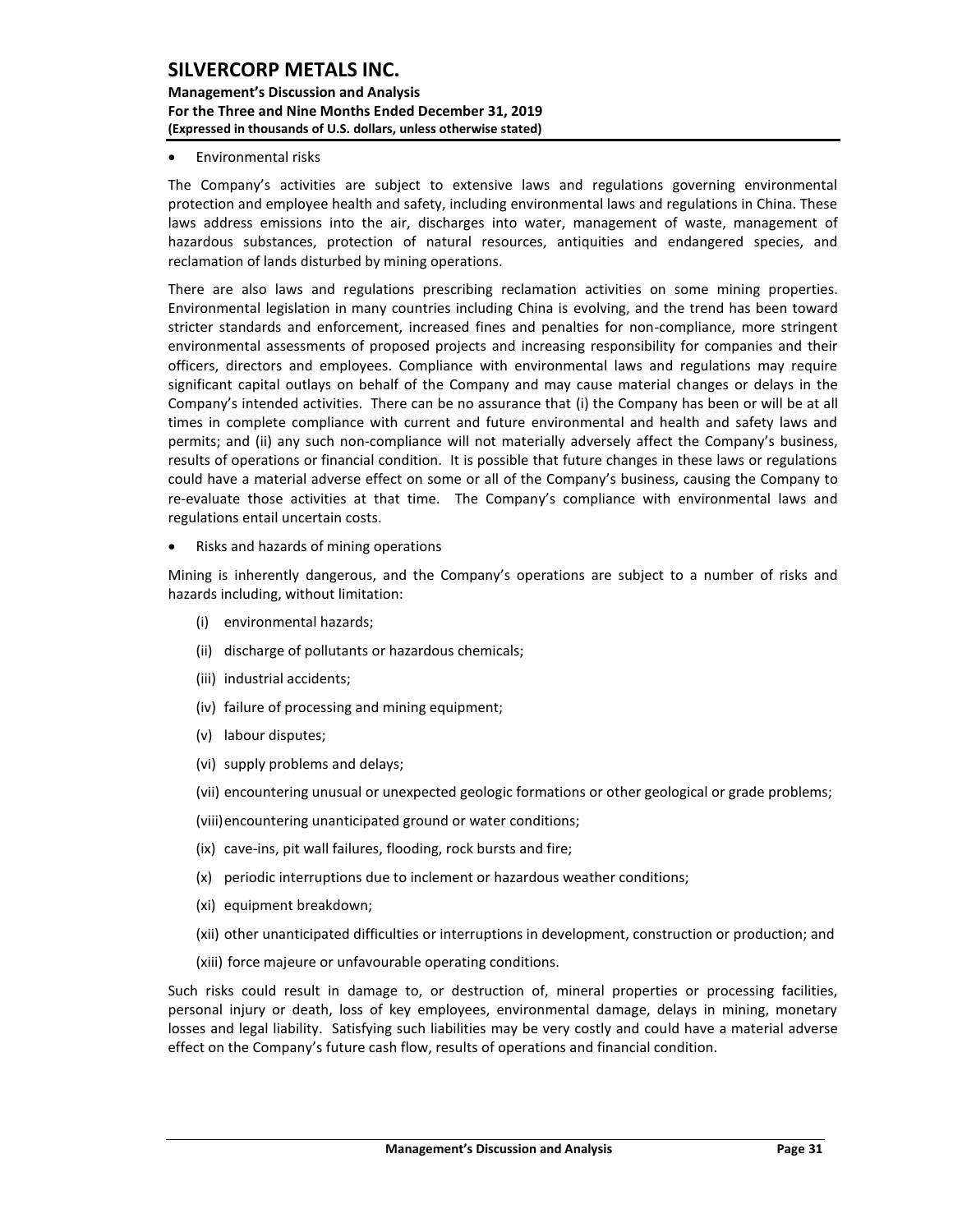#### **Management's Discussion and Analysis For the Three and Nine Months Ended December 31, 2019 (Expressed in thousands of U.S. dollars, unless otherwise stated)**

#### • Environmental risks

The Company's activities are subject to extensive laws and regulations governing environmental protection and employee health and safety, including environmental laws and regulations in China. These laws address emissions into the air, discharges into water, management of waste, management of hazardous substances, protection of natural resources, antiquities and endangered species, and reclamation of lands disturbed by mining operations.

There are also laws and regulations prescribing reclamation activities on some mining properties. Environmental legislation in many countries including China is evolving, and the trend has been toward stricter standards and enforcement, increased fines and penalties for non-compliance, more stringent environmental assessments of proposed projects and increasing responsibility for companies and their officers, directors and employees. Compliance with environmental laws and regulations may require significant capital outlays on behalf of the Company and may cause material changes or delays in the Company's intended activities. There can be no assurance that (i) the Company has been or will be at all times in complete compliance with current and future environmental and health and safety laws and permits; and (ii) any such non-compliance will not materially adversely affect the Company's business, results of operations or financial condition. It is possible that future changes in these laws or regulations could have a material adverse effect on some or all of the Company's business, causing the Company to re-evaluate those activities at that time. The Company's compliance with environmental laws and regulations entail uncertain costs.

• Risks and hazards of mining operations

Mining is inherently dangerous, and the Company's operations are subject to a number of risks and hazards including, without limitation:

- (i) environmental hazards;
- (ii) discharge of pollutants or hazardous chemicals;
- (iii) industrial accidents;
- (iv) failure of processing and mining equipment;
- (v) labour disputes;
- (vi) supply problems and delays;
- (vii) encountering unusual or unexpected geologic formations or other geological or grade problems;
- (viii)encountering unanticipated ground or water conditions;
- (ix) cave-ins, pit wall failures, flooding, rock bursts and fire;
- (x) periodic interruptions due to inclement or hazardous weather conditions;
- (xi) equipment breakdown;
- (xii) other unanticipated difficulties or interruptions in development, construction or production; and
- (xiii) force majeure or unfavourable operating conditions.

Such risks could result in damage to, or destruction of, mineral properties or processing facilities, personal injury or death, loss of key employees, environmental damage, delays in mining, monetary losses and legal liability. Satisfying such liabilities may be very costly and could have a material adverse effect on the Company's future cash flow, results of operations and financial condition.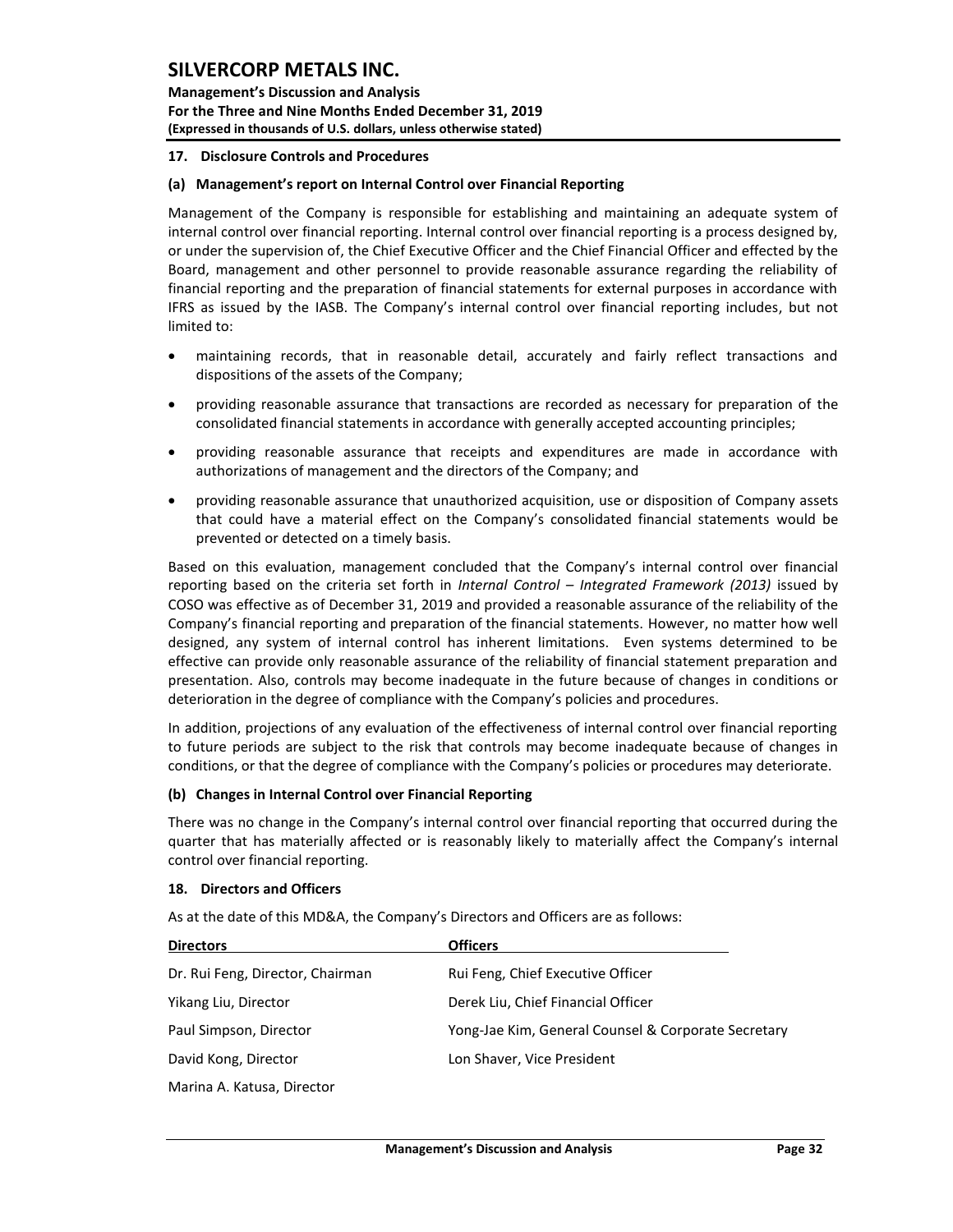**Management's Discussion and Analysis For the Three and Nine Months Ended December 31, 2019 (Expressed in thousands of U.S. dollars, unless otherwise stated)** 

#### <span id="page-32-0"></span>**17. Disclosure Controls and Procedures**

#### **(a) Management's report on Internal Control over Financial Reporting**

Management of the Company is responsible for establishing and maintaining an adequate system of internal control over financial reporting. Internal control over financial reporting is a process designed by, or under the supervision of, the Chief Executive Officer and the Chief Financial Officer and effected by the Board, management and other personnel to provide reasonable assurance regarding the reliability of financial reporting and the preparation of financial statements for external purposes in accordance with IFRS as issued by the IASB. The Company's internal control over financial reporting includes, but not limited to:

- maintaining records, that in reasonable detail, accurately and fairly reflect transactions and dispositions of the assets of the Company;
- providing reasonable assurance that transactions are recorded as necessary for preparation of the consolidated financial statements in accordance with generally accepted accounting principles;
- providing reasonable assurance that receipts and expenditures are made in accordance with authorizations of management and the directors of the Company; and
- providing reasonable assurance that unauthorized acquisition, use or disposition of Company assets that could have a material effect on the Company's consolidated financial statements would be prevented or detected on a timely basis.

Based on this evaluation, management concluded that the Company's internal control over financial reporting based on the criteria set forth in *Internal Control – Integrated Framework (2013)* issued by COSO was effective as of December 31, 2019 and provided a reasonable assurance of the reliability of the Company's financial reporting and preparation of the financial statements. However, no matter how well designed, any system of internal control has inherent limitations. Even systems determined to be effective can provide only reasonable assurance of the reliability of financial statement preparation and presentation. Also, controls may become inadequate in the future because of changes in conditions or deterioration in the degree of compliance with the Company's policies and procedures.

In addition, projections of any evaluation of the effectiveness of internal control over financial reporting to future periods are subject to the risk that controls may become inadequate because of changes in conditions, or that the degree of compliance with the Company's policies or procedures may deteriorate.

### **(b) Changes in Internal Control over Financial Reporting**

There was no change in the Company's internal control over financial reporting that occurred during the quarter that has materially affected or is reasonably likely to materially affect the Company's internal control over financial reporting.

#### <span id="page-32-1"></span>**18. Directors and Officers**

As at the date of this MD&A, the Company's Directors and Officers are as follows:

| <b>Directors</b>                 | <b>Officers</b>                                     |
|----------------------------------|-----------------------------------------------------|
| Dr. Rui Feng, Director, Chairman | Rui Feng, Chief Executive Officer                   |
| Yikang Liu, Director             | Derek Liu, Chief Financial Officer                  |
| Paul Simpson, Director           | Yong-Jae Kim, General Counsel & Corporate Secretary |
| David Kong, Director             | Lon Shaver, Vice President                          |
| Marina A. Katusa, Director       |                                                     |